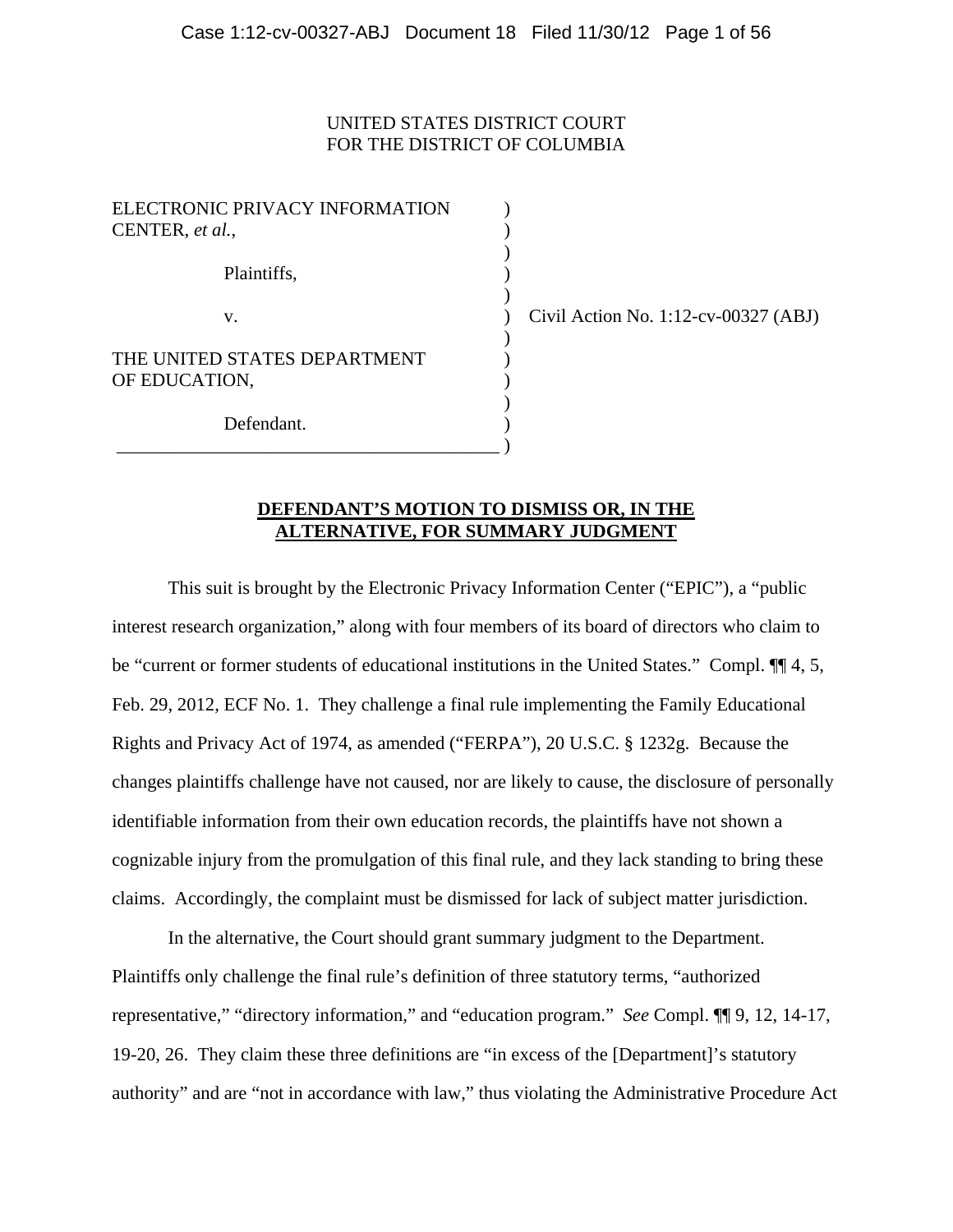### UNITED STATES DISTRICT COURT FOR THE DISTRICT OF COLUMBIA

| ELECTRONIC PRIVACY INFORMATION<br>CENTER, et al., |  |
|---------------------------------------------------|--|
| Plaintiffs,                                       |  |
| V.                                                |  |
| THE UNITED STATES DEPARTMENT<br>OF EDUCATION,     |  |
| Defendant.                                        |  |

 $\vee$  Civil Action No. 1:12-cv-00327 (ABJ)

### **DEFENDANT'S MOTION TO DISMISS OR, IN THE ALTERNATIVE, FOR SUMMARY JUDGMENT**

This suit is brought by the Electronic Privacy Information Center ("EPIC"), a "public interest research organization," along with four members of its board of directors who claim to be "current or former students of educational institutions in the United States." Compl. ¶¶ 4, 5, Feb. 29, 2012, ECF No. 1. They challenge a final rule implementing the Family Educational Rights and Privacy Act of 1974, as amended ("FERPA"), 20 U.S.C. § 1232g. Because the changes plaintiffs challenge have not caused, nor are likely to cause, the disclosure of personally identifiable information from their own education records, the plaintiffs have not shown a cognizable injury from the promulgation of this final rule, and they lack standing to bring these claims. Accordingly, the complaint must be dismissed for lack of subject matter jurisdiction.

In the alternative, the Court should grant summary judgment to the Department. Plaintiffs only challenge the final rule's definition of three statutory terms, "authorized representative," "directory information," and "education program." *See* Compl. ¶¶ 9, 12, 14-17, 19-20, 26. They claim these three definitions are "in excess of the [Department]'s statutory authority" and are "not in accordance with law," thus violating the Administrative Procedure Act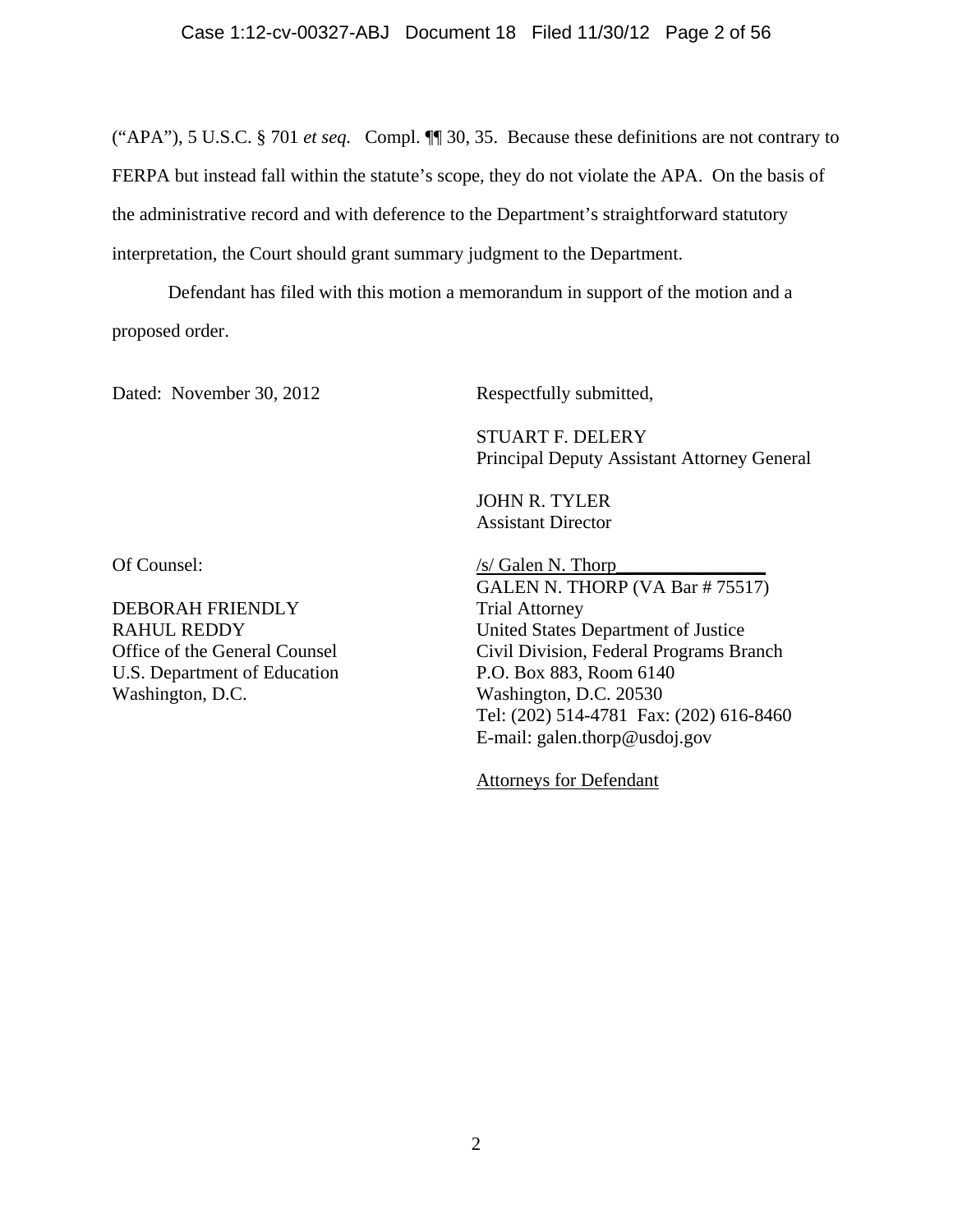("APA"), 5 U.S.C. § 701 *et seq.* Compl. ¶¶ 30, 35. Because these definitions are not contrary to FERPA but instead fall within the statute's scope, they do not violate the APA. On the basis of the administrative record and with deference to the Department's straightforward statutory interpretation, the Court should grant summary judgment to the Department.

Defendant has filed with this motion a memorandum in support of the motion and a proposed order.

Dated: November 30, 2012

Respectfully submitted,

STUART F. DELERY Principal Deputy Assistant Attorney General

JOHN R. TYLER Assistant Director

Of Counsel:

DEBORAH FRIENDLY RAHUL REDDY Office of the General Counsel U.S. Department of Education Washington, D.C.

/s/ Galen N. Thorp\_\_\_\_\_\_\_\_\_\_\_\_\_\_\_\_ GALEN N. THORP (VA Bar # 75517) Trial Attorney United States Department of Justice Civil Division, Federal Programs Branch P.O. Box 883, Room 6140 Washington, D.C. 20530 Tel: (202) 514-4781 Fax: (202) 616-8460 E-mail: galen.thorp@usdoj.gov

Attorneys for Defendant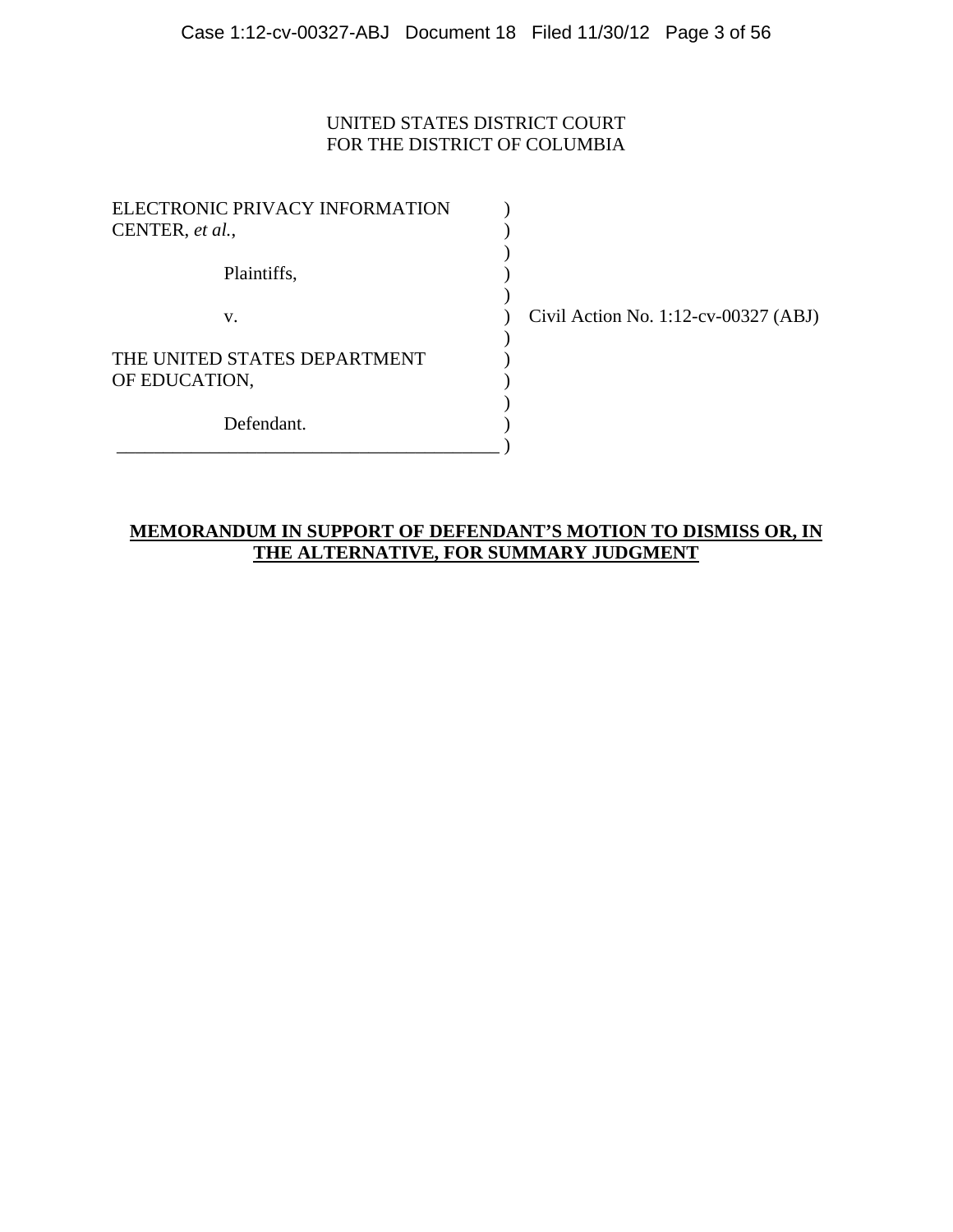# UNITED STATES DISTRICT COURT FOR THE DISTRICT OF COLUMBIA

| ELECTRONIC PRIVACY INFORMATION<br>CENTER, et al., |  |
|---------------------------------------------------|--|
| Plaintiffs,                                       |  |
| V.                                                |  |
| THE UNITED STATES DEPARTMENT<br>OF EDUCATION,     |  |
| Defendant.                                        |  |

 $\vee$  Civil Action No. 1:12-cv-00327 (ABJ)

# **MEMORANDUM IN SUPPORT OF DEFENDANT'S MOTION TO DISMISS OR, IN THE ALTERNATIVE, FOR SUMMARY JUDGMENT**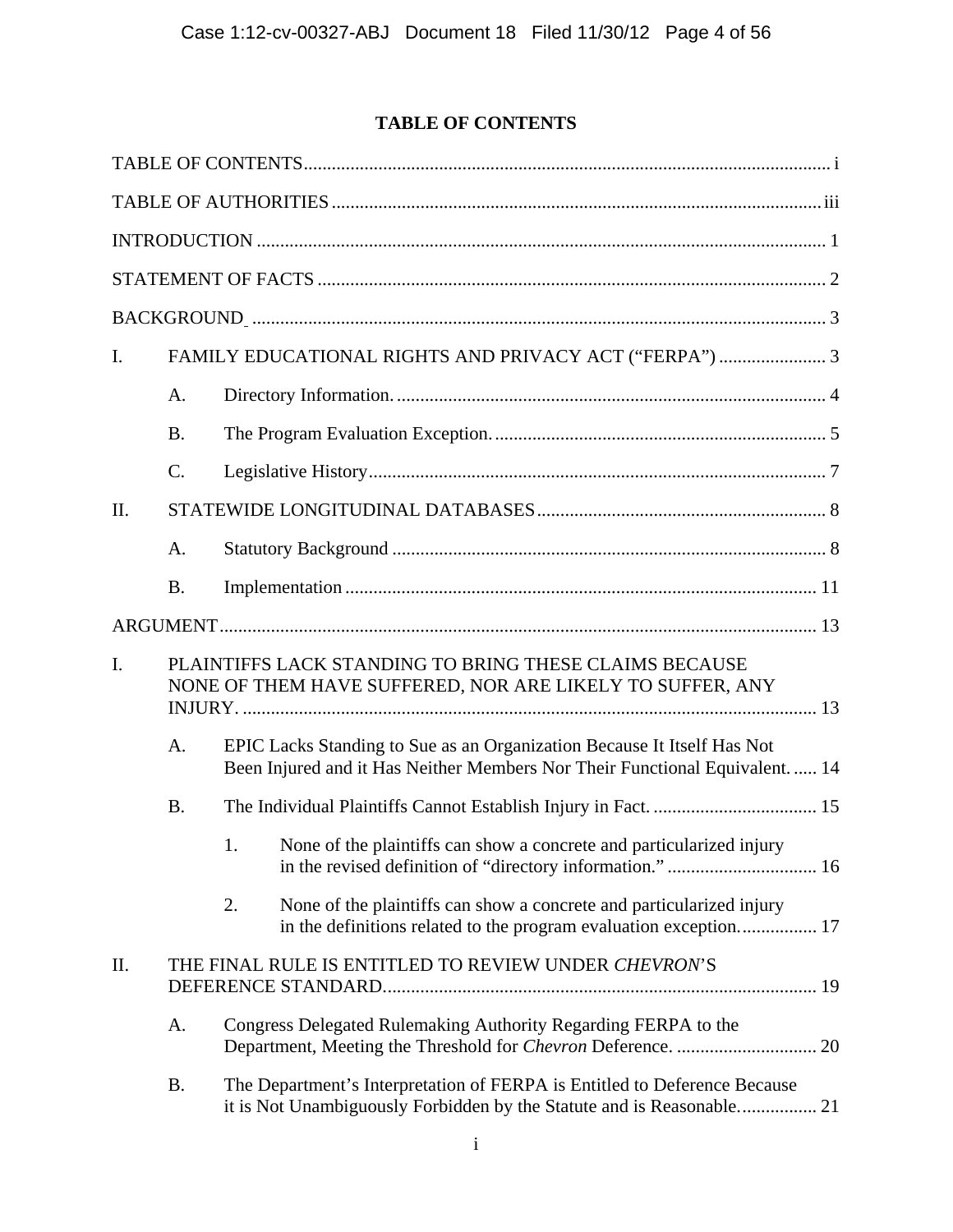# **TABLE OF CONTENTS**

| I.  | FAMILY EDUCATIONAL RIGHTS AND PRIVACY ACT ("FERPA")  3                                                              |                                                                                                                                                         |                                                                                                                                                    |  |  |  |  |
|-----|---------------------------------------------------------------------------------------------------------------------|---------------------------------------------------------------------------------------------------------------------------------------------------------|----------------------------------------------------------------------------------------------------------------------------------------------------|--|--|--|--|
|     | A.                                                                                                                  |                                                                                                                                                         |                                                                                                                                                    |  |  |  |  |
|     | <b>B.</b>                                                                                                           |                                                                                                                                                         |                                                                                                                                                    |  |  |  |  |
|     | $\mathcal{C}$ .                                                                                                     |                                                                                                                                                         |                                                                                                                                                    |  |  |  |  |
| II. |                                                                                                                     |                                                                                                                                                         |                                                                                                                                                    |  |  |  |  |
|     | A.                                                                                                                  |                                                                                                                                                         |                                                                                                                                                    |  |  |  |  |
|     | <b>B.</b>                                                                                                           |                                                                                                                                                         |                                                                                                                                                    |  |  |  |  |
|     |                                                                                                                     |                                                                                                                                                         |                                                                                                                                                    |  |  |  |  |
| I.  | PLAINTIFFS LACK STANDING TO BRING THESE CLAIMS BECAUSE<br>NONE OF THEM HAVE SUFFERED, NOR ARE LIKELY TO SUFFER, ANY |                                                                                                                                                         |                                                                                                                                                    |  |  |  |  |
|     | A.                                                                                                                  | EPIC Lacks Standing to Sue as an Organization Because It Itself Has Not<br>Been Injured and it Has Neither Members Nor Their Functional Equivalent.  14 |                                                                                                                                                    |  |  |  |  |
|     | <b>B.</b>                                                                                                           |                                                                                                                                                         |                                                                                                                                                    |  |  |  |  |
|     |                                                                                                                     |                                                                                                                                                         | 1. None of the plaintiffs can show a concrete and particularized injury<br>in the revised definition of "directory information." 16                |  |  |  |  |
|     |                                                                                                                     | 2.                                                                                                                                                      | None of the plaintiffs can show a concrete and particularized injury<br>in the definitions related to the program evaluation exception 17          |  |  |  |  |
| II. | THE FINAL RULE IS ENTITLED TO REVIEW UNDER CHEVRON'S                                                                |                                                                                                                                                         |                                                                                                                                                    |  |  |  |  |
|     | A.                                                                                                                  | Congress Delegated Rulemaking Authority Regarding FERPA to the                                                                                          |                                                                                                                                                    |  |  |  |  |
|     | <b>B.</b>                                                                                                           |                                                                                                                                                         | The Department's Interpretation of FERPA is Entitled to Deference Because<br>it is Not Unambiguously Forbidden by the Statute and is Reasonable 21 |  |  |  |  |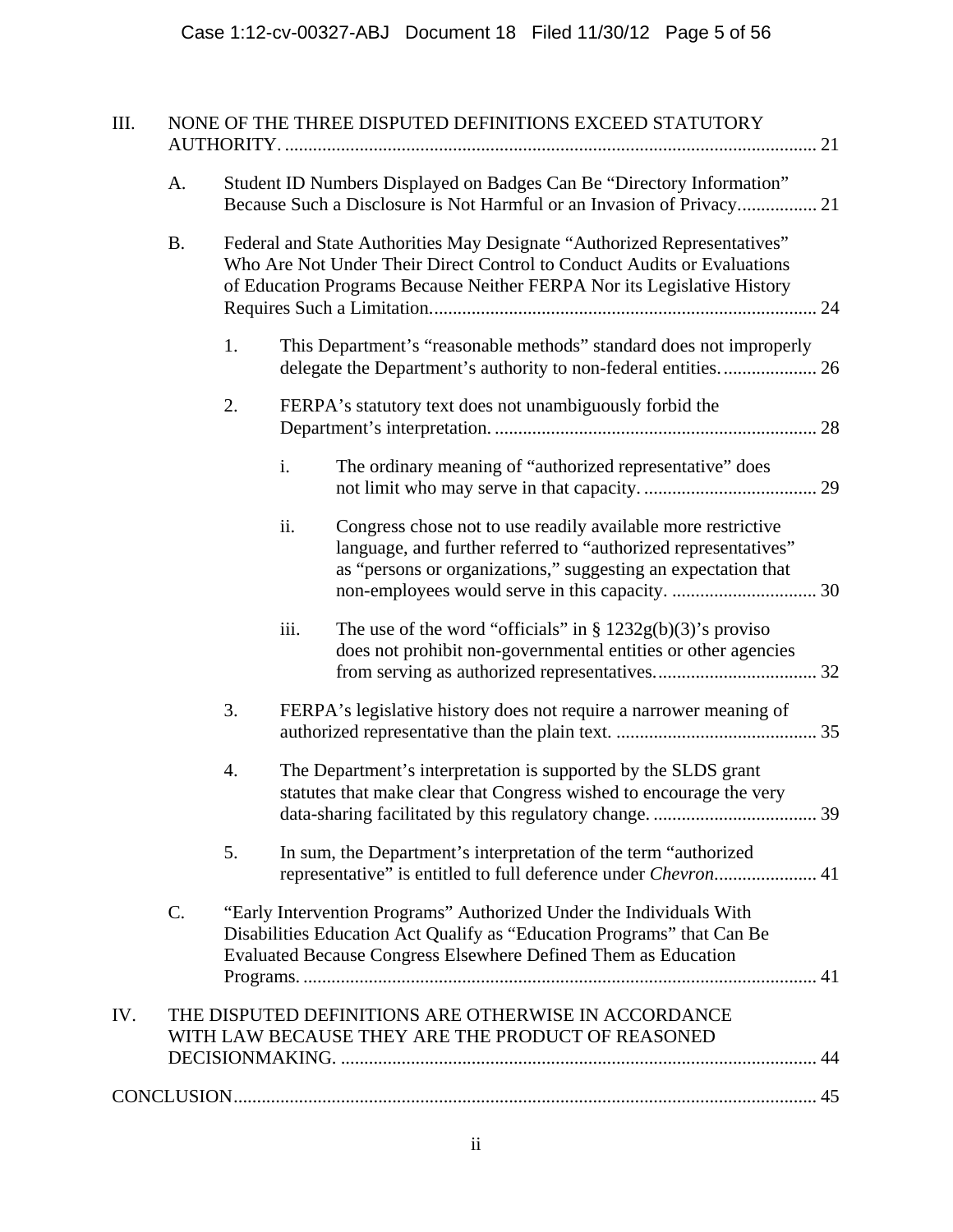| III. |           | NONE OF THE THREE DISPUTED DEFINITIONS EXCEED STATUTORY                                                                                                                                                                        |      |                                                                                                                                                                                                 |  |  |
|------|-----------|--------------------------------------------------------------------------------------------------------------------------------------------------------------------------------------------------------------------------------|------|-------------------------------------------------------------------------------------------------------------------------------------------------------------------------------------------------|--|--|
|      | A.        | Student ID Numbers Displayed on Badges Can Be "Directory Information"<br>Because Such a Disclosure is Not Harmful or an Invasion of Privacy 21                                                                                 |      |                                                                                                                                                                                                 |  |  |
|      | <b>B.</b> | Federal and State Authorities May Designate "Authorized Representatives"<br>Who Are Not Under Their Direct Control to Conduct Audits or Evaluations<br>of Education Programs Because Neither FERPA Nor its Legislative History |      |                                                                                                                                                                                                 |  |  |
|      |           | 1.                                                                                                                                                                                                                             |      | This Department's "reasonable methods" standard does not improperly                                                                                                                             |  |  |
|      |           | 2.                                                                                                                                                                                                                             |      | FERPA's statutory text does not unambiguously forbid the                                                                                                                                        |  |  |
|      |           |                                                                                                                                                                                                                                | i.   | The ordinary meaning of "authorized representative" does                                                                                                                                        |  |  |
|      |           |                                                                                                                                                                                                                                | ii.  | Congress chose not to use readily available more restrictive<br>language, and further referred to "authorized representatives"<br>as "persons or organizations," suggesting an expectation that |  |  |
|      |           |                                                                                                                                                                                                                                | iii. | The use of the word "officials" in $\S 1232g(b)(3)$ 's proviso<br>does not prohibit non-governmental entities or other agencies                                                                 |  |  |
|      |           | 3.                                                                                                                                                                                                                             |      | FERPA's legislative history does not require a narrower meaning of                                                                                                                              |  |  |
|      |           | 4.                                                                                                                                                                                                                             |      | The Department's interpretation is supported by the SLDS grant<br>statutes that make clear that Congress wished to encourage the very                                                           |  |  |
|      |           | 5.                                                                                                                                                                                                                             |      | In sum, the Department's interpretation of the term "authorized"<br>representative" is entitled to full deference under <i>Chevron</i> 41                                                       |  |  |
|      | C.        | "Early Intervention Programs" Authorized Under the Individuals With<br>Disabilities Education Act Qualify as "Education Programs" that Can Be<br>Evaluated Because Congress Elsewhere Defined Them as Education                |      |                                                                                                                                                                                                 |  |  |
| IV.  |           |                                                                                                                                                                                                                                |      | THE DISPUTED DEFINITIONS ARE OTHERWISE IN ACCORDANCE<br>WITH LAW BECAUSE THEY ARE THE PRODUCT OF REASONED                                                                                       |  |  |
|      |           |                                                                                                                                                                                                                                |      |                                                                                                                                                                                                 |  |  |
|      |           |                                                                                                                                                                                                                                |      |                                                                                                                                                                                                 |  |  |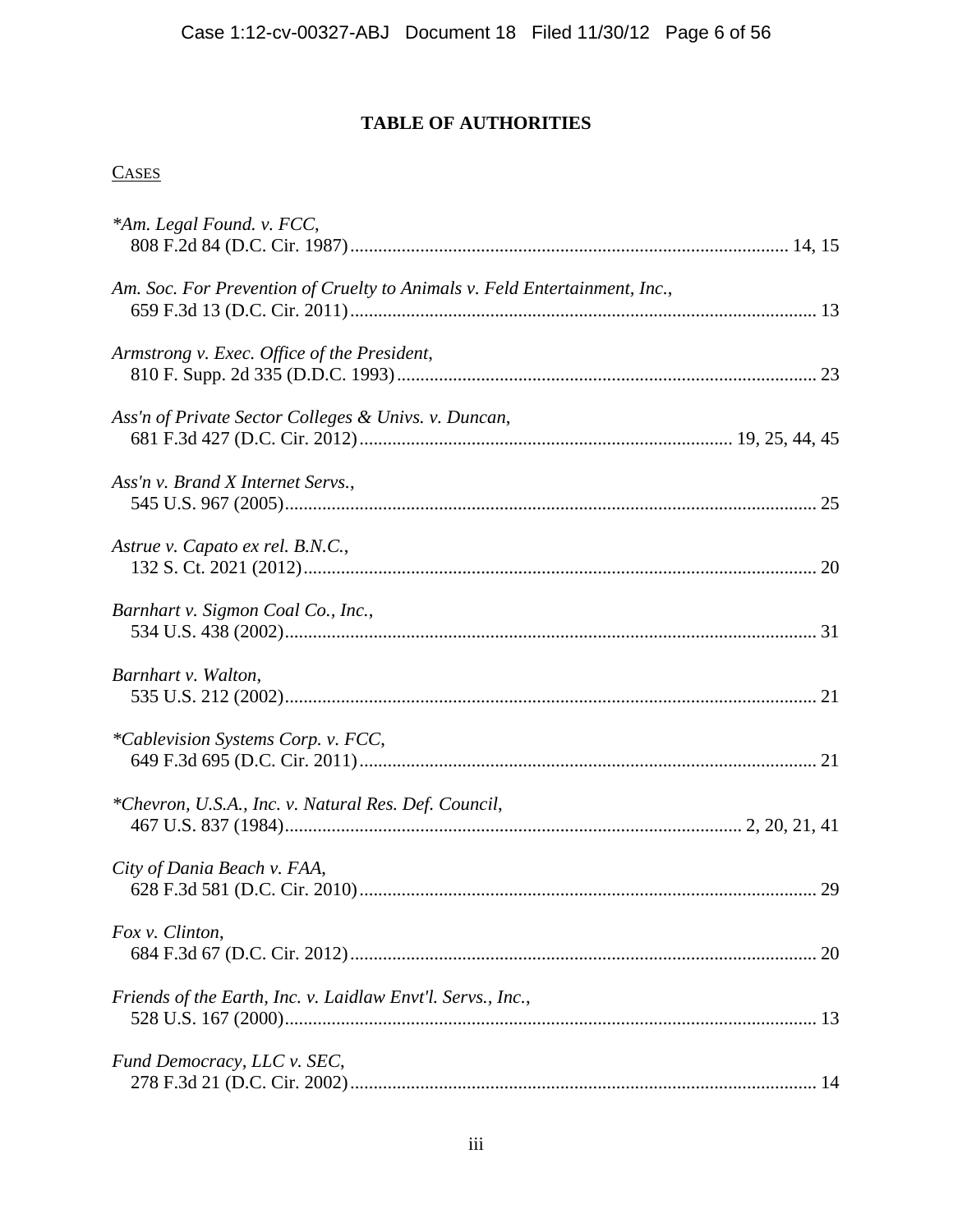# **TABLE OF AUTHORITIES**

# **CASES**

| *Am. Legal Found. v. FCC,                                                  |    |
|----------------------------------------------------------------------------|----|
| Am. Soc. For Prevention of Cruelty to Animals v. Feld Entertainment, Inc., |    |
| Armstrong v. Exec. Office of the President,                                |    |
| Ass'n of Private Sector Colleges & Univs. v. Duncan,                       |    |
| Ass'n v. Brand X Internet Servs.,                                          |    |
| Astrue v. Capato ex rel. B.N.C.,                                           |    |
| Barnhart v. Sigmon Coal Co., Inc.,                                         |    |
| Barnhart v. Walton,                                                        |    |
| <i>*Cablevision Systems Corp. v. FCC,</i>                                  |    |
| *Chevron, U.S.A., Inc. v. Natural Res. Def. Council,                       |    |
| City of Dania Beach v. FAA,                                                |    |
| Fox v. Clinton,                                                            | 20 |
| Friends of the Earth, Inc. v. Laidlaw Envt'l. Servs., Inc.,                |    |
| Fund Democracy, LLC v. SEC,                                                |    |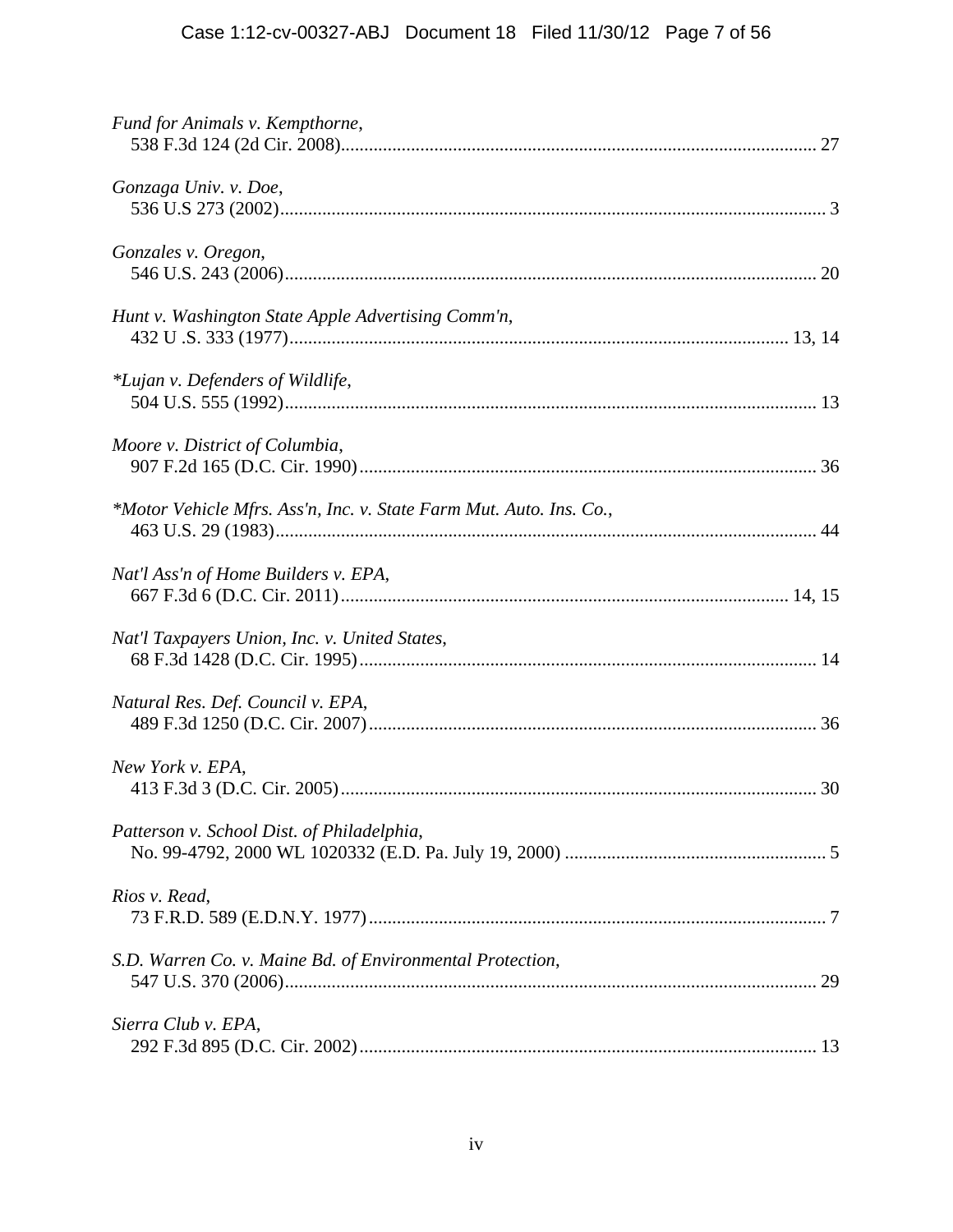| Fund for Animals v. Kempthorne,                                     |
|---------------------------------------------------------------------|
| Gonzaga Univ. v. Doe,                                               |
| Gonzales v. Oregon,                                                 |
| Hunt v. Washington State Apple Advertising Comm'n,                  |
| *Lujan v. Defenders of Wildlife,                                    |
| Moore v. District of Columbia,                                      |
| *Motor Vehicle Mfrs. Ass'n, Inc. v. State Farm Mut. Auto. Ins. Co., |
| Nat'l Ass'n of Home Builders v. EPA,                                |
| Nat'l Taxpayers Union, Inc. v. United States,                       |
| Natural Res. Def. Council v. EPA,                                   |
| New York v. EPA,                                                    |
| Patterson v. School Dist. of Philadelphia,                          |
| Rios v. Read,                                                       |
| S.D. Warren Co. v. Maine Bd. of Environmental Protection,           |
| Sierra Club v. EPA,                                                 |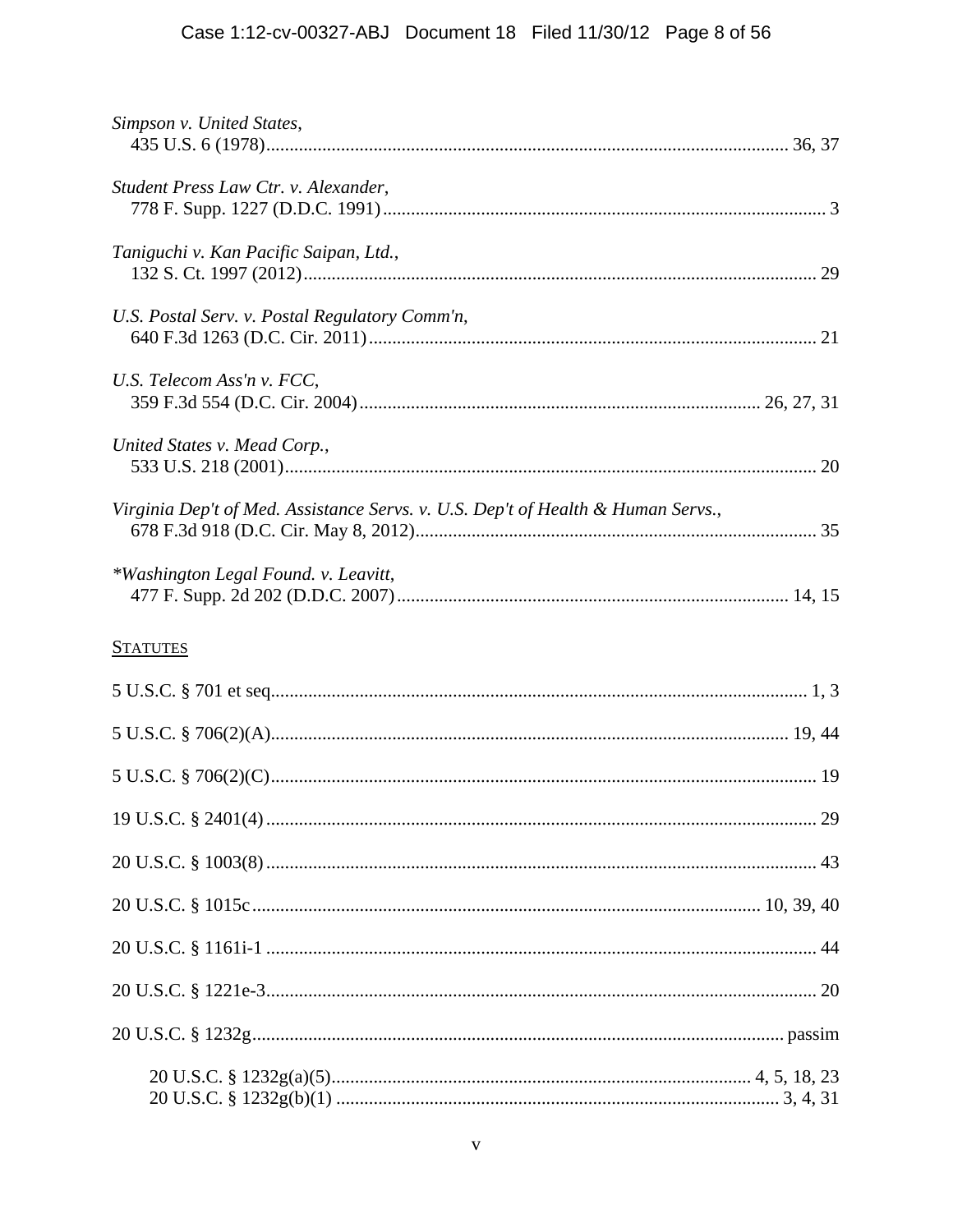# Case 1:12-cv-00327-ABJ Document 18 Filed 11/30/12 Page 8 of 56

| Simpson v. United States,                                                        |  |
|----------------------------------------------------------------------------------|--|
| Student Press Law Ctr. v. Alexander,                                             |  |
| Taniguchi v. Kan Pacific Saipan, Ltd.,                                           |  |
| U.S. Postal Serv. v. Postal Regulatory Comm'n,                                   |  |
| U.S. Telecom Ass'n v. FCC,                                                       |  |
| United States v. Mead Corp.,                                                     |  |
| Virginia Dep't of Med. Assistance Servs. v. U.S. Dep't of Health & Human Servs., |  |
| *Washington Legal Found. v. Leavitt,                                             |  |
| <b>STATUTES</b>                                                                  |  |
|                                                                                  |  |
|                                                                                  |  |
|                                                                                  |  |
|                                                                                  |  |
|                                                                                  |  |
|                                                                                  |  |
|                                                                                  |  |
|                                                                                  |  |
|                                                                                  |  |
|                                                                                  |  |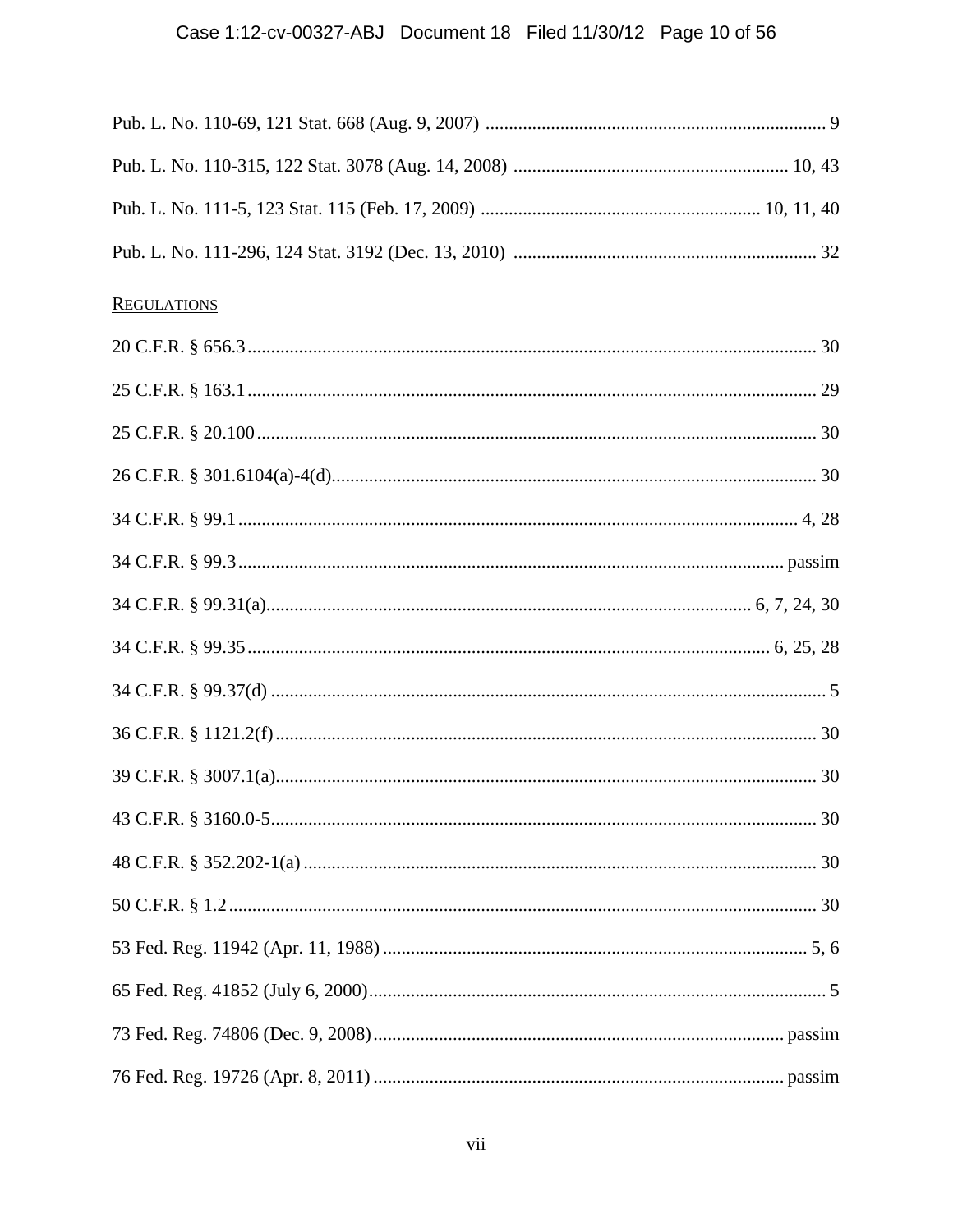# Case 1:12-cv-00327-ABJ Document 18 Filed 11/30/12 Page 10 of 56

| <b>REGULATIONS</b> |  |
|--------------------|--|
|                    |  |
|                    |  |
|                    |  |
|                    |  |
|                    |  |
|                    |  |
|                    |  |
|                    |  |
|                    |  |
|                    |  |
|                    |  |
|                    |  |
|                    |  |
|                    |  |
|                    |  |
|                    |  |
|                    |  |
|                    |  |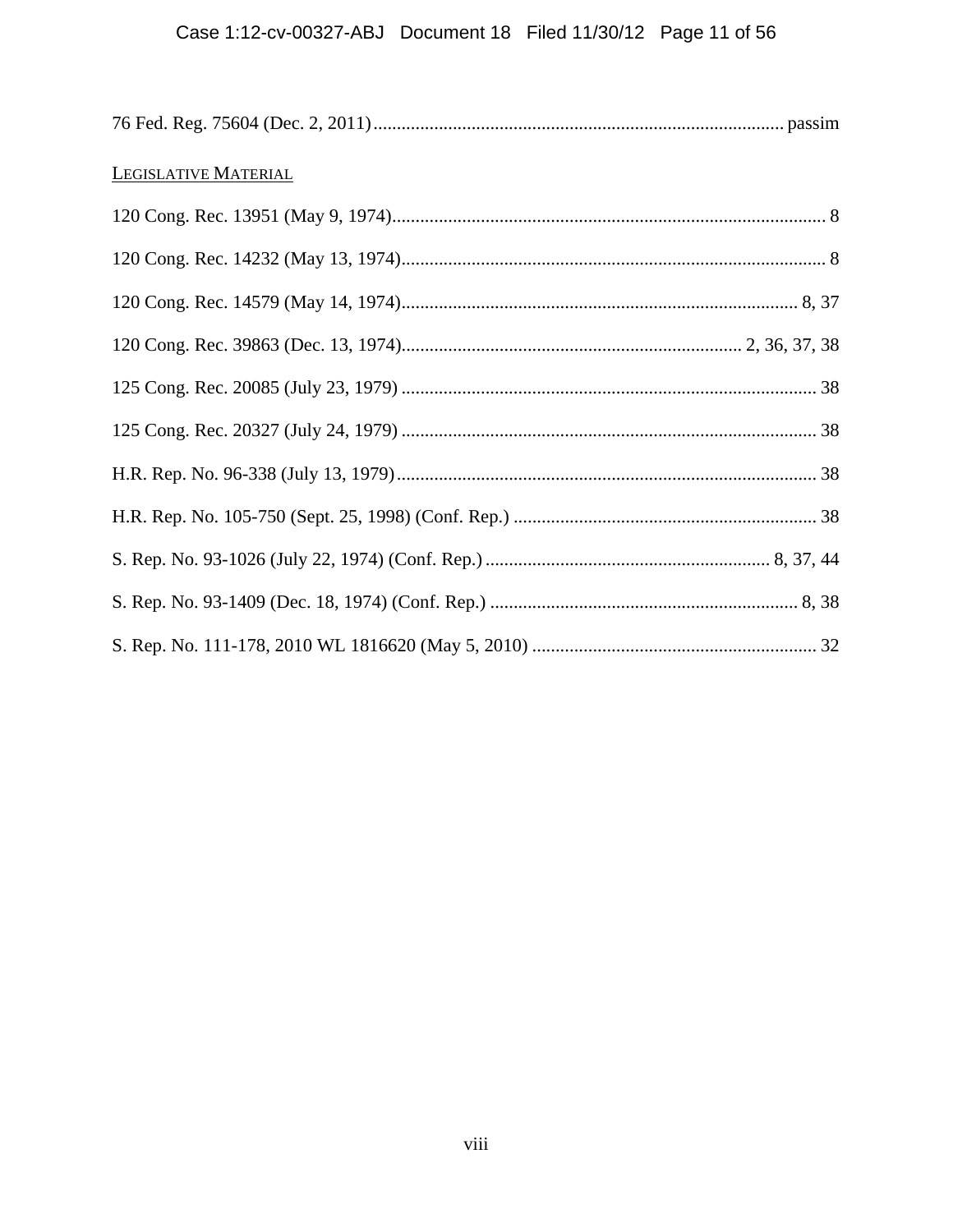# Case 1:12-cv-00327-ABJ Document 18 Filed 11/30/12 Page 11 of 56

| LEGISLATIVE MATERIAL |  |
|----------------------|--|
|                      |  |
|                      |  |
|                      |  |
|                      |  |
|                      |  |
|                      |  |
|                      |  |
|                      |  |
|                      |  |
|                      |  |
|                      |  |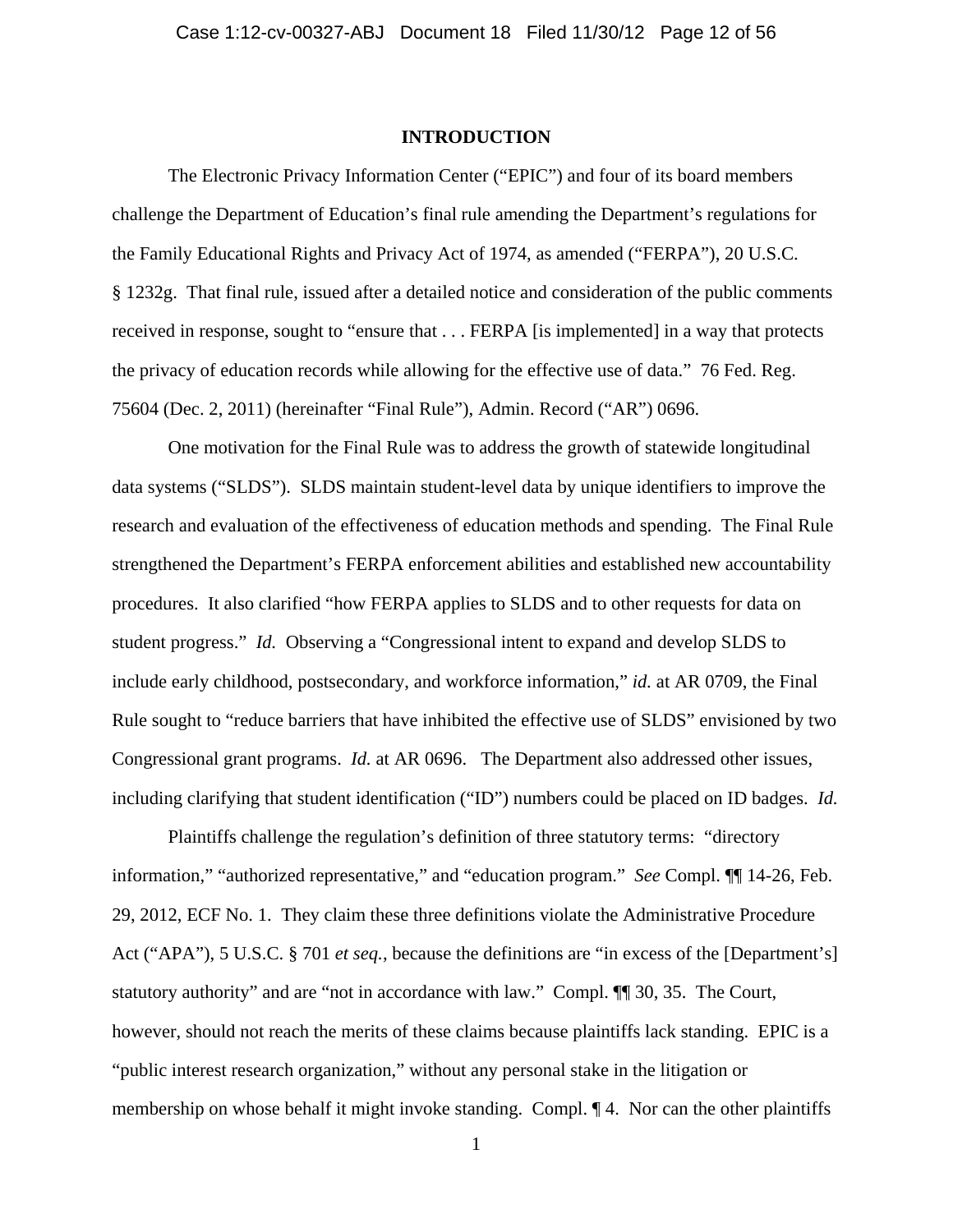### **INTRODUCTION**

The Electronic Privacy Information Center ("EPIC") and four of its board members challenge the Department of Education's final rule amending the Department's regulations for the Family Educational Rights and Privacy Act of 1974, as amended ("FERPA"), 20 U.S.C. § 1232g. That final rule, issued after a detailed notice and consideration of the public comments received in response, sought to "ensure that . . . FERPA [is implemented] in a way that protects the privacy of education records while allowing for the effective use of data." 76 Fed. Reg. 75604 (Dec. 2, 2011) (hereinafter "Final Rule"), Admin. Record ("AR") 0696.

One motivation for the Final Rule was to address the growth of statewide longitudinal data systems ("SLDS"). SLDS maintain student-level data by unique identifiers to improve the research and evaluation of the effectiveness of education methods and spending. The Final Rule strengthened the Department's FERPA enforcement abilities and established new accountability procedures. It also clarified "how FERPA applies to SLDS and to other requests for data on student progress." *Id.* Observing a "Congressional intent to expand and develop SLDS to include early childhood, postsecondary, and workforce information," *id.* at AR 0709, the Final Rule sought to "reduce barriers that have inhibited the effective use of SLDS" envisioned by two Congressional grant programs. *Id.* at AR 0696. The Department also addressed other issues, including clarifying that student identification ("ID") numbers could be placed on ID badges. *Id.*

Plaintiffs challenge the regulation's definition of three statutory terms: "directory information," "authorized representative," and "education program." *See* Compl. ¶¶ 14-26, Feb. 29, 2012, ECF No. 1. They claim these three definitions violate the Administrative Procedure Act ("APA"), 5 U.S.C. § 701 *et seq.*, because the definitions are "in excess of the [Department's] statutory authority" and are "not in accordance with law." Compl. ¶¶ 30, 35. The Court, however, should not reach the merits of these claims because plaintiffs lack standing. EPIC is a "public interest research organization," without any personal stake in the litigation or membership on whose behalf it might invoke standing. Compl. ¶ 4. Nor can the other plaintiffs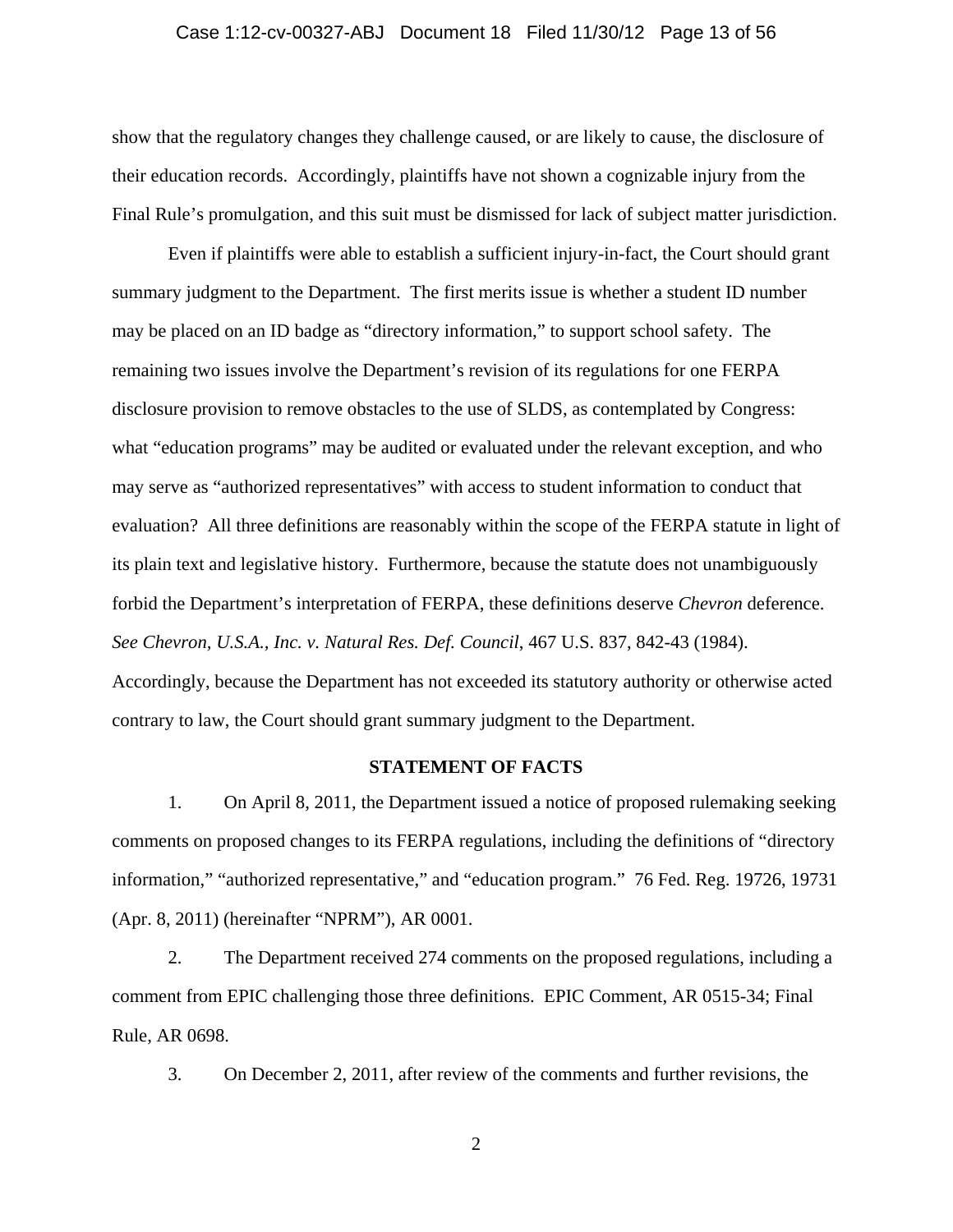#### Case 1:12-cv-00327-ABJ Document 18 Filed 11/30/12 Page 13 of 56

show that the regulatory changes they challenge caused, or are likely to cause, the disclosure of their education records. Accordingly, plaintiffs have not shown a cognizable injury from the Final Rule's promulgation, and this suit must be dismissed for lack of subject matter jurisdiction.

Even if plaintiffs were able to establish a sufficient injury-in-fact, the Court should grant summary judgment to the Department. The first merits issue is whether a student ID number may be placed on an ID badge as "directory information," to support school safety. The remaining two issues involve the Department's revision of its regulations for one FERPA disclosure provision to remove obstacles to the use of SLDS, as contemplated by Congress: what "education programs" may be audited or evaluated under the relevant exception, and who may serve as "authorized representatives" with access to student information to conduct that evaluation? All three definitions are reasonably within the scope of the FERPA statute in light of its plain text and legislative history. Furthermore, because the statute does not unambiguously forbid the Department's interpretation of FERPA, these definitions deserve *Chevron* deference. *See Chevron, U.S.A., Inc. v. Natural Res. Def. Council*, 467 U.S. 837, 842-43 (1984). Accordingly, because the Department has not exceeded its statutory authority or otherwise acted contrary to law, the Court should grant summary judgment to the Department.

#### **STATEMENT OF FACTS**

1. On April 8, 2011, the Department issued a notice of proposed rulemaking seeking comments on proposed changes to its FERPA regulations, including the definitions of "directory information," "authorized representative," and "education program." 76 Fed. Reg. 19726, 19731 (Apr. 8, 2011) (hereinafter "NPRM"), AR 0001.

2. The Department received 274 comments on the proposed regulations, including a comment from EPIC challenging those three definitions. EPIC Comment, AR 0515-34; Final Rule, AR 0698.

3. On December 2, 2011, after review of the comments and further revisions, the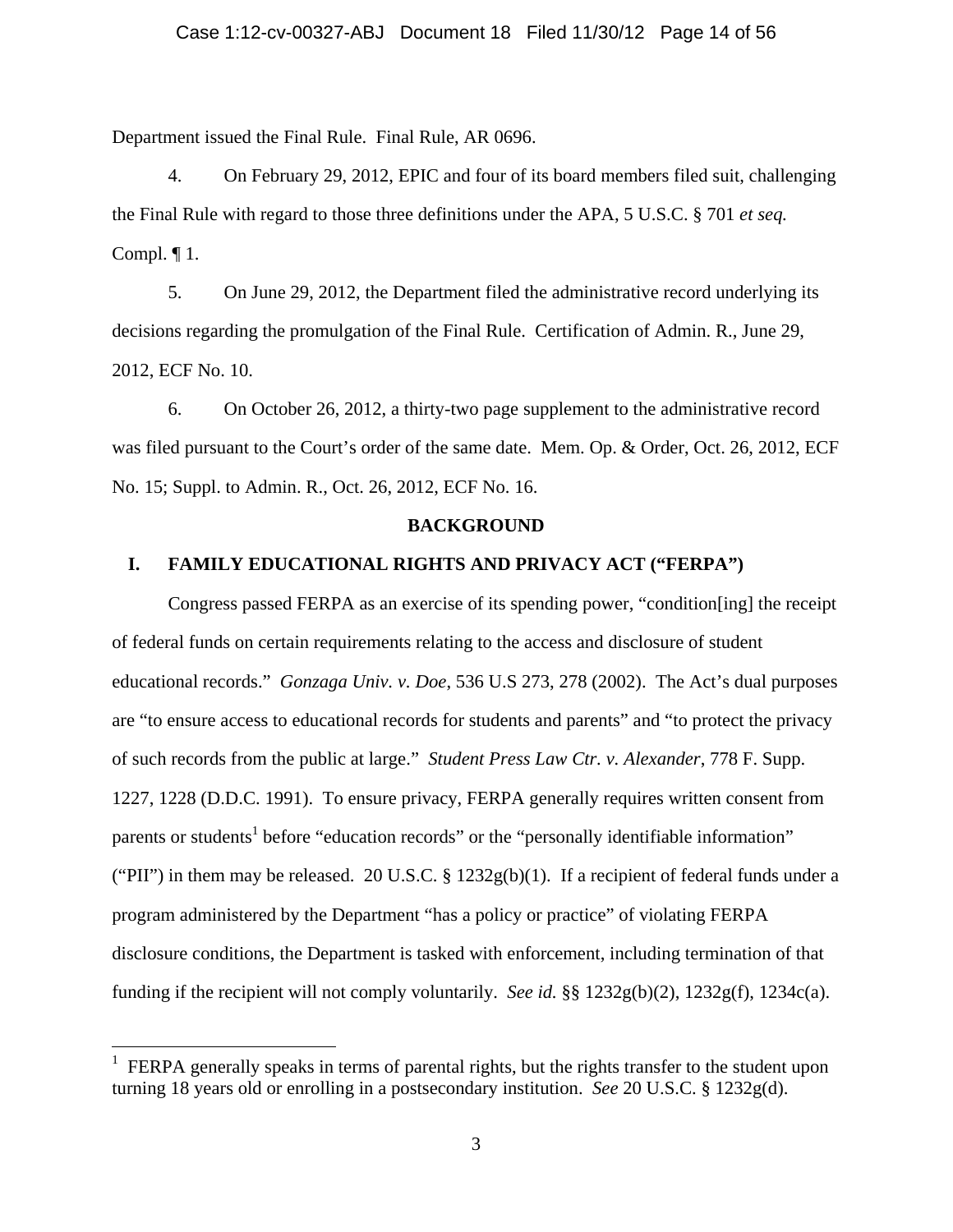Department issued the Final Rule. Final Rule, AR 0696.

4. On February 29, 2012, EPIC and four of its board members filed suit, challenging the Final Rule with regard to those three definitions under the APA, 5 U.S.C. § 701 *et seq.*  Compl.  $\P$ 1.

5. On June 29, 2012, the Department filed the administrative record underlying its decisions regarding the promulgation of the Final Rule. Certification of Admin. R., June 29, 2012, ECF No. 10.

6. On October 26, 2012, a thirty-two page supplement to the administrative record was filed pursuant to the Court's order of the same date. Mem. Op. & Order, Oct. 26, 2012, ECF No. 15; Suppl. to Admin. R., Oct. 26, 2012, ECF No. 16.

#### **BACKGROUND**

# **I. FAMILY EDUCATIONAL RIGHTS AND PRIVACY ACT ("FERPA")**

Congress passed FERPA as an exercise of its spending power, "condition[ing] the receipt of federal funds on certain requirements relating to the access and disclosure of student educational records." *Gonzaga Univ. v. Doe*, 536 U.S 273, 278 (2002). The Act's dual purposes are "to ensure access to educational records for students and parents" and "to protect the privacy of such records from the public at large." *Student Press Law Ctr. v. Alexander*, 778 F. Supp. 1227, 1228 (D.D.C. 1991). To ensure privacy, FERPA generally requires written consent from parents or students<sup>1</sup> before "education records" or the "personally identifiable information" ("PII") in them may be released. 20 U.S.C.  $\S 1232g(b)(1)$ . If a recipient of federal funds under a program administered by the Department "has a policy or practice" of violating FERPA disclosure conditions, the Department is tasked with enforcement, including termination of that funding if the recipient will not comply voluntarily. *See id.* §§ 1232g(b)(2), 1232g(f), 1234c(a).

 $\overline{a}$ 

<sup>1</sup> FERPA generally speaks in terms of parental rights, but the rights transfer to the student upon turning 18 years old or enrolling in a postsecondary institution. *See* 20 U.S.C. § 1232g(d).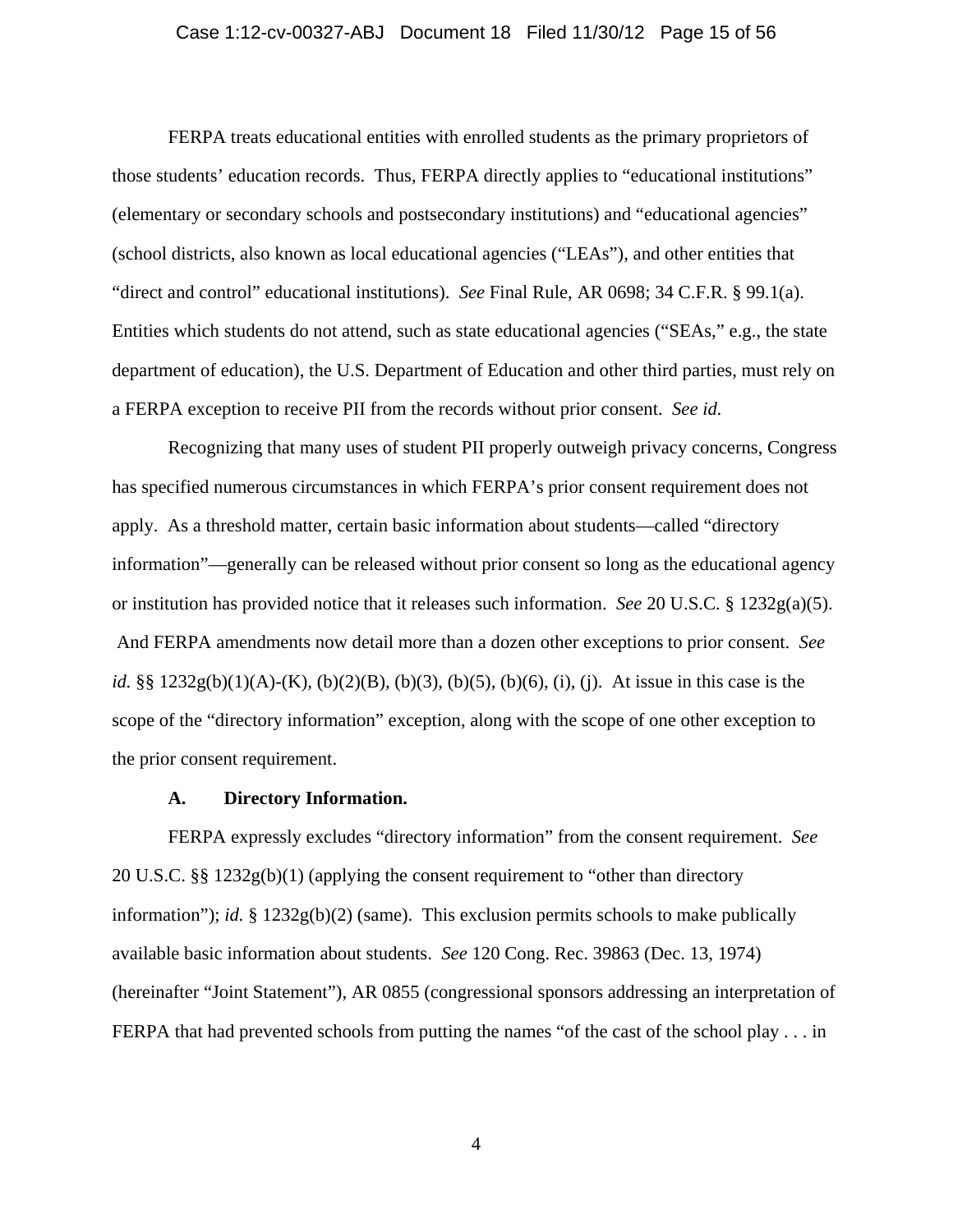#### Case 1:12-cv-00327-ABJ Document 18 Filed 11/30/12 Page 15 of 56

FERPA treats educational entities with enrolled students as the primary proprietors of those students' education records. Thus, FERPA directly applies to "educational institutions" (elementary or secondary schools and postsecondary institutions) and "educational agencies" (school districts, also known as local educational agencies ("LEAs"), and other entities that "direct and control" educational institutions). *See* Final Rule, AR 0698; 34 C.F.R. § 99.1(a). Entities which students do not attend, such as state educational agencies ("SEAs," e.g., the state department of education), the U.S. Department of Education and other third parties, must rely on a FERPA exception to receive PII from the records without prior consent. *See id.*

Recognizing that many uses of student PII properly outweigh privacy concerns, Congress has specified numerous circumstances in which FERPA's prior consent requirement does not apply. As a threshold matter, certain basic information about students—called "directory information"—generally can be released without prior consent so long as the educational agency or institution has provided notice that it releases such information. *See* 20 U.S.C. § 1232g(a)(5). And FERPA amendments now detail more than a dozen other exceptions to prior consent. *See id.* §§ 1232g(b)(1)(A)-(K), (b)(2)(B), (b)(3), (b)(5), (b)(6), (i), (j). At issue in this case is the scope of the "directory information" exception, along with the scope of one other exception to the prior consent requirement.

### **A. Directory Information.**

FERPA expressly excludes "directory information" from the consent requirement. *See* 20 U.S.C. §§ 1232g(b)(1) (applying the consent requirement to "other than directory information"); *id.* § 1232g(b)(2) (same). This exclusion permits schools to make publically available basic information about students. *See* 120 Cong. Rec. 39863 (Dec. 13, 1974) (hereinafter "Joint Statement"), AR 0855 (congressional sponsors addressing an interpretation of FERPA that had prevented schools from putting the names "of the cast of the school play . . . in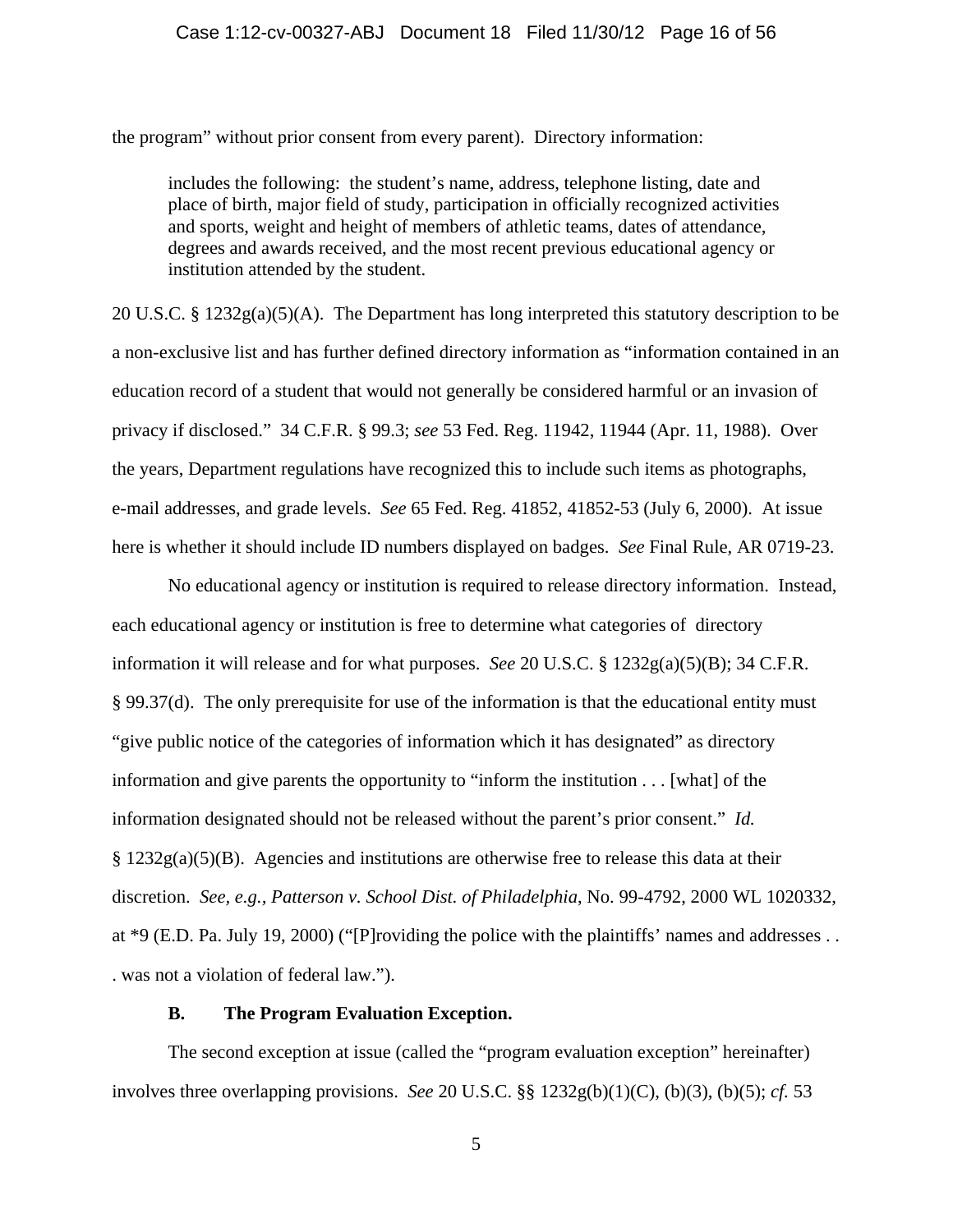the program" without prior consent from every parent). Directory information:

includes the following: the student's name, address, telephone listing, date and place of birth, major field of study, participation in officially recognized activities and sports, weight and height of members of athletic teams, dates of attendance, degrees and awards received, and the most recent previous educational agency or institution attended by the student.

20 U.S.C. § 1232g(a)(5)(A). The Department has long interpreted this statutory description to be a non-exclusive list and has further defined directory information as "information contained in an education record of a student that would not generally be considered harmful or an invasion of privacy if disclosed." 34 C.F.R. § 99.3; *see* 53 Fed. Reg. 11942, 11944 (Apr. 11, 1988). Over the years, Department regulations have recognized this to include such items as photographs, e-mail addresses, and grade levels. *See* 65 Fed. Reg. 41852, 41852-53 (July 6, 2000). At issue here is whether it should include ID numbers displayed on badges. *See* Final Rule, AR 0719-23.

No educational agency or institution is required to release directory information. Instead, each educational agency or institution is free to determine what categories of directory information it will release and for what purposes. *See* 20 U.S.C. § 1232g(a)(5)(B); 34 C.F.R. § 99.37(d). The only prerequisite for use of the information is that the educational entity must "give public notice of the categories of information which it has designated" as directory information and give parents the opportunity to "inform the institution . . . [what] of the information designated should not be released without the parent's prior consent." *Id.*  $\S 1232g(a)(5)(B)$ . Agencies and institutions are otherwise free to release this data at their discretion. *See, e.g., Patterson v. School Dist. of Philadelphia*, No. 99-4792, 2000 WL 1020332, at \*9 (E.D. Pa. July 19, 2000) ("[P]roviding the police with the plaintiffs' names and addresses . . . was not a violation of federal law.").

### **B. The Program Evaluation Exception.**

The second exception at issue (called the "program evaluation exception" hereinafter) involves three overlapping provisions. *See* 20 U.S.C. §§ 1232g(b)(1)(C), (b)(3), (b)(5); *cf.* 53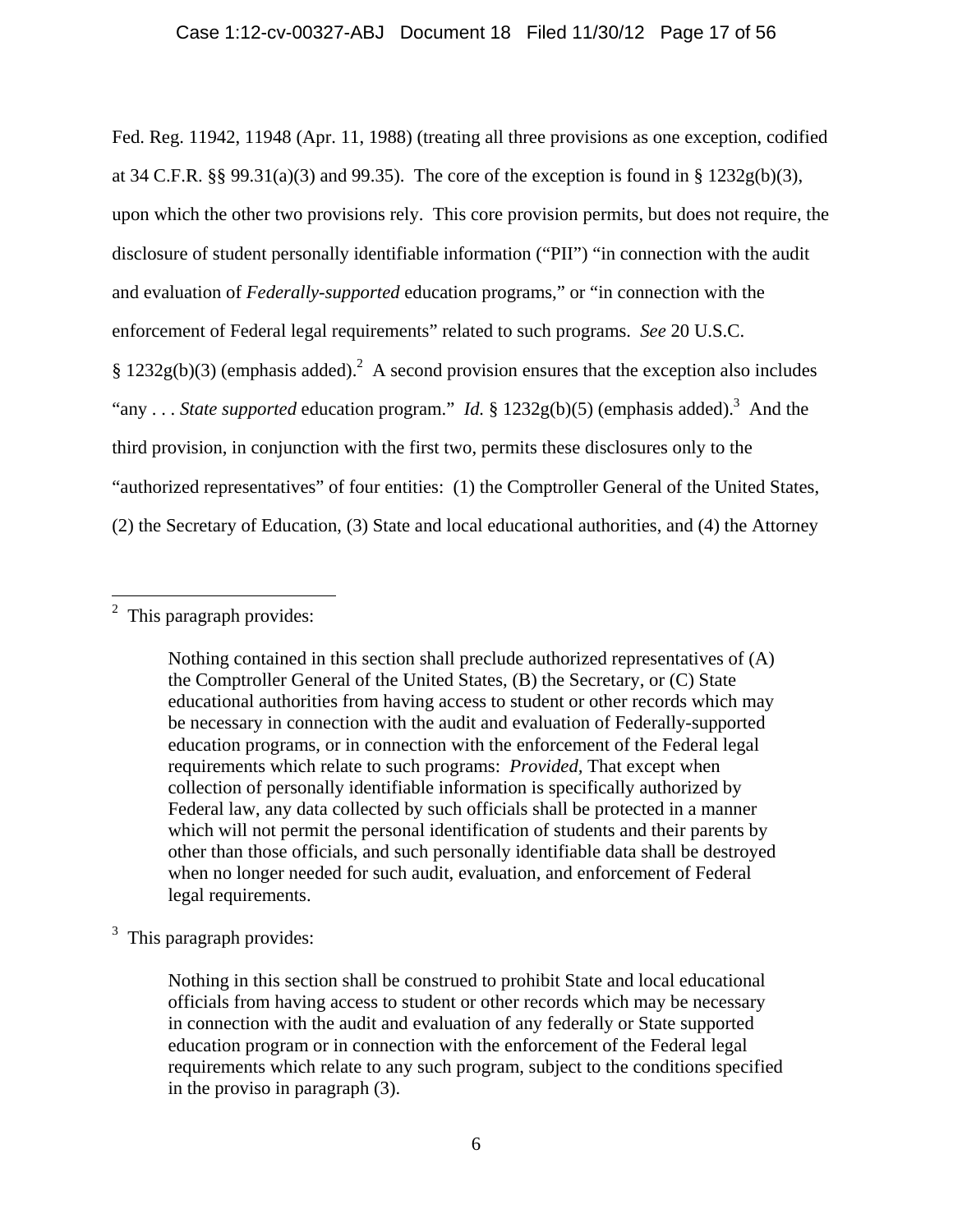Fed. Reg. 11942, 11948 (Apr. 11, 1988) (treating all three provisions as one exception, codified at 34 C.F.R. §§ 99.31(a)(3) and 99.35). The core of the exception is found in §  $1232g(b)(3)$ , upon which the other two provisions rely. This core provision permits, but does not require, the disclosure of student personally identifiable information ("PII") "in connection with the audit and evaluation of *Federally-supported* education programs," or "in connection with the enforcement of Federal legal requirements" related to such programs. *See* 20 U.S.C. § 1232g(b)(3) (emphasis added).<sup>2</sup> A second provision ensures that the exception also includes "any . . . *State supported* education program." *Id.* § 1232g(b)(5) (emphasis added).<sup>3</sup> And the third provision, in conjunction with the first two, permits these disclosures only to the "authorized representatives" of four entities: (1) the Comptroller General of the United States, (2) the Secretary of Education, (3) State and local educational authorities, and (4) the Attorney

Nothing contained in this section shall preclude authorized representatives of (A) the Comptroller General of the United States, (B) the Secretary, or (C) State educational authorities from having access to student or other records which may be necessary in connection with the audit and evaluation of Federally-supported education programs, or in connection with the enforcement of the Federal legal requirements which relate to such programs: *Provided,* That except when collection of personally identifiable information is specifically authorized by Federal law, any data collected by such officials shall be protected in a manner which will not permit the personal identification of students and their parents by other than those officials, and such personally identifiable data shall be destroyed when no longer needed for such audit, evaluation, and enforcement of Federal legal requirements.

<sup>3</sup> This paragraph provides:

Nothing in this section shall be construed to prohibit State and local educational officials from having access to student or other records which may be necessary in connection with the audit and evaluation of any federally or State supported education program or in connection with the enforcement of the Federal legal requirements which relate to any such program, subject to the conditions specified in the proviso in paragraph (3).

<sup>&</sup>lt;sup>2</sup> This paragraph provides: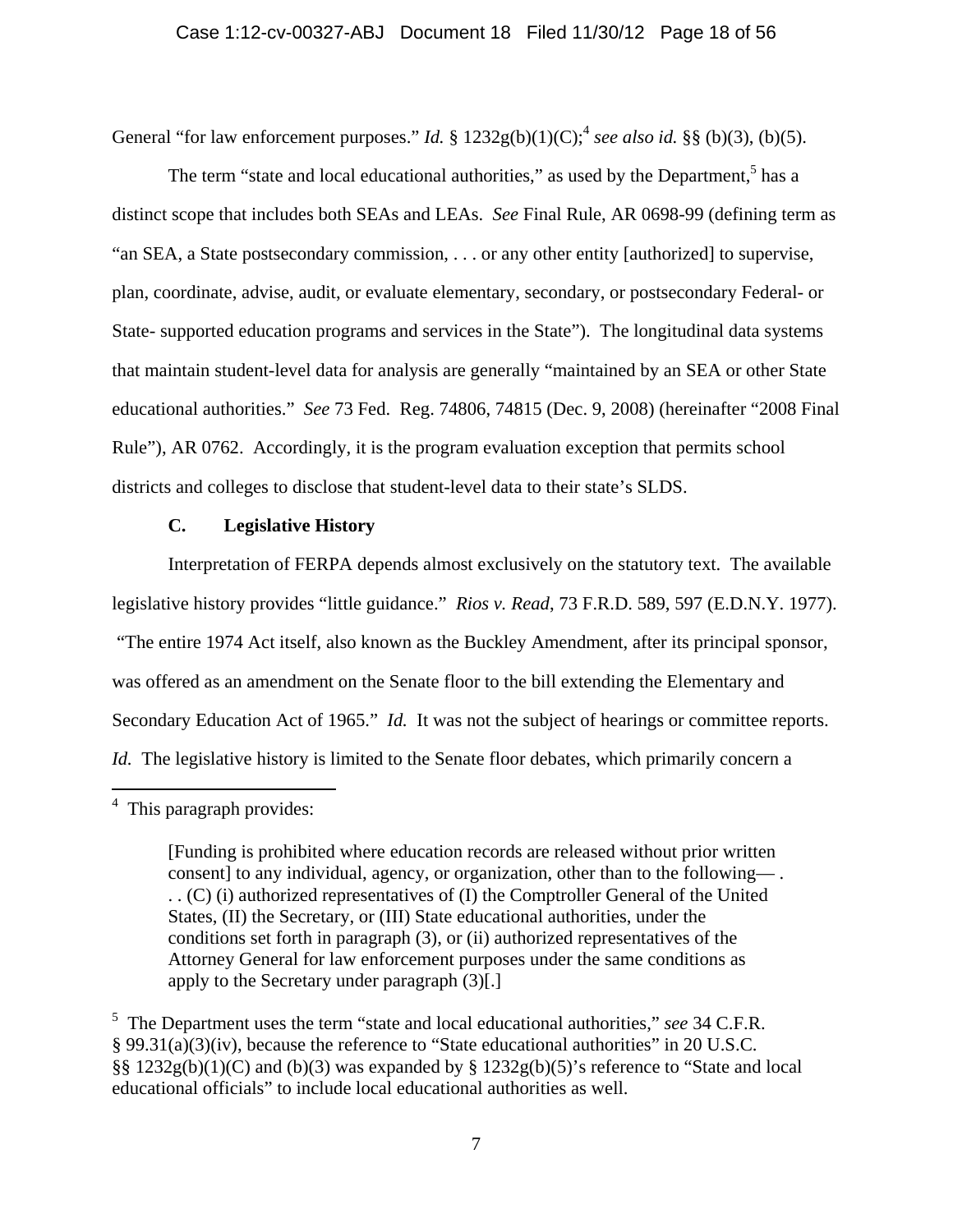General "for law enforcement purposes." *Id.* §  $1232g(b)(1)(C)$ ; see also *id.* §§ (b)(3), (b)(5).

The term "state and local educational authorities," as used by the Department,<sup>5</sup> has a distinct scope that includes both SEAs and LEAs. *See* Final Rule, AR 0698-99 (defining term as "an SEA, a State postsecondary commission, . . . or any other entity [authorized] to supervise, plan, coordinate, advise, audit, or evaluate elementary, secondary, or postsecondary Federal- or State- supported education programs and services in the State"). The longitudinal data systems that maintain student-level data for analysis are generally "maintained by an SEA or other State educational authorities." *See* 73 Fed. Reg. 74806, 74815 (Dec. 9, 2008) (hereinafter "2008 Final Rule"), AR 0762. Accordingly, it is the program evaluation exception that permits school districts and colleges to disclose that student-level data to their state's SLDS.

## **C. Legislative History**

Interpretation of FERPA depends almost exclusively on the statutory text. The available legislative history provides "little guidance." *Rios v. Read*, 73 F.R.D. 589, 597 (E.D.N.Y. 1977). "The entire 1974 Act itself, also known as the Buckley Amendment, after its principal sponsor, was offered as an amendment on the Senate floor to the bill extending the Elementary and Secondary Education Act of 1965." *Id.* It was not the subject of hearings or committee reports. *Id.* The legislative history is limited to the Senate floor debates, which primarily concern a

 4 This paragraph provides:

<sup>[</sup>Funding is prohibited where education records are released without prior written consent] to any individual, agency, or organization, other than to the following— . . . (C) (i) authorized representatives of (I) the Comptroller General of the United States, (II) the Secretary, or (III) State educational authorities, under the conditions set forth in paragraph (3), or (ii) authorized representatives of the Attorney General for law enforcement purposes under the same conditions as apply to the Secretary under paragraph (3)[.]

<sup>5</sup> The Department uses the term "state and local educational authorities," *see* 34 C.F.R. § 99.31(a)(3)(iv), because the reference to "State educational authorities" in 20 U.S.C. §§ 1232g(b)(1)(C) and (b)(3) was expanded by § 1232g(b)(5)'s reference to "State and local educational officials" to include local educational authorities as well.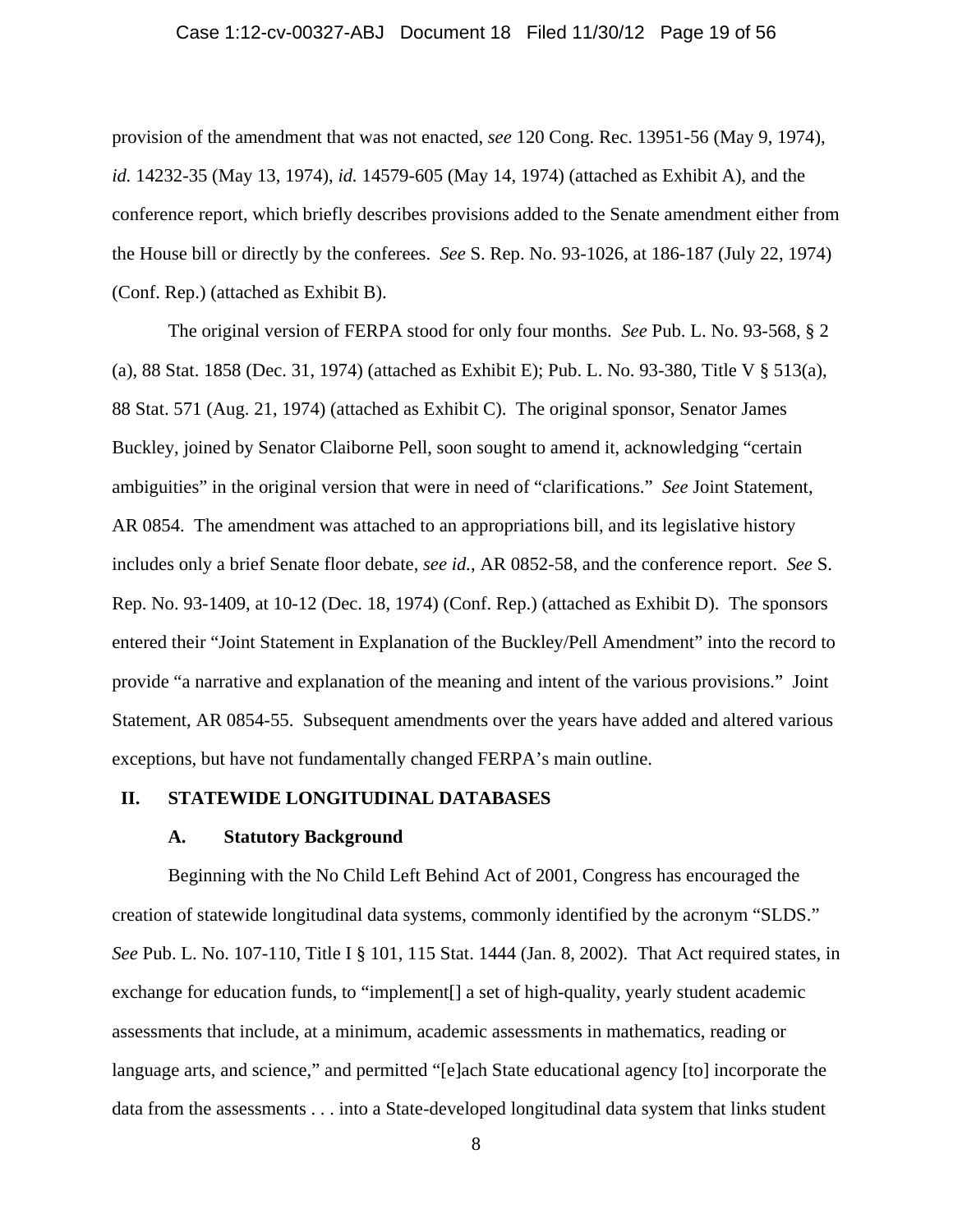#### Case 1:12-cv-00327-ABJ Document 18 Filed 11/30/12 Page 19 of 56

provision of the amendment that was not enacted, *see* 120 Cong. Rec. 13951-56 (May 9, 1974), *id.* 14232-35 (May 13, 1974), *id.* 14579-605 (May 14, 1974) (attached as Exhibit A), and the conference report, which briefly describes provisions added to the Senate amendment either from the House bill or directly by the conferees. *See* S. Rep. No. 93-1026, at 186-187 (July 22, 1974) (Conf. Rep.) (attached as Exhibit B).

The original version of FERPA stood for only four months. *See* Pub. L. No. 93-568, § 2 (a), 88 Stat. 1858 (Dec. 31, 1974) (attached as Exhibit E); Pub. L. No. 93-380, Title V § 513(a), 88 Stat. 571 (Aug. 21, 1974) (attached as Exhibit C). The original sponsor, Senator James Buckley, joined by Senator Claiborne Pell, soon sought to amend it, acknowledging "certain ambiguities" in the original version that were in need of "clarifications." *See* Joint Statement, AR 0854. The amendment was attached to an appropriations bill, and its legislative history includes only a brief Senate floor debate, *see id.*, AR 0852-58, and the conference report. *See* S. Rep. No. 93-1409, at 10-12 (Dec. 18, 1974) (Conf. Rep.) (attached as Exhibit D). The sponsors entered their "Joint Statement in Explanation of the Buckley/Pell Amendment" into the record to provide "a narrative and explanation of the meaning and intent of the various provisions." Joint Statement, AR 0854-55. Subsequent amendments over the years have added and altered various exceptions, but have not fundamentally changed FERPA's main outline.

### **II. STATEWIDE LONGITUDINAL DATABASES**

### **A. Statutory Background**

Beginning with the No Child Left Behind Act of 2001, Congress has encouraged the creation of statewide longitudinal data systems, commonly identified by the acronym "SLDS." *See* Pub. L. No. 107-110, Title I § 101, 115 Stat. 1444 (Jan. 8, 2002). That Act required states, in exchange for education funds, to "implement[] a set of high-quality, yearly student academic assessments that include, at a minimum, academic assessments in mathematics, reading or language arts, and science," and permitted "[e]ach State educational agency [to] incorporate the data from the assessments . . . into a State-developed longitudinal data system that links student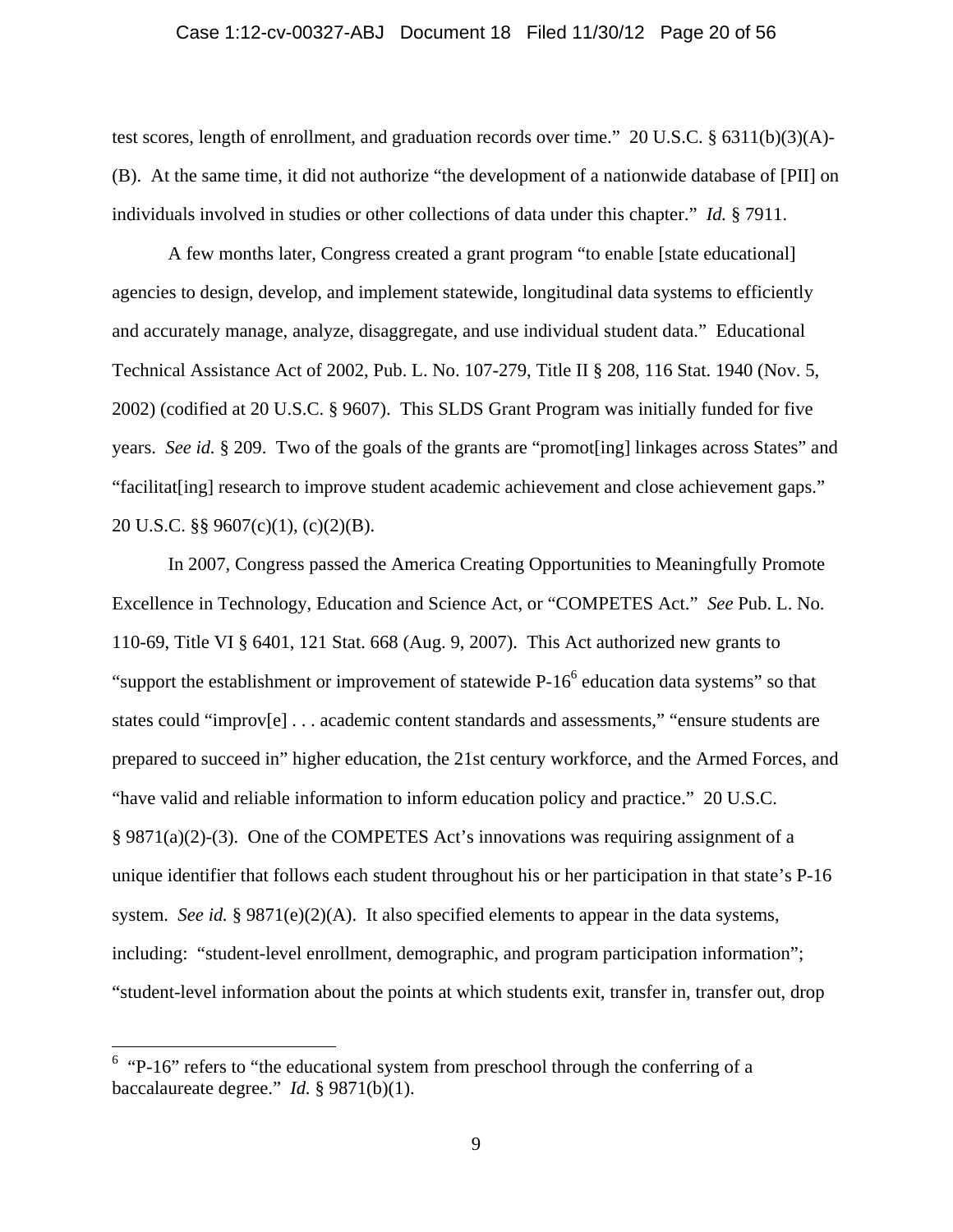### Case 1:12-cv-00327-ABJ Document 18 Filed 11/30/12 Page 20 of 56

test scores, length of enrollment, and graduation records over time." 20 U.S.C. § 6311(b)(3)(A)- (B). At the same time, it did not authorize "the development of a nationwide database of [PII] on individuals involved in studies or other collections of data under this chapter." *Id.* § 7911.

A few months later, Congress created a grant program "to enable [state educational] agencies to design, develop, and implement statewide, longitudinal data systems to efficiently and accurately manage, analyze, disaggregate, and use individual student data." Educational Technical Assistance Act of 2002, Pub. L. No. 107-279, Title II § 208, 116 Stat. 1940 (Nov. 5, 2002) (codified at 20 U.S.C. § 9607). This SLDS Grant Program was initially funded for five years. *See id.* § 209. Two of the goals of the grants are "promot[ing] linkages across States" and "facilitat[ing] research to improve student academic achievement and close achievement gaps." 20 U.S.C. §§ 9607(c)(1), (c)(2)(B).

In 2007, Congress passed the America Creating Opportunities to Meaningfully Promote Excellence in Technology, Education and Science Act, or "COMPETES Act." *See* Pub. L. No. 110-69, Title VI § 6401, 121 Stat. 668 (Aug. 9, 2007). This Act authorized new grants to "support the establishment or improvement of statewide  $P-16^6$  education data systems" so that states could "improv[e] . . . academic content standards and assessments," "ensure students are prepared to succeed in" higher education, the 21st century workforce, and the Armed Forces, and "have valid and reliable information to inform education policy and practice." 20 U.S.C.  $\S$  9871(a)(2)-(3). One of the COMPETES Act's innovations was requiring assignment of a unique identifier that follows each student throughout his or her participation in that state's P-16 system. *See id.* § 9871(e)(2)(A). It also specified elements to appear in the data systems, including: "student-level enrollment, demographic, and program participation information"; "student-level information about the points at which students exit, transfer in, transfer out, drop

 $6$  "P-16" refers to "the educational system from preschool through the conferring of a baccalaureate degree." *Id.* § 9871(b)(1).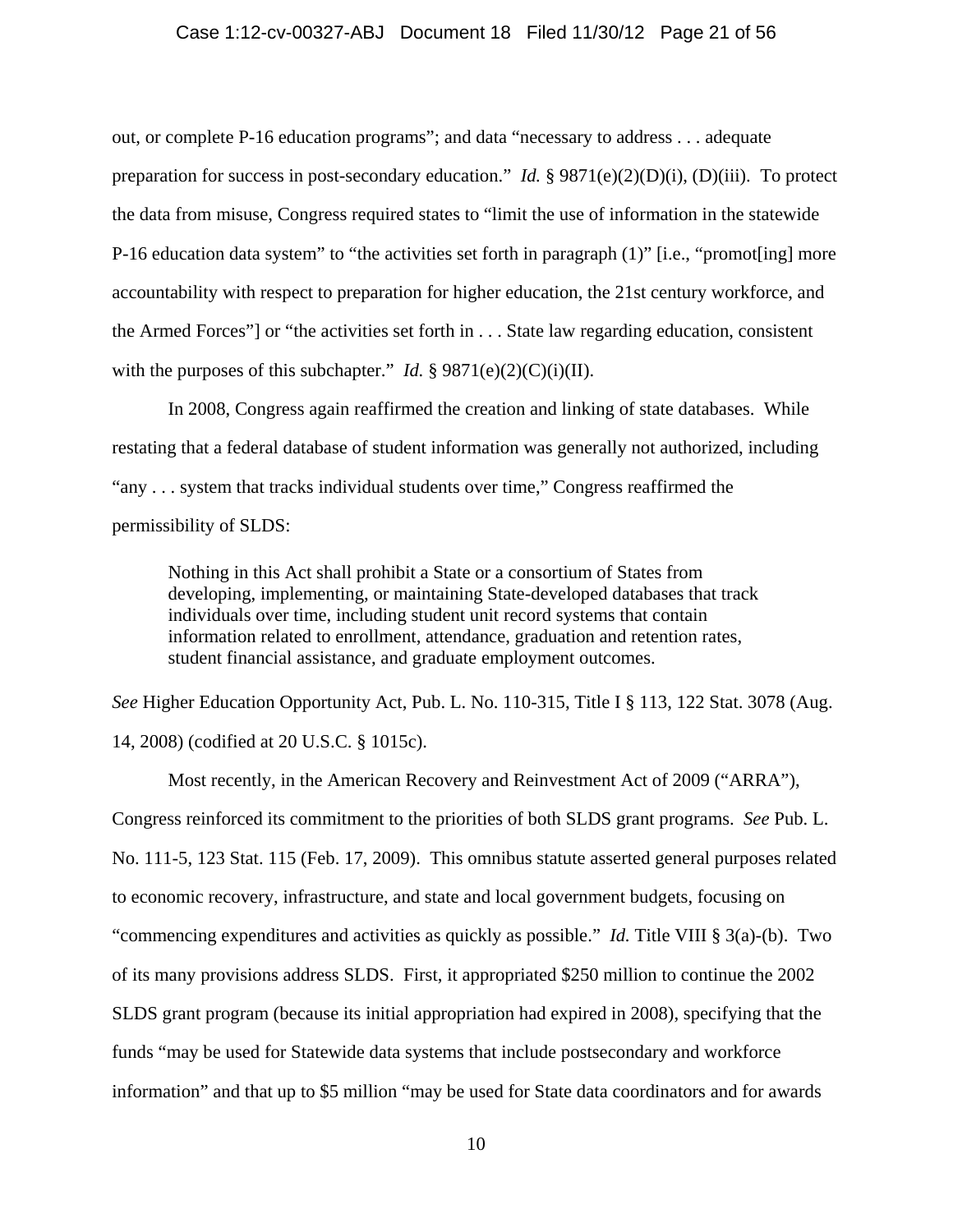#### Case 1:12-cv-00327-ABJ Document 18 Filed 11/30/12 Page 21 of 56

out, or complete P-16 education programs"; and data "necessary to address . . . adequate preparation for success in post-secondary education." *Id.* § 9871(e)(2)(D)(i), (D)(iii). To protect the data from misuse, Congress required states to "limit the use of information in the statewide P-16 education data system" to "the activities set forth in paragraph (1)" [i.e., "promot[ing] more accountability with respect to preparation for higher education, the 21st century workforce, and the Armed Forces"] or "the activities set forth in . . . State law regarding education, consistent with the purposes of this subchapter." *Id.*  $\S 9871(e)(2)(C)(i)(II)$ .

In 2008, Congress again reaffirmed the creation and linking of state databases. While restating that a federal database of student information was generally not authorized, including "any . . . system that tracks individual students over time," Congress reaffirmed the permissibility of SLDS:

Nothing in this Act shall prohibit a State or a consortium of States from developing, implementing, or maintaining State-developed databases that track individuals over time, including student unit record systems that contain information related to enrollment, attendance, graduation and retention rates, student financial assistance, and graduate employment outcomes.

*See* Higher Education Opportunity Act, Pub. L. No. 110-315, Title I § 113, 122 Stat. 3078 (Aug. 14, 2008) (codified at 20 U.S.C. § 1015c).

Most recently, in the American Recovery and Reinvestment Act of 2009 ("ARRA"), Congress reinforced its commitment to the priorities of both SLDS grant programs. *See* Pub. L. No. 111-5, 123 Stat. 115 (Feb. 17, 2009). This omnibus statute asserted general purposes related to economic recovery, infrastructure, and state and local government budgets, focusing on "commencing expenditures and activities as quickly as possible." *Id.* Title VIII § 3(a)-(b). Two of its many provisions address SLDS. First, it appropriated \$250 million to continue the 2002 SLDS grant program (because its initial appropriation had expired in 2008), specifying that the funds "may be used for Statewide data systems that include postsecondary and workforce information" and that up to \$5 million "may be used for State data coordinators and for awards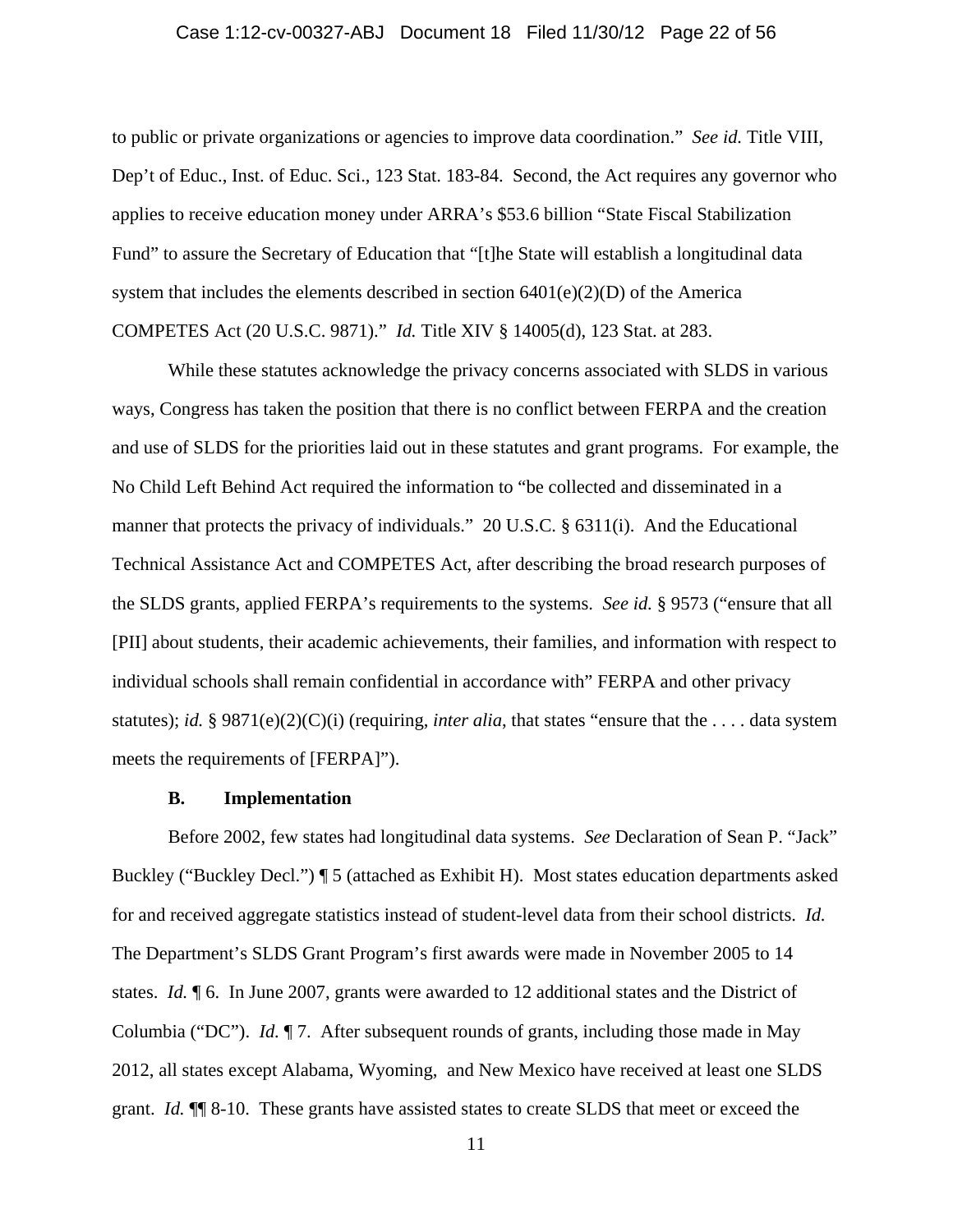### Case 1:12-cv-00327-ABJ Document 18 Filed 11/30/12 Page 22 of 56

to public or private organizations or agencies to improve data coordination." *See id.* Title VIII, Dep't of Educ., Inst. of Educ. Sci., 123 Stat. 183-84. Second, the Act requires any governor who applies to receive education money under ARRA's \$53.6 billion "State Fiscal Stabilization Fund" to assure the Secretary of Education that "[t]he State will establish a longitudinal data system that includes the elements described in section  $6401(e)(2)(D)$  of the America COMPETES Act (20 U.S.C. 9871)." *Id.* Title XIV § 14005(d), 123 Stat. at 283.

While these statutes acknowledge the privacy concerns associated with SLDS in various ways, Congress has taken the position that there is no conflict between FERPA and the creation and use of SLDS for the priorities laid out in these statutes and grant programs. For example, the No Child Left Behind Act required the information to "be collected and disseminated in a manner that protects the privacy of individuals." 20 U.S.C. § 6311(i). And the Educational Technical Assistance Act and COMPETES Act, after describing the broad research purposes of the SLDS grants, applied FERPA's requirements to the systems. *See id.* § 9573 ("ensure that all [PII] about students, their academic achievements, their families, and information with respect to individual schools shall remain confidential in accordance with" FERPA and other privacy statutes); *id.* § 9871(e)(2)(C)(i) (requiring, *inter alia*, that states "ensure that the . . . . data system meets the requirements of [FERPA]").

### **B. Implementation**

Before 2002, few states had longitudinal data systems. *See* Declaration of Sean P. "Jack" Buckley ("Buckley Decl.") ¶ 5 (attached as Exhibit H). Most states education departments asked for and received aggregate statistics instead of student-level data from their school districts. *Id.* The Department's SLDS Grant Program's first awards were made in November 2005 to 14 states. *Id.* ¶ 6. In June 2007, grants were awarded to 12 additional states and the District of Columbia ("DC"). *Id.* ¶ 7. After subsequent rounds of grants, including those made in May 2012, all states except Alabama, Wyoming, and New Mexico have received at least one SLDS grant. *Id.* ¶¶ 8-10. These grants have assisted states to create SLDS that meet or exceed the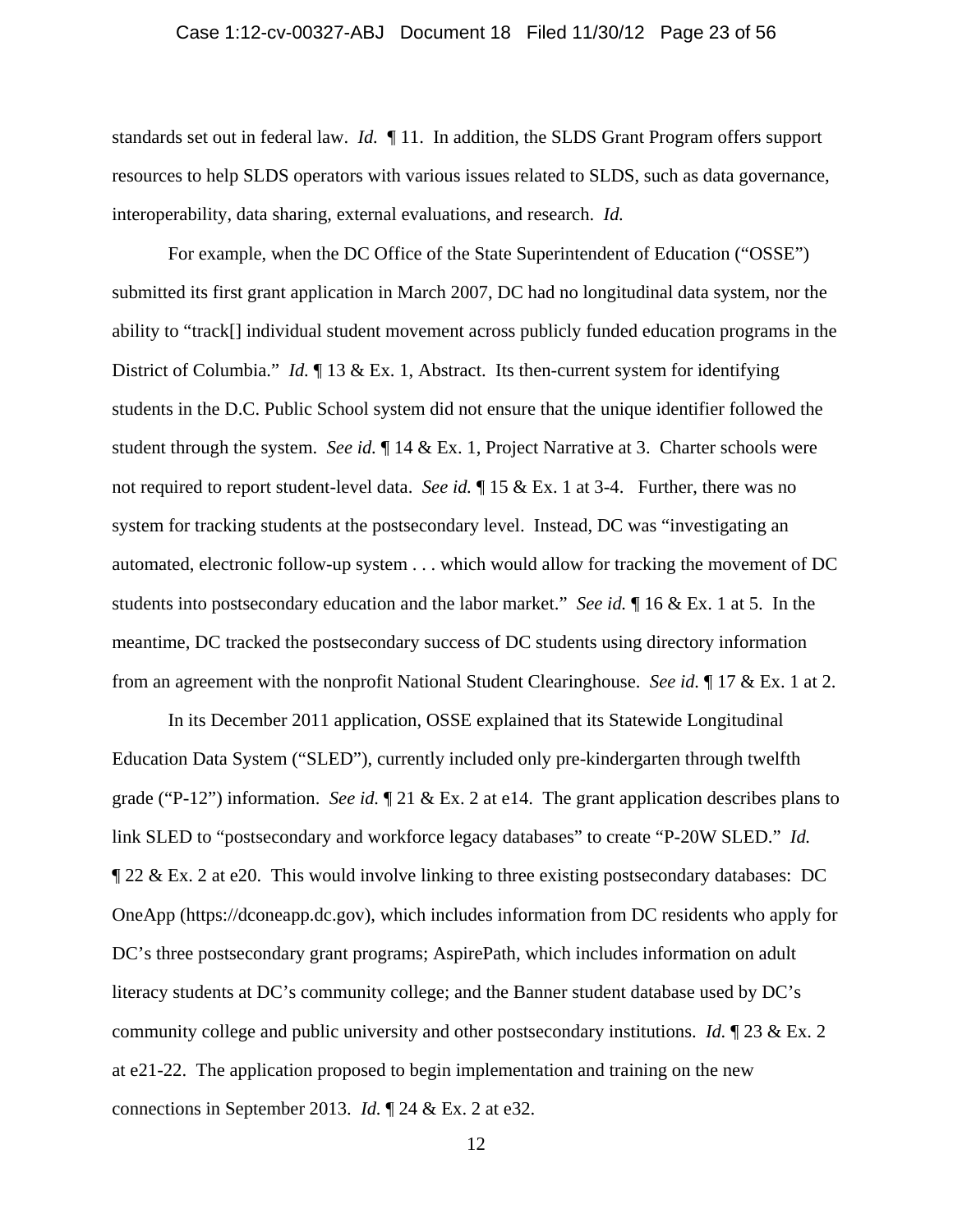#### Case 1:12-cv-00327-ABJ Document 18 Filed 11/30/12 Page 23 of 56

standards set out in federal law. *Id.* ¶ 11. In addition, the SLDS Grant Program offers support resources to help SLDS operators with various issues related to SLDS, such as data governance, interoperability, data sharing, external evaluations, and research. *Id.*

For example, when the DC Office of the State Superintendent of Education ("OSSE") submitted its first grant application in March 2007, DC had no longitudinal data system, nor the ability to "track[] individual student movement across publicly funded education programs in the District of Columbia." *Id.* ¶ 13 & Ex. 1, Abstract. Its then-current system for identifying students in the D.C. Public School system did not ensure that the unique identifier followed the student through the system. *See id.* ¶ 14 & Ex. 1, Project Narrative at 3. Charter schools were not required to report student-level data. *See id.* 15 & Ex. 1 at 3-4. Further, there was no system for tracking students at the postsecondary level. Instead, DC was "investigating an automated, electronic follow-up system . . . which would allow for tracking the movement of DC students into postsecondary education and the labor market." *See id.* ¶ 16 & Ex. 1 at 5. In the meantime, DC tracked the postsecondary success of DC students using directory information from an agreement with the nonprofit National Student Clearinghouse. *See id.* ¶ 17 & Ex. 1 at 2.

In its December 2011 application, OSSE explained that its Statewide Longitudinal Education Data System ("SLED"), currently included only pre-kindergarten through twelfth grade ("P-12") information. *See id.* ¶ 21 & Ex. 2 at e14. The grant application describes plans to link SLED to "postsecondary and workforce legacy databases" to create "P-20W SLED." *Id.* ¶ 22 & Ex. 2 at e20. This would involve linking to three existing postsecondary databases: DC OneApp (https://dconeapp.dc.gov), which includes information from DC residents who apply for DC's three postsecondary grant programs; AspirePath, which includes information on adult literacy students at DC's community college; and the Banner student database used by DC's community college and public university and other postsecondary institutions. *Id.* ¶ 23 & Ex. 2 at e21-22. The application proposed to begin implementation and training on the new connections in September 2013. *Id.* ¶ 24 & Ex. 2 at e32.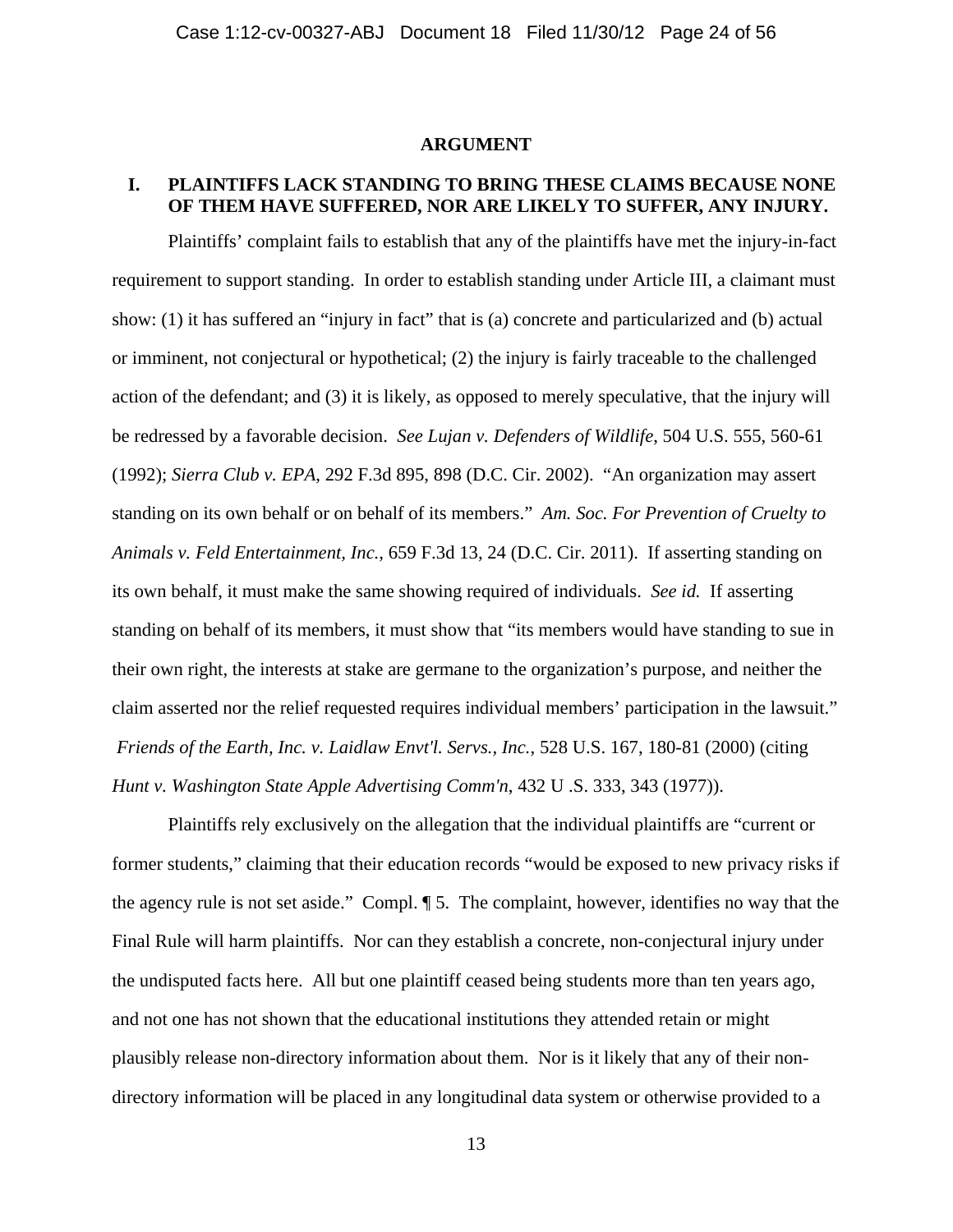#### **ARGUMENT**

# **I. PLAINTIFFS LACK STANDING TO BRING THESE CLAIMS BECAUSE NONE OF THEM HAVE SUFFERED, NOR ARE LIKELY TO SUFFER, ANY INJURY.**

 Plaintiffs' complaint fails to establish that any of the plaintiffs have met the injury-in-fact requirement to support standing. In order to establish standing under Article III, a claimant must show: (1) it has suffered an "injury in fact" that is (a) concrete and particularized and (b) actual or imminent, not conjectural or hypothetical; (2) the injury is fairly traceable to the challenged action of the defendant; and (3) it is likely, as opposed to merely speculative, that the injury will be redressed by a favorable decision. *See Lujan v. Defenders of Wildlife*, 504 U.S. 555, 560-61 (1992); *Sierra Club v. EPA*, 292 F.3d 895, 898 (D.C. Cir. 2002). "An organization may assert standing on its own behalf or on behalf of its members." *Am. Soc. For Prevention of Cruelty to Animals v. Feld Entertainment, Inc.*, 659 F.3d 13, 24 (D.C. Cir. 2011). If asserting standing on its own behalf, it must make the same showing required of individuals. *See id.* If asserting standing on behalf of its members, it must show that "its members would have standing to sue in their own right, the interests at stake are germane to the organization's purpose, and neither the claim asserted nor the relief requested requires individual members' participation in the lawsuit." *Friends of the Earth, Inc. v. Laidlaw Envt'l. Servs., Inc.*, 528 U.S. 167, 180-81 (2000) (citing *Hunt v. Washington State Apple Advertising Comm'n*, 432 U .S. 333, 343 (1977)).

Plaintiffs rely exclusively on the allegation that the individual plaintiffs are "current or former students," claiming that their education records "would be exposed to new privacy risks if the agency rule is not set aside." Compl. ¶ 5. The complaint, however, identifies no way that the Final Rule will harm plaintiffs. Nor can they establish a concrete, non-conjectural injury under the undisputed facts here. All but one plaintiff ceased being students more than ten years ago, and not one has not shown that the educational institutions they attended retain or might plausibly release non-directory information about them. Nor is it likely that any of their nondirectory information will be placed in any longitudinal data system or otherwise provided to a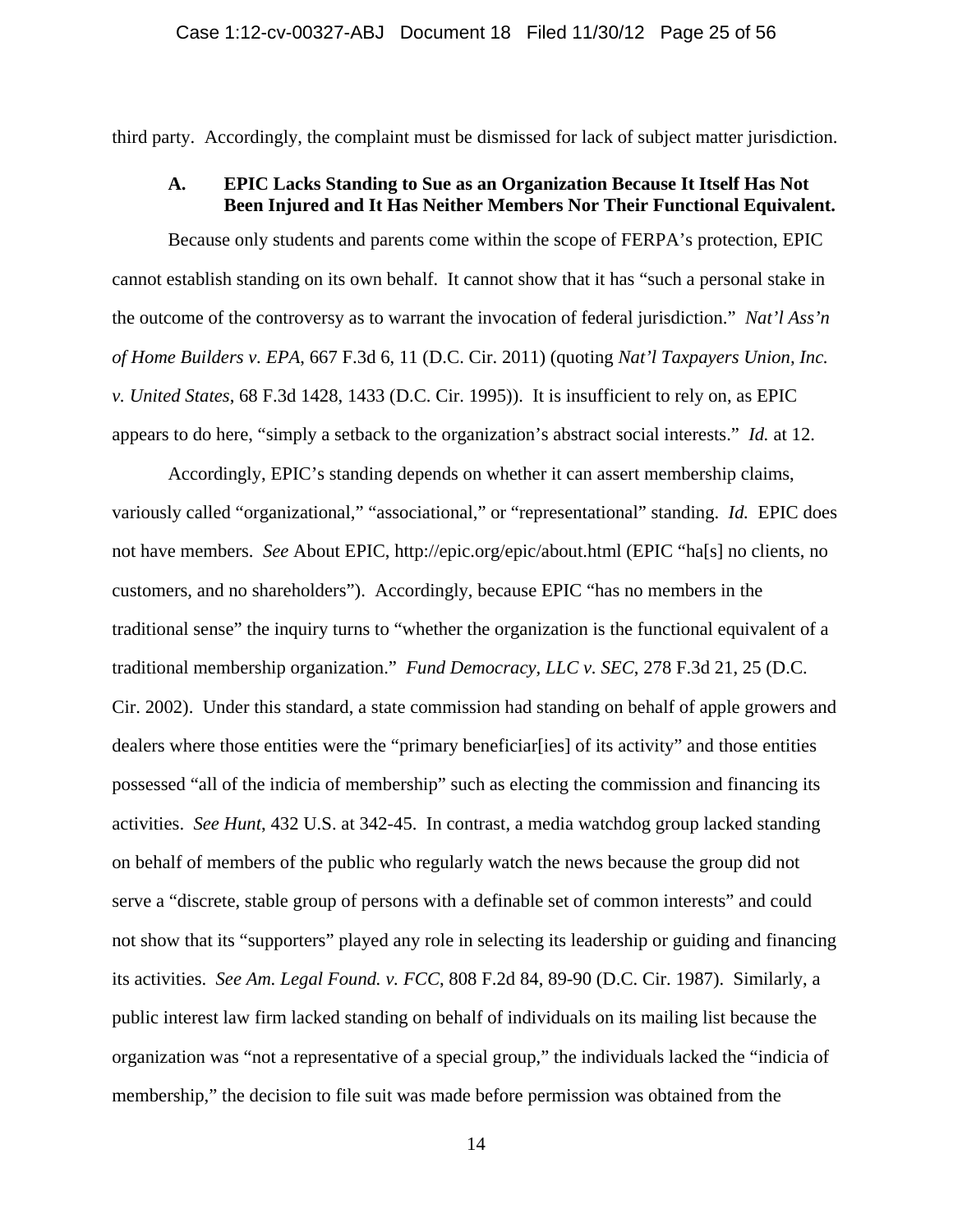third party. Accordingly, the complaint must be dismissed for lack of subject matter jurisdiction.

### **A. EPIC Lacks Standing to Sue as an Organization Because It Itself Has Not Been Injured and It Has Neither Members Nor Their Functional Equivalent.**

Because only students and parents come within the scope of FERPA's protection, EPIC cannot establish standing on its own behalf. It cannot show that it has "such a personal stake in the outcome of the controversy as to warrant the invocation of federal jurisdiction." *Nat'l Ass'n of Home Builders v. EPA*, 667 F.3d 6, 11 (D.C. Cir. 2011) (quoting *Nat'l Taxpayers Union, Inc. v. United States*, 68 F.3d 1428, 1433 (D.C. Cir. 1995)). It is insufficient to rely on, as EPIC appears to do here, "simply a setback to the organization's abstract social interests." *Id.* at 12.

Accordingly, EPIC's standing depends on whether it can assert membership claims, variously called "organizational," "associational," or "representational" standing. *Id.* EPIC does not have members. *See* About EPIC, http://epic.org/epic/about.html (EPIC "ha[s] no clients, no customers, and no shareholders"). Accordingly, because EPIC "has no members in the traditional sense" the inquiry turns to "whether the organization is the functional equivalent of a traditional membership organization." *Fund Democracy, LLC v. SEC*, 278 F.3d 21, 25 (D.C. Cir. 2002). Under this standard, a state commission had standing on behalf of apple growers and dealers where those entities were the "primary beneficiar[ies] of its activity" and those entities possessed "all of the indicia of membership" such as electing the commission and financing its activities. *See Hunt*, 432 U.S. at 342-45. In contrast, a media watchdog group lacked standing on behalf of members of the public who regularly watch the news because the group did not serve a "discrete, stable group of persons with a definable set of common interests" and could not show that its "supporters" played any role in selecting its leadership or guiding and financing its activities. *See Am. Legal Found. v. FCC*, 808 F.2d 84, 89-90 (D.C. Cir. 1987). Similarly, a public interest law firm lacked standing on behalf of individuals on its mailing list because the organization was "not a representative of a special group," the individuals lacked the "indicia of membership," the decision to file suit was made before permission was obtained from the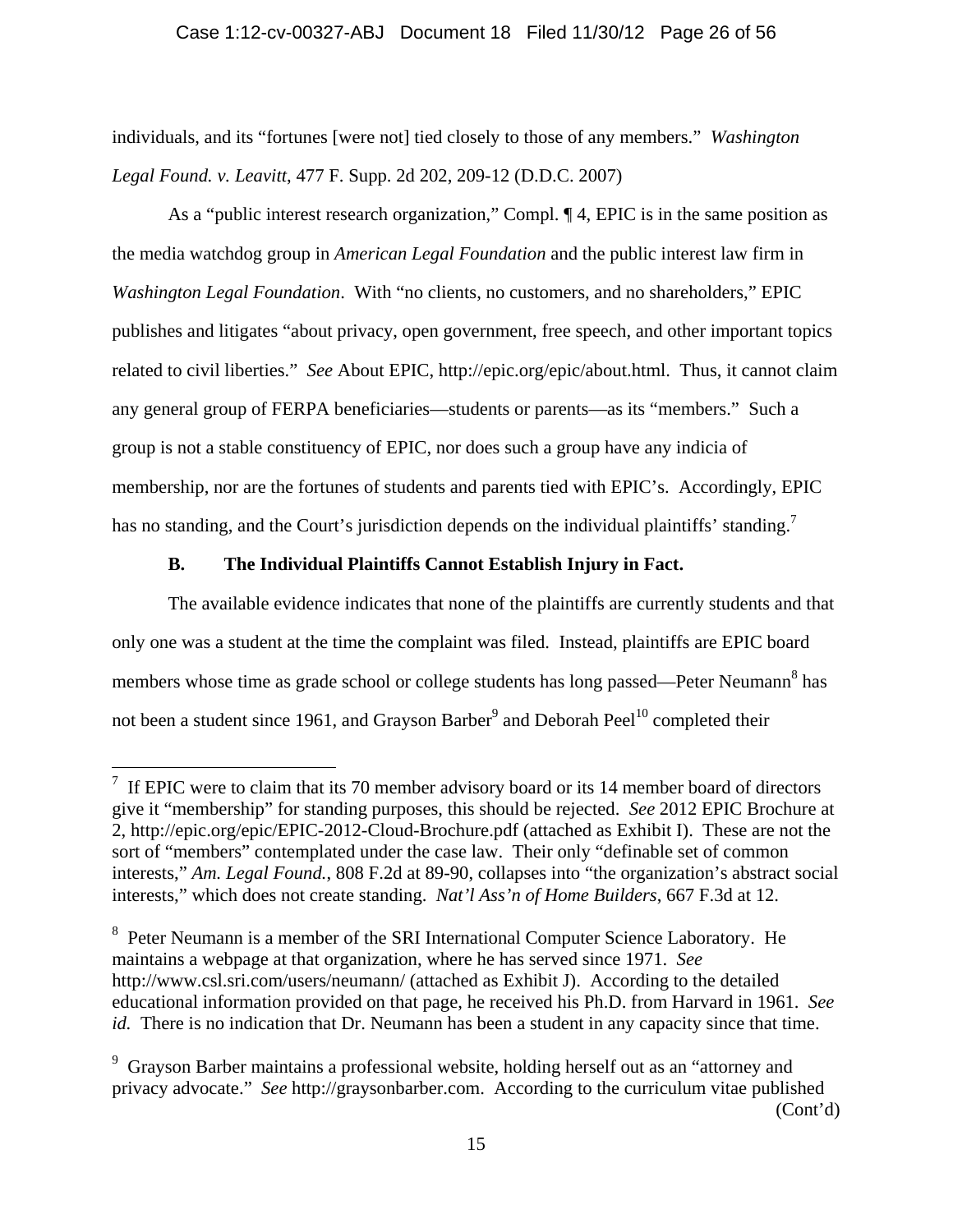individuals, and its "fortunes [were not] tied closely to those of any members." *Washington Legal Found. v. Leavitt*, 477 F. Supp. 2d 202, 209-12 (D.D.C. 2007)

As a "public interest research organization," Compl. ¶ 4, EPIC is in the same position as the media watchdog group in *American Legal Foundation* and the public interest law firm in *Washington Legal Foundation*. With "no clients, no customers, and no shareholders," EPIC publishes and litigates "about privacy, open government, free speech, and other important topics related to civil liberties." *See* About EPIC, http://epic.org/epic/about.html. Thus, it cannot claim any general group of FERPA beneficiaries—students or parents—as its "members." Such a group is not a stable constituency of EPIC, nor does such a group have any indicia of membership, nor are the fortunes of students and parents tied with EPIC's. Accordingly, EPIC has no standing, and the Court's jurisdiction depends on the individual plaintiffs' standing.

# **B. The Individual Plaintiffs Cannot Establish Injury in Fact.**

<u>.</u>

The available evidence indicates that none of the plaintiffs are currently students and that only one was a student at the time the complaint was filed. Instead, plaintiffs are EPIC board members whose time as grade school or college students has long passed—Peter Neumann<sup>8</sup> has not been a student since 1961, and Grayson Barber<sup>9</sup> and Deborah Peel<sup>10</sup> completed their

<sup>&</sup>lt;sup>7</sup> If EPIC were to claim that its 70 member advisory board or its 14 member board of directors give it "membership" for standing purposes, this should be rejected. *See* 2012 EPIC Brochure at 2, http://epic.org/epic/EPIC-2012-Cloud-Brochure.pdf (attached as Exhibit I). These are not the sort of "members" contemplated under the case law. Their only "definable set of common interests," *Am. Legal Found.*, 808 F.2d at 89-90, collapses into "the organization's abstract social interests," which does not create standing. *Nat'l Ass'n of Home Builders*, 667 F.3d at 12.

<sup>&</sup>lt;sup>8</sup> Peter Neumann is a member of the SRI International Computer Science Laboratory. He maintains a webpage at that organization, where he has served since 1971. *See* http://www.csl.sri.com/users/neumann/ (attached as Exhibit J). According to the detailed educational information provided on that page, he received his Ph.D. from Harvard in 1961. *See id.* There is no indication that Dr. Neumann has been a student in any capacity since that time.

<sup>&</sup>lt;sup>9</sup> Grayson Barber maintains a professional website, holding herself out as an "attorney and privacy advocate." *See* http://graysonbarber.com. According to the curriculum vitae published (Cont'd)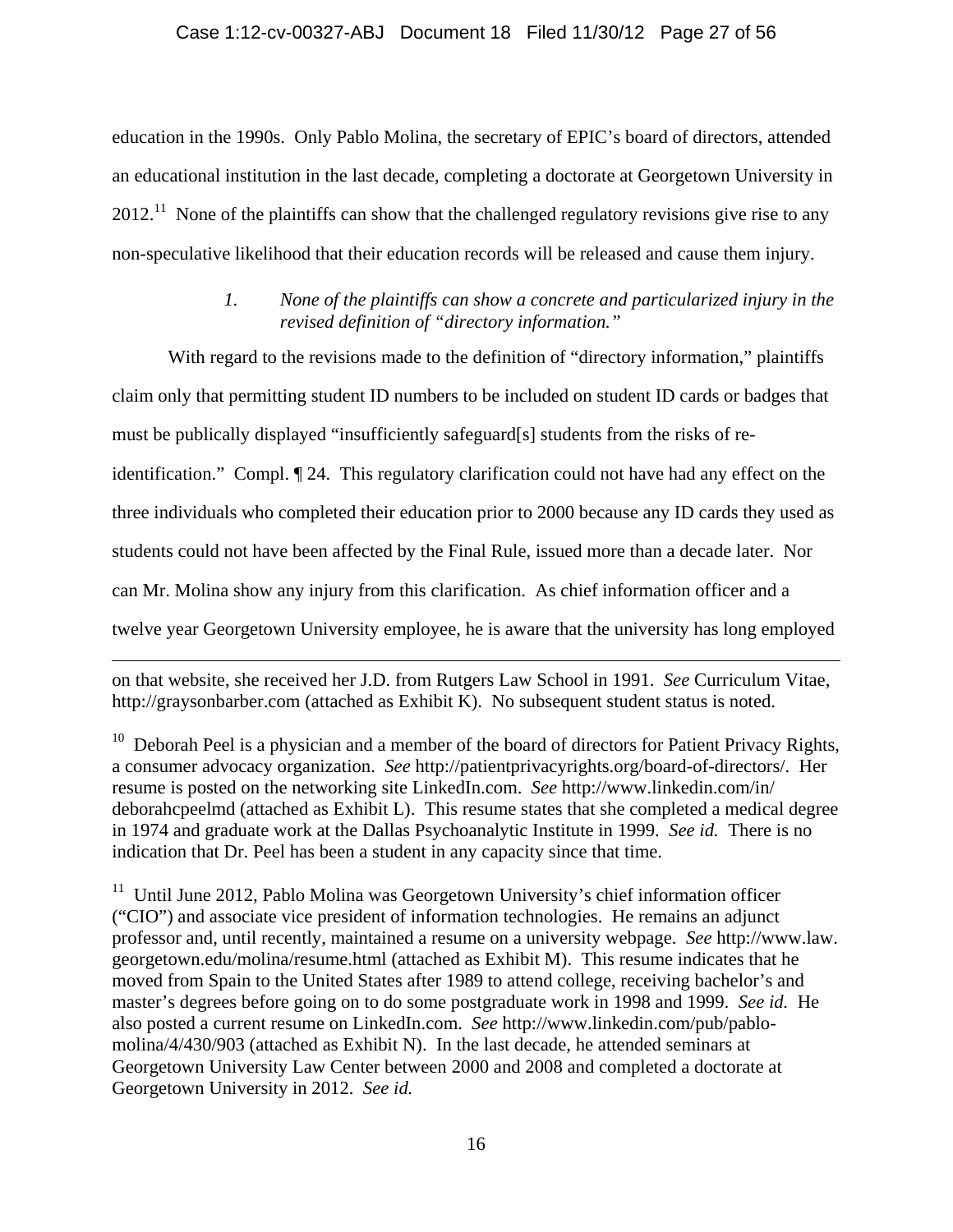### Case 1:12-cv-00327-ABJ Document 18 Filed 11/30/12 Page 27 of 56

education in the 1990s. Only Pablo Molina, the secretary of EPIC's board of directors, attended an educational institution in the last decade, completing a doctorate at Georgetown University in  $2012<sup>11</sup>$  None of the plaintiffs can show that the challenged regulatory revisions give rise to any non-speculative likelihood that their education records will be released and cause them injury.

## *1. None of the plaintiffs can show a concrete and particularized injury in the revised definition of "directory information."*

With regard to the revisions made to the definition of "directory information," plaintiffs claim only that permitting student ID numbers to be included on student ID cards or badges that must be publically displayed "insufficiently safeguard[s] students from the risks of reidentification." Compl. ¶ 24. This regulatory clarification could not have had any effect on the three individuals who completed their education prior to 2000 because any ID cards they used as students could not have been affected by the Final Rule, issued more than a decade later. Nor can Mr. Molina show any injury from this clarification. As chief information officer and a twelve year Georgetown University employee, he is aware that the university has long employed

on that website, she received her J.D. from Rutgers Law School in 1991. *See* Curriculum Vitae, http://graysonbarber.com (attached as Exhibit K). No subsequent student status is noted.

 $\overline{a}$ 

 $10$  Deborah Peel is a physician and a member of the board of directors for Patient Privacy Rights, a consumer advocacy organization. *See* http://patientprivacyrights.org/board-of-directors/. Her resume is posted on the networking site LinkedIn.com. *See* http://www.linkedin.com/in/ deborahcpeelmd (attached as Exhibit L). This resume states that she completed a medical degree in 1974 and graduate work at the Dallas Psychoanalytic Institute in 1999. *See id.* There is no indication that Dr. Peel has been a student in any capacity since that time.

 $11$  Until June 2012, Pablo Molina was Georgetown University's chief information officer ("CIO") and associate vice president of information technologies. He remains an adjunct professor and, until recently, maintained a resume on a university webpage. *See* http://www.law. georgetown.edu/molina/resume.html (attached as Exhibit M). This resume indicates that he moved from Spain to the United States after 1989 to attend college, receiving bachelor's and master's degrees before going on to do some postgraduate work in 1998 and 1999. *See id.* He also posted a current resume on LinkedIn.com. *See* http://www.linkedin.com/pub/pablomolina/4/430/903 (attached as Exhibit N). In the last decade, he attended seminars at Georgetown University Law Center between 2000 and 2008 and completed a doctorate at Georgetown University in 2012. *See id.*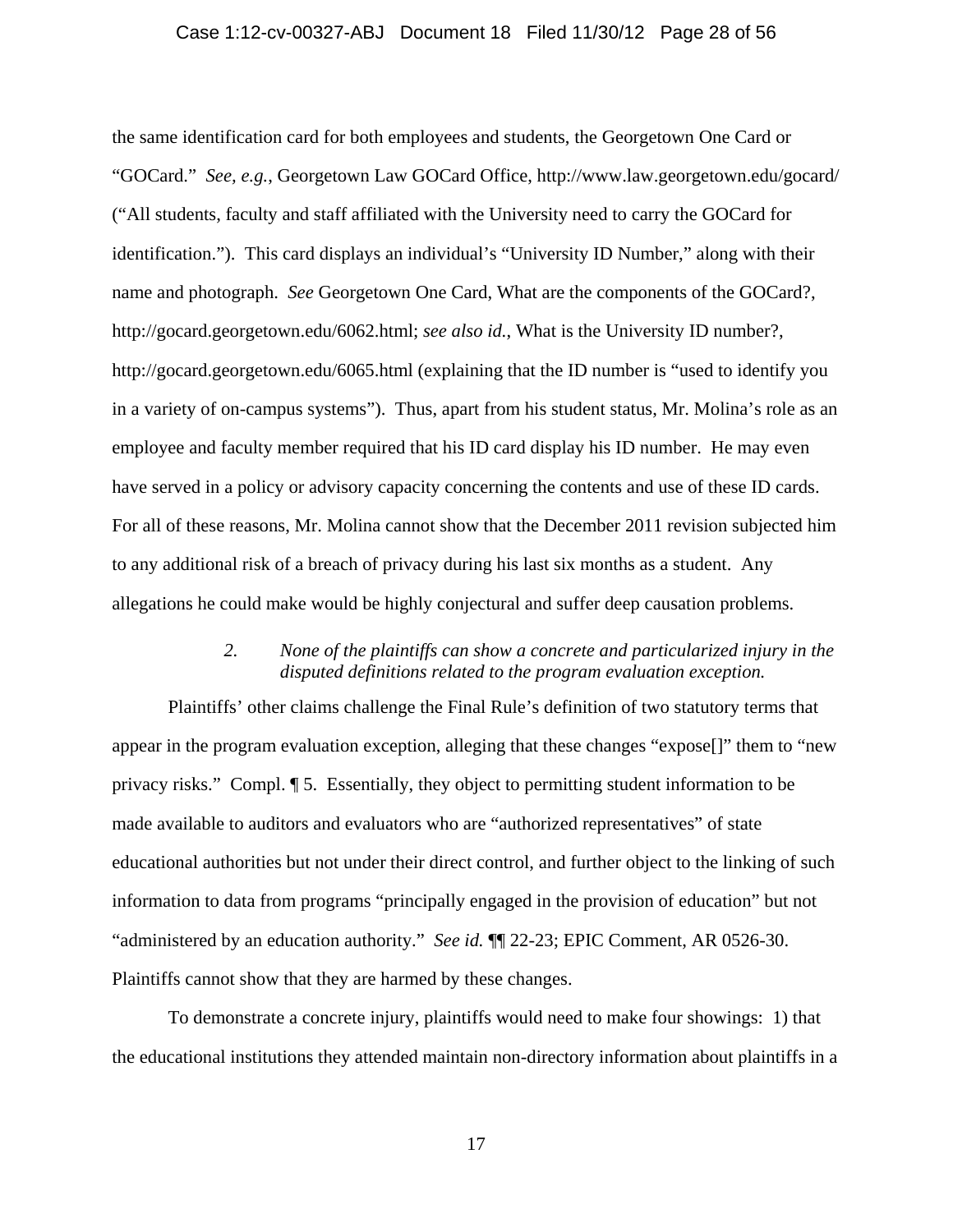#### Case 1:12-cv-00327-ABJ Document 18 Filed 11/30/12 Page 28 of 56

the same identification card for both employees and students, the Georgetown One Card or "GOCard." *See, e.g.*, Georgetown Law GOCard Office, http://www.law.georgetown.edu/gocard/ ("All students, faculty and staff affiliated with the University need to carry the GOCard for identification."). This card displays an individual's "University ID Number," along with their name and photograph. *See* Georgetown One Card, What are the components of the GOCard?, http://gocard.georgetown.edu/6062.html; *see also id.*, What is the University ID number?, http://gocard.georgetown.edu/6065.html (explaining that the ID number is "used to identify you in a variety of on-campus systems"). Thus, apart from his student status, Mr. Molina's role as an employee and faculty member required that his ID card display his ID number. He may even have served in a policy or advisory capacity concerning the contents and use of these ID cards. For all of these reasons, Mr. Molina cannot show that the December 2011 revision subjected him to any additional risk of a breach of privacy during his last six months as a student. Any allegations he could make would be highly conjectural and suffer deep causation problems.

### *2. None of the plaintiffs can show a concrete and particularized injury in the disputed definitions related to the program evaluation exception.*

Plaintiffs' other claims challenge the Final Rule's definition of two statutory terms that appear in the program evaluation exception, alleging that these changes "expose[]" them to "new privacy risks." Compl. ¶ 5. Essentially, they object to permitting student information to be made available to auditors and evaluators who are "authorized representatives" of state educational authorities but not under their direct control, and further object to the linking of such information to data from programs "principally engaged in the provision of education" but not "administered by an education authority." *See id.* ¶¶ 22-23; EPIC Comment, AR 0526-30. Plaintiffs cannot show that they are harmed by these changes.

To demonstrate a concrete injury, plaintiffs would need to make four showings: 1) that the educational institutions they attended maintain non-directory information about plaintiffs in a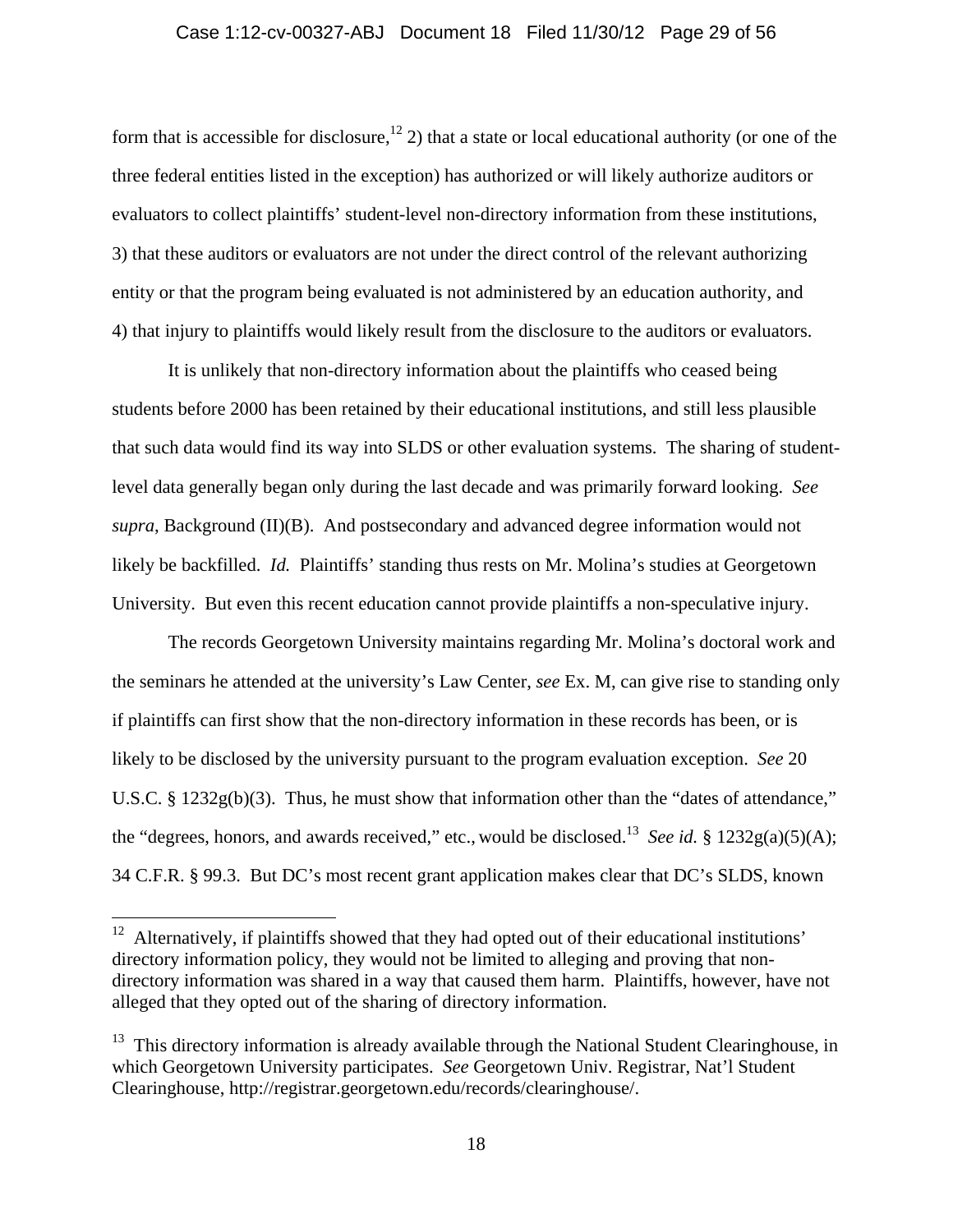### Case 1:12-cv-00327-ABJ Document 18 Filed 11/30/12 Page 29 of 56

form that is accessible for disclosure,<sup>12</sup> 2) that a state or local educational authority (or one of the three federal entities listed in the exception) has authorized or will likely authorize auditors or evaluators to collect plaintiffs' student-level non-directory information from these institutions, 3) that these auditors or evaluators are not under the direct control of the relevant authorizing entity or that the program being evaluated is not administered by an education authority, and 4) that injury to plaintiffs would likely result from the disclosure to the auditors or evaluators.

It is unlikely that non-directory information about the plaintiffs who ceased being students before 2000 has been retained by their educational institutions, and still less plausible that such data would find its way into SLDS or other evaluation systems. The sharing of studentlevel data generally began only during the last decade and was primarily forward looking. *See supra*, Background (II)(B). And postsecondary and advanced degree information would not likely be backfilled. *Id.* Plaintiffs' standing thus rests on Mr. Molina's studies at Georgetown University. But even this recent education cannot provide plaintiffs a non-speculative injury.

The records Georgetown University maintains regarding Mr. Molina's doctoral work and the seminars he attended at the university's Law Center, *see* Ex. M, can give rise to standing only if plaintiffs can first show that the non-directory information in these records has been, or is likely to be disclosed by the university pursuant to the program evaluation exception. *See* 20 U.S.C. § 1232g(b)(3). Thus, he must show that information other than the "dates of attendance," the "degrees, honors, and awards received," etc., would be disclosed.<sup>13</sup> *See id.* §  $1232g(a)(5)(A)$ ; 34 C.F.R. § 99.3. But DC's most recent grant application makes clear that DC's SLDS, known

 $12$  Alternatively, if plaintiffs showed that they had opted out of their educational institutions' directory information policy, they would not be limited to alleging and proving that nondirectory information was shared in a way that caused them harm. Plaintiffs, however, have not alleged that they opted out of the sharing of directory information.

 $13$  This directory information is already available through the National Student Clearinghouse, in which Georgetown University participates. *See* Georgetown Univ. Registrar, Nat'l Student Clearinghouse, http://registrar.georgetown.edu/records/clearinghouse/.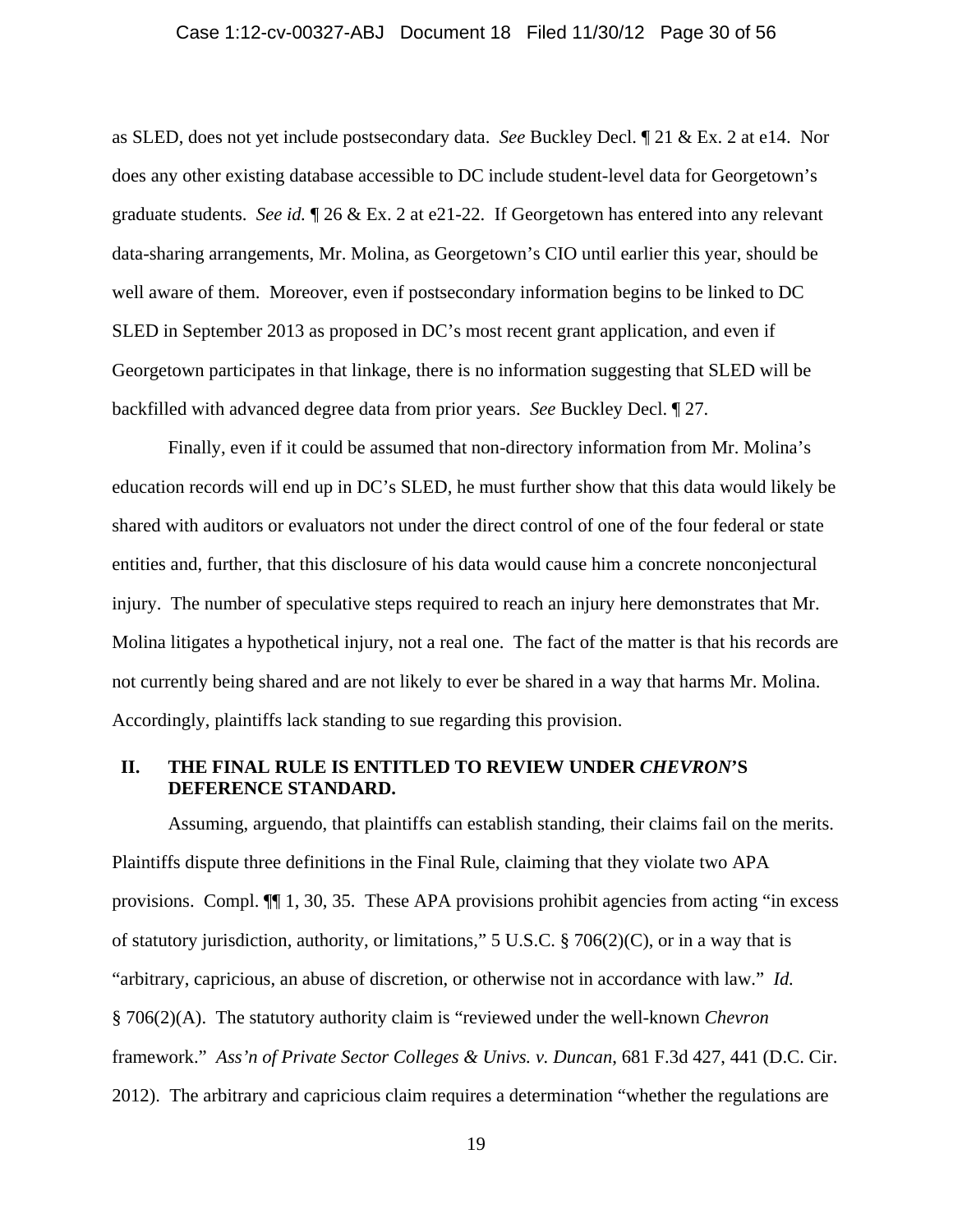### Case 1:12-cv-00327-ABJ Document 18 Filed 11/30/12 Page 30 of 56

as SLED, does not yet include postsecondary data. *See* Buckley Decl. ¶ 21 & Ex. 2 at e14. Nor does any other existing database accessible to DC include student-level data for Georgetown's graduate students. *See id.* ¶ 26 & Ex. 2 at e21-22. If Georgetown has entered into any relevant data-sharing arrangements, Mr. Molina, as Georgetown's CIO until earlier this year, should be well aware of them. Moreover, even if postsecondary information begins to be linked to DC SLED in September 2013 as proposed in DC's most recent grant application, and even if Georgetown participates in that linkage, there is no information suggesting that SLED will be backfilled with advanced degree data from prior years. *See* Buckley Decl. ¶ 27.

Finally, even if it could be assumed that non-directory information from Mr. Molina's education records will end up in DC's SLED, he must further show that this data would likely be shared with auditors or evaluators not under the direct control of one of the four federal or state entities and, further, that this disclosure of his data would cause him a concrete nonconjectural injury. The number of speculative steps required to reach an injury here demonstrates that Mr. Molina litigates a hypothetical injury, not a real one. The fact of the matter is that his records are not currently being shared and are not likely to ever be shared in a way that harms Mr. Molina. Accordingly, plaintiffs lack standing to sue regarding this provision.

### **II. THE FINAL RULE IS ENTITLED TO REVIEW UNDER** *CHEVRON***'S DEFERENCE STANDARD.**

Assuming, arguendo, that plaintiffs can establish standing, their claims fail on the merits. Plaintiffs dispute three definitions in the Final Rule, claiming that they violate two APA provisions. Compl. ¶¶ 1, 30, 35. These APA provisions prohibit agencies from acting "in excess of statutory jurisdiction, authority, or limitations," 5 U.S.C. § 706(2)(C), or in a way that is "arbitrary, capricious, an abuse of discretion, or otherwise not in accordance with law." *Id.* § 706(2)(A). The statutory authority claim is "reviewed under the well-known *Chevron* framework." *Ass'n of Private Sector Colleges & Univs. v. Duncan*, 681 F.3d 427, 441 (D.C. Cir. 2012). The arbitrary and capricious claim requires a determination "whether the regulations are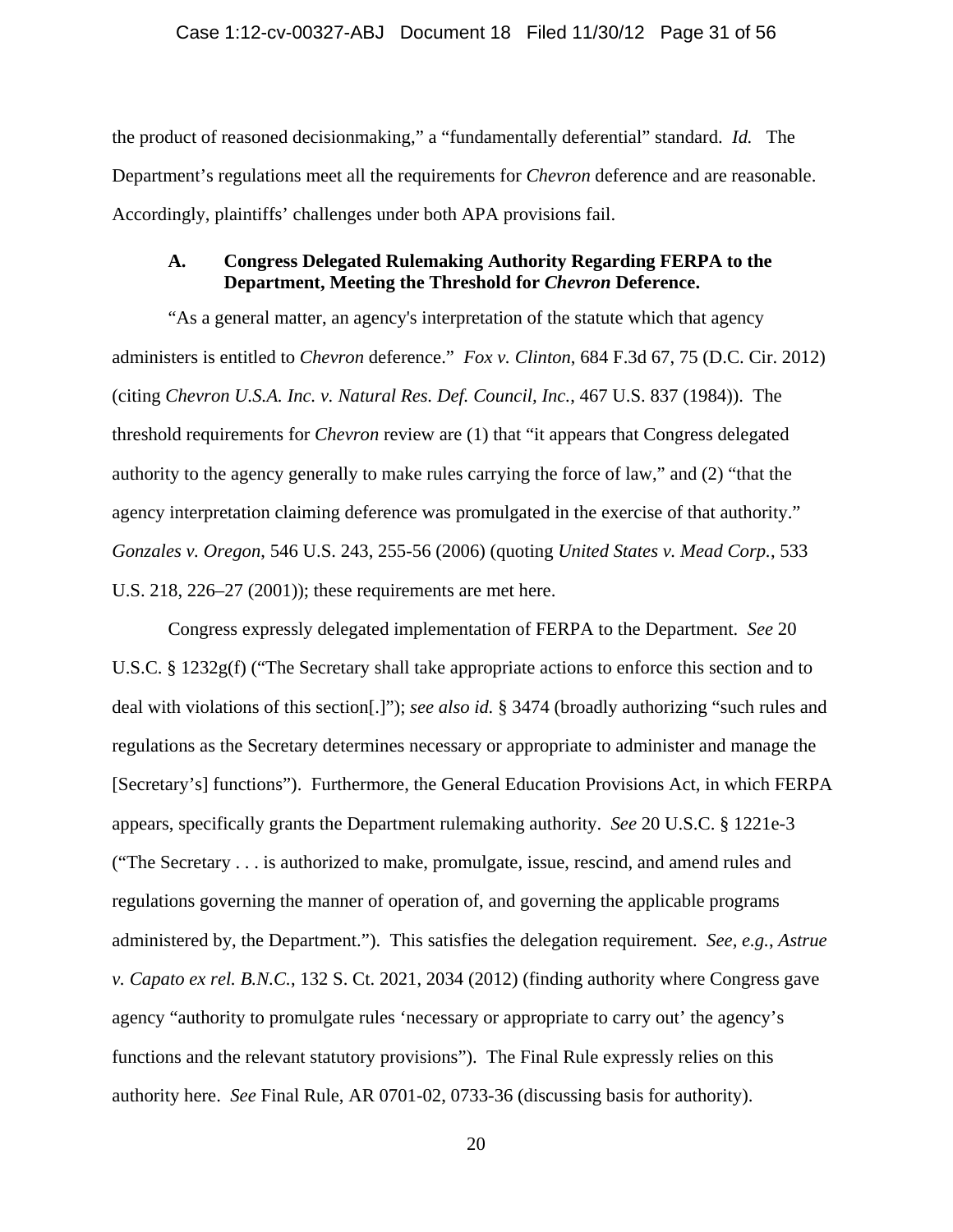the product of reasoned decisionmaking," a "fundamentally deferential" standard. *Id.* The Department's regulations meet all the requirements for *Chevron* deference and are reasonable. Accordingly, plaintiffs' challenges under both APA provisions fail.

### **A. Congress Delegated Rulemaking Authority Regarding FERPA to the Department, Meeting the Threshold for** *Chevron* **Deference.**

"As a general matter, an agency's interpretation of the statute which that agency administers is entitled to *Chevron* deference." *Fox v. Clinton*, 684 F.3d 67, 75 (D.C. Cir. 2012) (citing *Chevron U.S.A. Inc. v. Natural Res. Def. Council, Inc.*, 467 U.S. 837 (1984)). The threshold requirements for *Chevron* review are (1) that "it appears that Congress delegated authority to the agency generally to make rules carrying the force of law," and (2) "that the agency interpretation claiming deference was promulgated in the exercise of that authority." *Gonzales v. Oregon*, 546 U.S. 243, 255-56 (2006) (quoting *United States v. Mead Corp.*, 533 U.S. 218, 226–27 (2001)); these requirements are met here.

Congress expressly delegated implementation of FERPA to the Department. *See* 20 U.S.C. § 1232g(f) ("The Secretary shall take appropriate actions to enforce this section and to deal with violations of this section[.]"); *see also id.* § 3474 (broadly authorizing "such rules and regulations as the Secretary determines necessary or appropriate to administer and manage the [Secretary's] functions"). Furthermore, the General Education Provisions Act, in which FERPA appears, specifically grants the Department rulemaking authority. *See* 20 U.S.C. § 1221e-3 ("The Secretary . . . is authorized to make, promulgate, issue, rescind, and amend rules and regulations governing the manner of operation of, and governing the applicable programs administered by, the Department."). This satisfies the delegation requirement. *See, e.g.*, *Astrue v. Capato ex rel. B.N.C.*, 132 S. Ct. 2021, 2034 (2012) (finding authority where Congress gave agency "authority to promulgate rules 'necessary or appropriate to carry out' the agency's functions and the relevant statutory provisions"). The Final Rule expressly relies on this authority here. *See* Final Rule, AR 0701-02, 0733-36 (discussing basis for authority).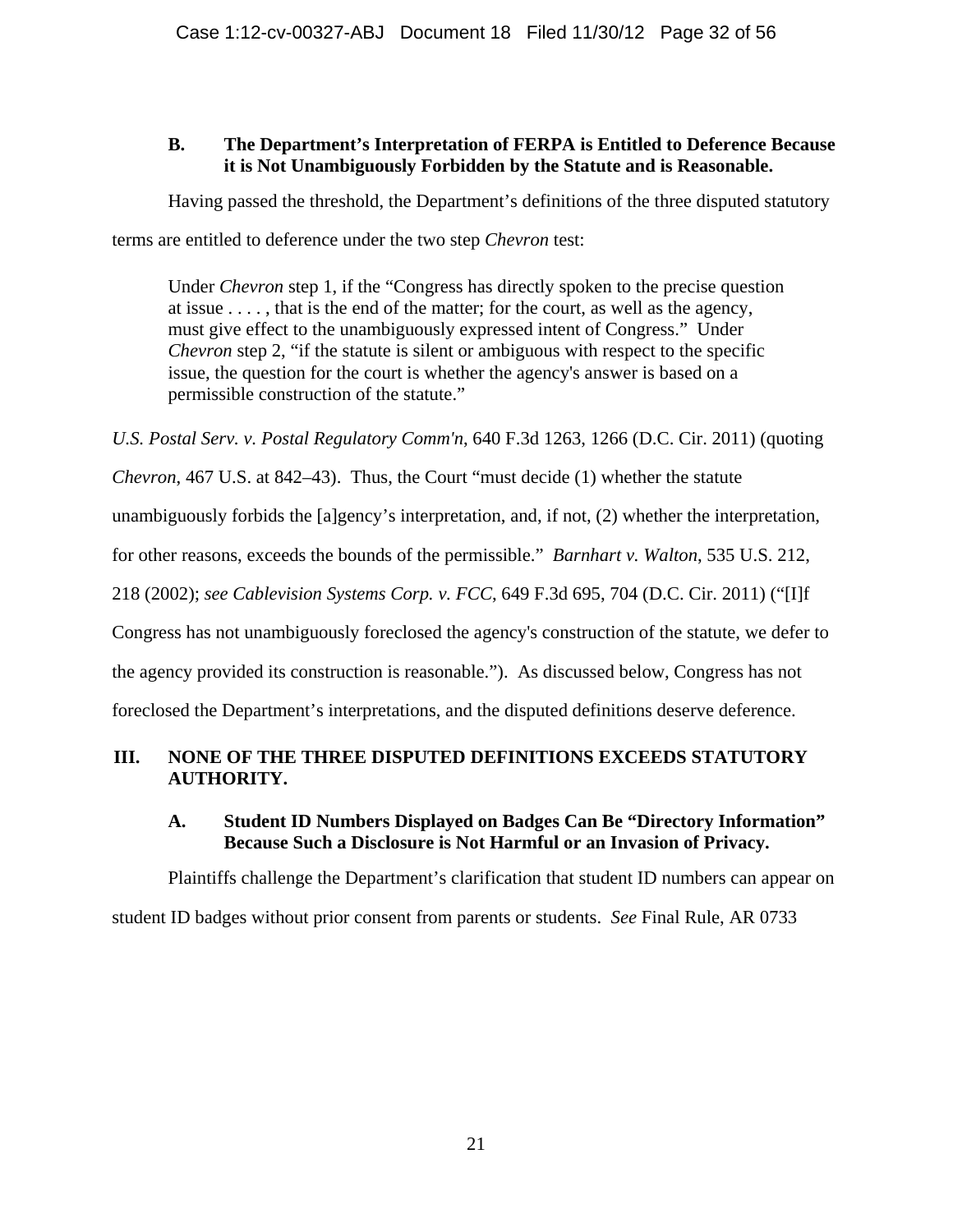# **B. The Department's Interpretation of FERPA is Entitled to Deference Because it is Not Unambiguously Forbidden by the Statute and is Reasonable.**

Having passed the threshold, the Department's definitions of the three disputed statutory

terms are entitled to deference under the two step *Chevron* test:

Under *Chevron* step 1, if the "Congress has directly spoken to the precise question at issue . . . . , that is the end of the matter; for the court, as well as the agency, must give effect to the unambiguously expressed intent of Congress." Under *Chevron* step 2, "if the statute is silent or ambiguous with respect to the specific issue, the question for the court is whether the agency's answer is based on a permissible construction of the statute."

*U.S. Postal Serv. v. Postal Regulatory Comm'n*, 640 F.3d 1263, 1266 (D.C. Cir. 2011) (quoting

*Chevron*, 467 U.S. at 842–43). Thus, the Court "must decide (1) whether the statute

unambiguously forbids the [a]gency's interpretation, and, if not, (2) whether the interpretation,

for other reasons, exceeds the bounds of the permissible." *Barnhart v. Walton*, 535 U.S. 212,

218 (2002); *see Cablevision Systems Corp. v. FCC*, 649 F.3d 695, 704 (D.C. Cir. 2011) ("[I]f

Congress has not unambiguously foreclosed the agency's construction of the statute, we defer to

the agency provided its construction is reasonable."). As discussed below, Congress has not

foreclosed the Department's interpretations, and the disputed definitions deserve deference.

# **III. NONE OF THE THREE DISPUTED DEFINITIONS EXCEEDS STATUTORY AUTHORITY.**

# **A. Student ID Numbers Displayed on Badges Can Be "Directory Information" Because Such a Disclosure is Not Harmful or an Invasion of Privacy.**

Plaintiffs challenge the Department's clarification that student ID numbers can appear on student ID badges without prior consent from parents or students. *See* Final Rule, AR 0733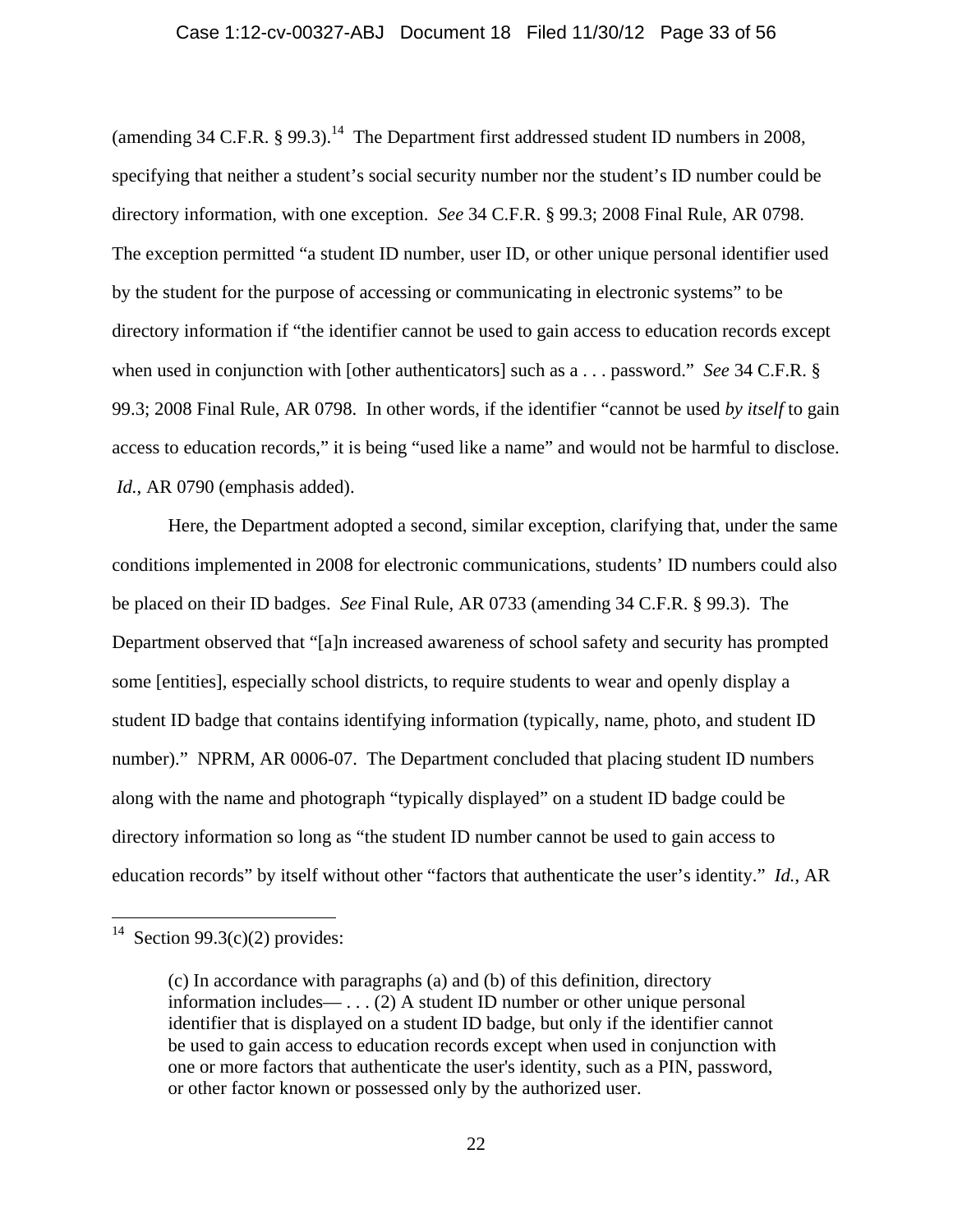#### Case 1:12-cv-00327-ABJ Document 18 Filed 11/30/12 Page 33 of 56

(amending 34 C.F.R.  $\S$  99.3).<sup>14</sup> The Department first addressed student ID numbers in 2008, specifying that neither a student's social security number nor the student's ID number could be directory information, with one exception. *See* 34 C.F.R. § 99.3; 2008 Final Rule, AR 0798. The exception permitted "a student ID number, user ID, or other unique personal identifier used by the student for the purpose of accessing or communicating in electronic systems" to be directory information if "the identifier cannot be used to gain access to education records except when used in conjunction with [other authenticators] such as a . . . password." *See* 34 C.F.R. § 99.3; 2008 Final Rule, AR 0798. In other words, if the identifier "cannot be used *by itself* to gain access to education records," it is being "used like a name" and would not be harmful to disclose. *Id.*, AR 0790 (emphasis added).

Here, the Department adopted a second, similar exception, clarifying that, under the same conditions implemented in 2008 for electronic communications, students' ID numbers could also be placed on their ID badges. *See* Final Rule, AR 0733 (amending 34 C.F.R. § 99.3). The Department observed that "[a]n increased awareness of school safety and security has prompted some [entities], especially school districts, to require students to wear and openly display a student ID badge that contains identifying information (typically, name, photo, and student ID number)." NPRM, AR 0006-07. The Department concluded that placing student ID numbers along with the name and photograph "typically displayed" on a student ID badge could be directory information so long as "the student ID number cannot be used to gain access to education records" by itself without other "factors that authenticate the user's identity." *Id.*, AR

 $\overline{a}$ 

<sup>&</sup>lt;sup>14</sup> Section 99.3(c)(2) provides:

<sup>(</sup>c) In accordance with paragraphs (a) and (b) of this definition, directory information includes— . . . (2) A student ID number or other unique personal identifier that is displayed on a student ID badge, but only if the identifier cannot be used to gain access to education records except when used in conjunction with one or more factors that authenticate the user's identity, such as a PIN, password, or other factor known or possessed only by the authorized user.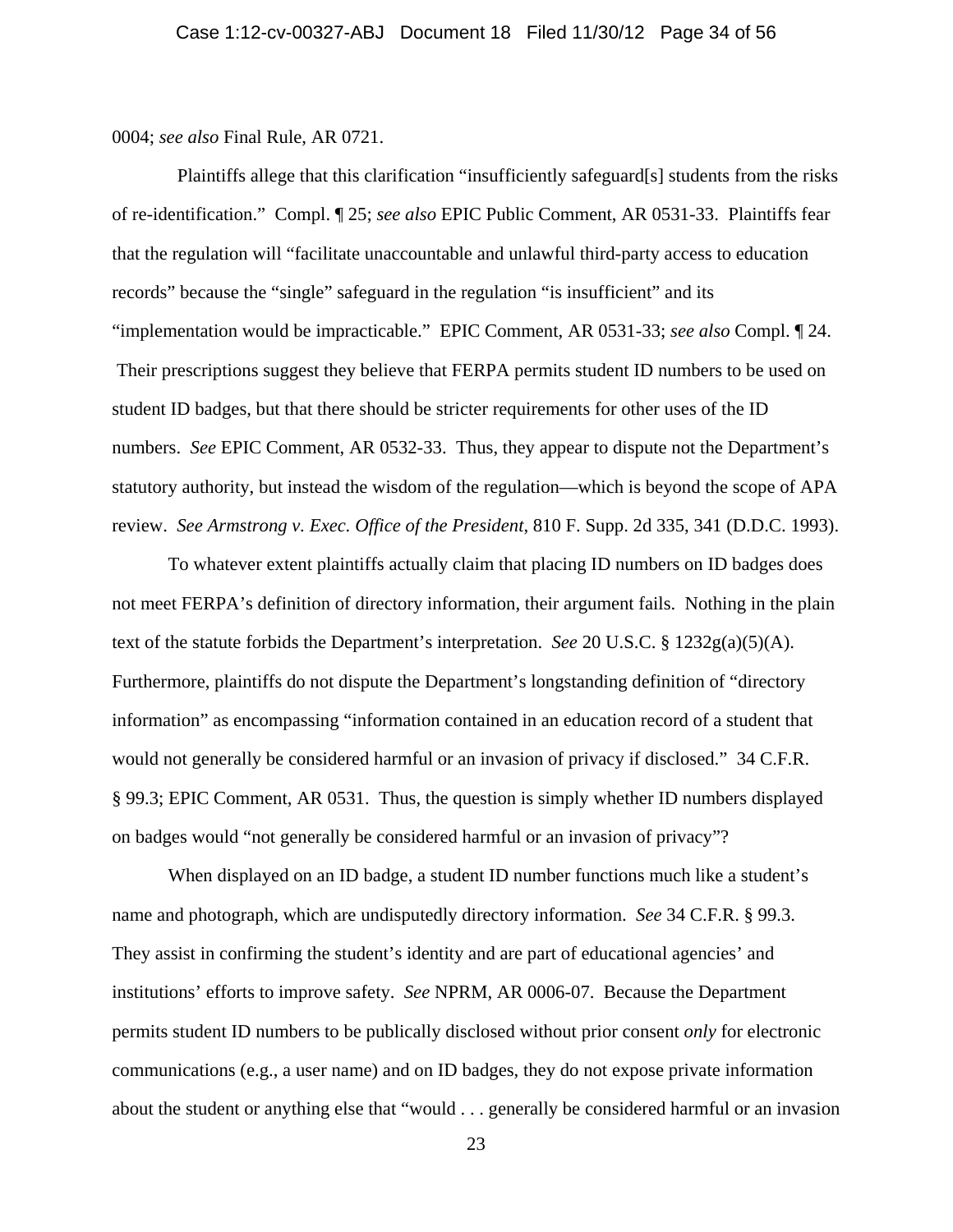0004; *see also* Final Rule, AR 0721.

 Plaintiffs allege that this clarification "insufficiently safeguard[s] students from the risks of re-identification." Compl. ¶ 25; *see also* EPIC Public Comment, AR 0531-33. Plaintiffs fear that the regulation will "facilitate unaccountable and unlawful third-party access to education records" because the "single" safeguard in the regulation "is insufficient" and its "implementation would be impracticable." EPIC Comment, AR 0531-33; *see also* Compl. ¶ 24. Their prescriptions suggest they believe that FERPA permits student ID numbers to be used on student ID badges, but that there should be stricter requirements for other uses of the ID numbers. *See* EPIC Comment, AR 0532-33. Thus, they appear to dispute not the Department's statutory authority, but instead the wisdom of the regulation—which is beyond the scope of APA review. *See Armstrong v. Exec. Office of the President*, 810 F. Supp. 2d 335, 341 (D.D.C. 1993).

To whatever extent plaintiffs actually claim that placing ID numbers on ID badges does not meet FERPA's definition of directory information, their argument fails. Nothing in the plain text of the statute forbids the Department's interpretation. *See* 20 U.S.C. § 1232g(a)(5)(A). Furthermore, plaintiffs do not dispute the Department's longstanding definition of "directory information" as encompassing "information contained in an education record of a student that would not generally be considered harmful or an invasion of privacy if disclosed." 34 C.F.R. § 99.3; EPIC Comment, AR 0531. Thus, the question is simply whether ID numbers displayed on badges would "not generally be considered harmful or an invasion of privacy"?

When displayed on an ID badge, a student ID number functions much like a student's name and photograph, which are undisputedly directory information. *See* 34 C.F.R. § 99.3. They assist in confirming the student's identity and are part of educational agencies' and institutions' efforts to improve safety. *See* NPRM, AR 0006-07. Because the Department permits student ID numbers to be publically disclosed without prior consent *only* for electronic communications (e.g., a user name) and on ID badges, they do not expose private information about the student or anything else that "would . . . generally be considered harmful or an invasion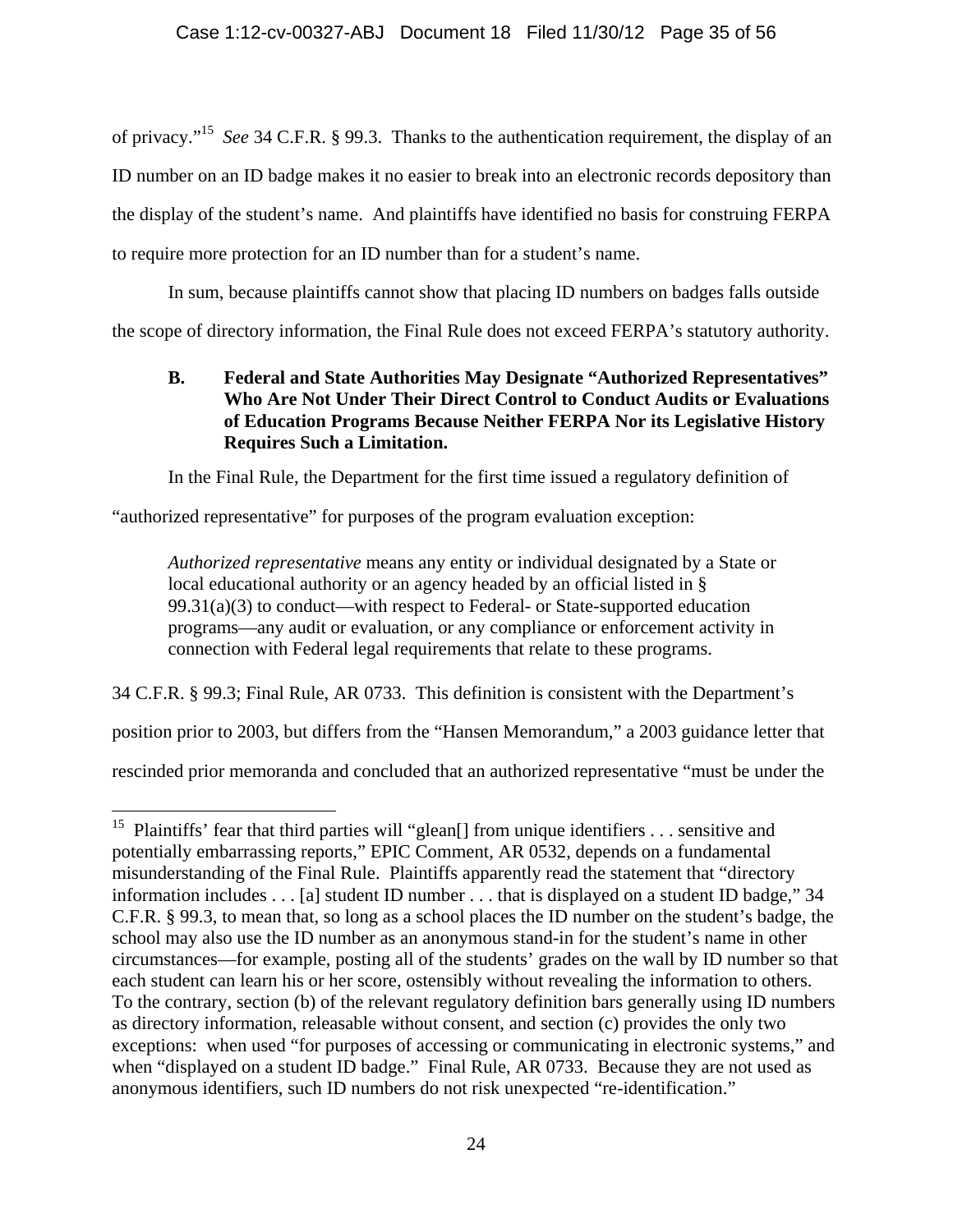of privacy."15 *See* 34 C.F.R. § 99.3. Thanks to the authentication requirement, the display of an ID number on an ID badge makes it no easier to break into an electronic records depository than the display of the student's name. And plaintiffs have identified no basis for construing FERPA to require more protection for an ID number than for a student's name.

In sum, because plaintiffs cannot show that placing ID numbers on badges falls outside the scope of directory information, the Final Rule does not exceed FERPA's statutory authority.

# **B. Federal and State Authorities May Designate "Authorized Representatives" Who Are Not Under Their Direct Control to Conduct Audits or Evaluations of Education Programs Because Neither FERPA Nor its Legislative History Requires Such a Limitation.**

In the Final Rule, the Department for the first time issued a regulatory definition of

"authorized representative" for purposes of the program evaluation exception:

 $\overline{a}$ 

*Authorized representative* means any entity or individual designated by a State or local educational authority or an agency headed by an official listed in §  $99.31(a)(3)$  to conduct—with respect to Federal- or State-supported education programs—any audit or evaluation, or any compliance or enforcement activity in connection with Federal legal requirements that relate to these programs.

34 C.F.R. § 99.3; Final Rule, AR 0733. This definition is consistent with the Department's

position prior to 2003, but differs from the "Hansen Memorandum," a 2003 guidance letter that

rescinded prior memoranda and concluded that an authorized representative "must be under the

<sup>&</sup>lt;sup>15</sup> Plaintiffs' fear that third parties will "glean[] from unique identifiers . . . sensitive and potentially embarrassing reports," EPIC Comment, AR 0532, depends on a fundamental misunderstanding of the Final Rule. Plaintiffs apparently read the statement that "directory information includes . . . [a] student ID number . . . that is displayed on a student ID badge," 34 C.F.R. § 99.3, to mean that, so long as a school places the ID number on the student's badge, the school may also use the ID number as an anonymous stand-in for the student's name in other circumstances—for example, posting all of the students' grades on the wall by ID number so that each student can learn his or her score, ostensibly without revealing the information to others. To the contrary, section (b) of the relevant regulatory definition bars generally using ID numbers as directory information, releasable without consent, and section (c) provides the only two exceptions: when used "for purposes of accessing or communicating in electronic systems," and when "displayed on a student ID badge." Final Rule, AR 0733. Because they are not used as anonymous identifiers, such ID numbers do not risk unexpected "re-identification."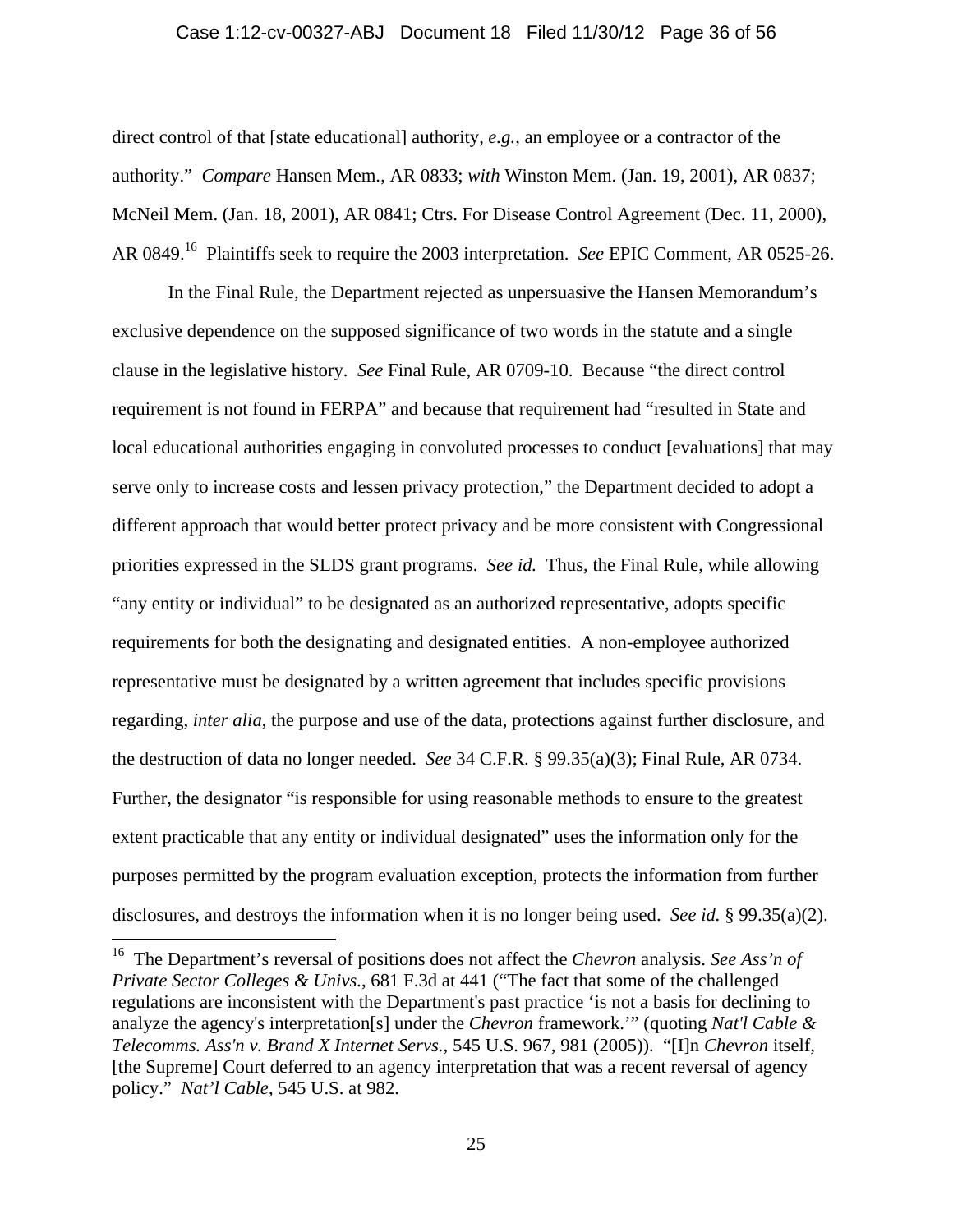#### Case 1:12-cv-00327-ABJ Document 18 Filed 11/30/12 Page 36 of 56

direct control of that [state educational] authority, *e.g.*, an employee or a contractor of the authority." *Compare* Hansen Mem., AR 0833; *with* Winston Mem. (Jan. 19, 2001), AR 0837; McNeil Mem. (Jan. 18, 2001), AR 0841; Ctrs. For Disease Control Agreement (Dec. 11, 2000), AR 0849.16 Plaintiffs seek to require the 2003 interpretation. *See* EPIC Comment, AR 0525-26.

In the Final Rule, the Department rejected as unpersuasive the Hansen Memorandum's exclusive dependence on the supposed significance of two words in the statute and a single clause in the legislative history. *See* Final Rule, AR 0709-10. Because "the direct control requirement is not found in FERPA" and because that requirement had "resulted in State and local educational authorities engaging in convoluted processes to conduct [evaluations] that may serve only to increase costs and lessen privacy protection," the Department decided to adopt a different approach that would better protect privacy and be more consistent with Congressional priorities expressed in the SLDS grant programs. *See id.* Thus, the Final Rule, while allowing "any entity or individual" to be designated as an authorized representative, adopts specific requirements for both the designating and designated entities. A non-employee authorized representative must be designated by a written agreement that includes specific provisions regarding, *inter alia*, the purpose and use of the data, protections against further disclosure, and the destruction of data no longer needed. *See* 34 C.F.R. § 99.35(a)(3); Final Rule, AR 0734. Further, the designator "is responsible for using reasonable methods to ensure to the greatest extent practicable that any entity or individual designated" uses the information only for the purposes permitted by the program evaluation exception, protects the information from further disclosures, and destroys the information when it is no longer being used. *See id.* § 99.35(a)(2).

 $\overline{a}$ 

<sup>16</sup> The Department's reversal of positions does not affect the *Chevron* analysis. *See Ass'n of Private Sector Colleges & Univs.*, 681 F.3d at 441 ("The fact that some of the challenged regulations are inconsistent with the Department's past practice 'is not a basis for declining to analyze the agency's interpretation[s] under the *Chevron* framework.'" (quoting *Nat'l Cable & Telecomms. Ass'n v. Brand X Internet Servs.*, 545 U.S. 967, 981 (2005)). "[I]n *Chevron* itself, [the Supreme] Court deferred to an agency interpretation that was a recent reversal of agency policy." *Nat'l Cable*, 545 U.S. at 982.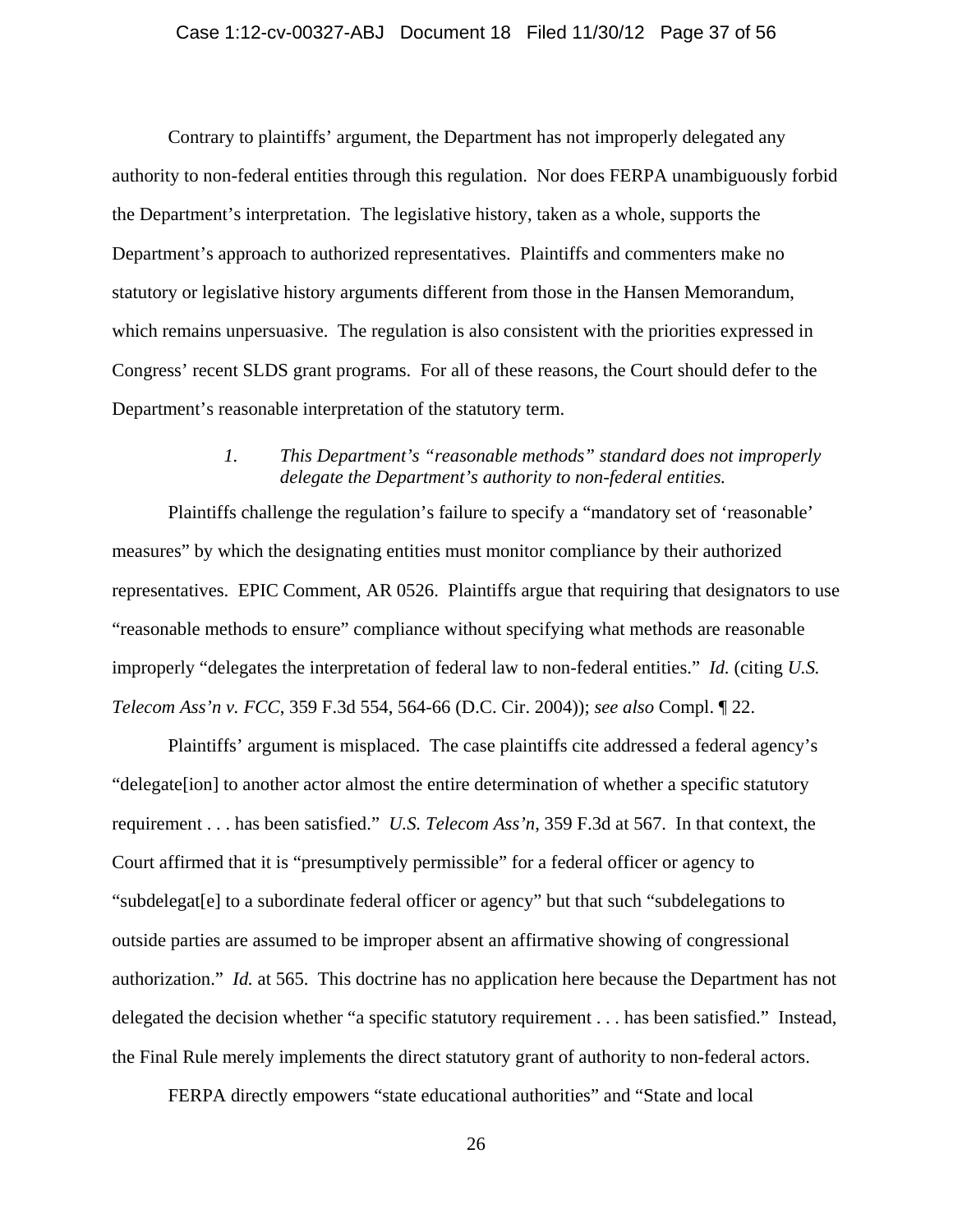#### Case 1:12-cv-00327-ABJ Document 18 Filed 11/30/12 Page 37 of 56

Contrary to plaintiffs' argument, the Department has not improperly delegated any authority to non-federal entities through this regulation. Nor does FERPA unambiguously forbid the Department's interpretation. The legislative history, taken as a whole, supports the Department's approach to authorized representatives. Plaintiffs and commenters make no statutory or legislative history arguments different from those in the Hansen Memorandum, which remains unpersuasive. The regulation is also consistent with the priorities expressed in Congress' recent SLDS grant programs. For all of these reasons, the Court should defer to the Department's reasonable interpretation of the statutory term.

# *1. This Department's "reasonable methods" standard does not improperly delegate the Department's authority to non-federal entities.*

Plaintiffs challenge the regulation's failure to specify a "mandatory set of 'reasonable' measures" by which the designating entities must monitor compliance by their authorized representatives. EPIC Comment, AR 0526. Plaintiffs argue that requiring that designators to use "reasonable methods to ensure" compliance without specifying what methods are reasonable improperly "delegates the interpretation of federal law to non-federal entities." *Id.* (citing *U.S. Telecom Ass'n v. FCC*, 359 F.3d 554, 564-66 (D.C. Cir. 2004)); *see also* Compl. ¶ 22.

Plaintiffs' argument is misplaced. The case plaintiffs cite addressed a federal agency's "delegate[ion] to another actor almost the entire determination of whether a specific statutory requirement . . . has been satisfied." *U.S. Telecom Ass'n*, 359 F.3d at 567. In that context, the Court affirmed that it is "presumptively permissible" for a federal officer or agency to "subdelegat[e] to a subordinate federal officer or agency" but that such "subdelegations to outside parties are assumed to be improper absent an affirmative showing of congressional authorization." *Id.* at 565. This doctrine has no application here because the Department has not delegated the decision whether "a specific statutory requirement . . . has been satisfied." Instead, the Final Rule merely implements the direct statutory grant of authority to non-federal actors.

FERPA directly empowers "state educational authorities" and "State and local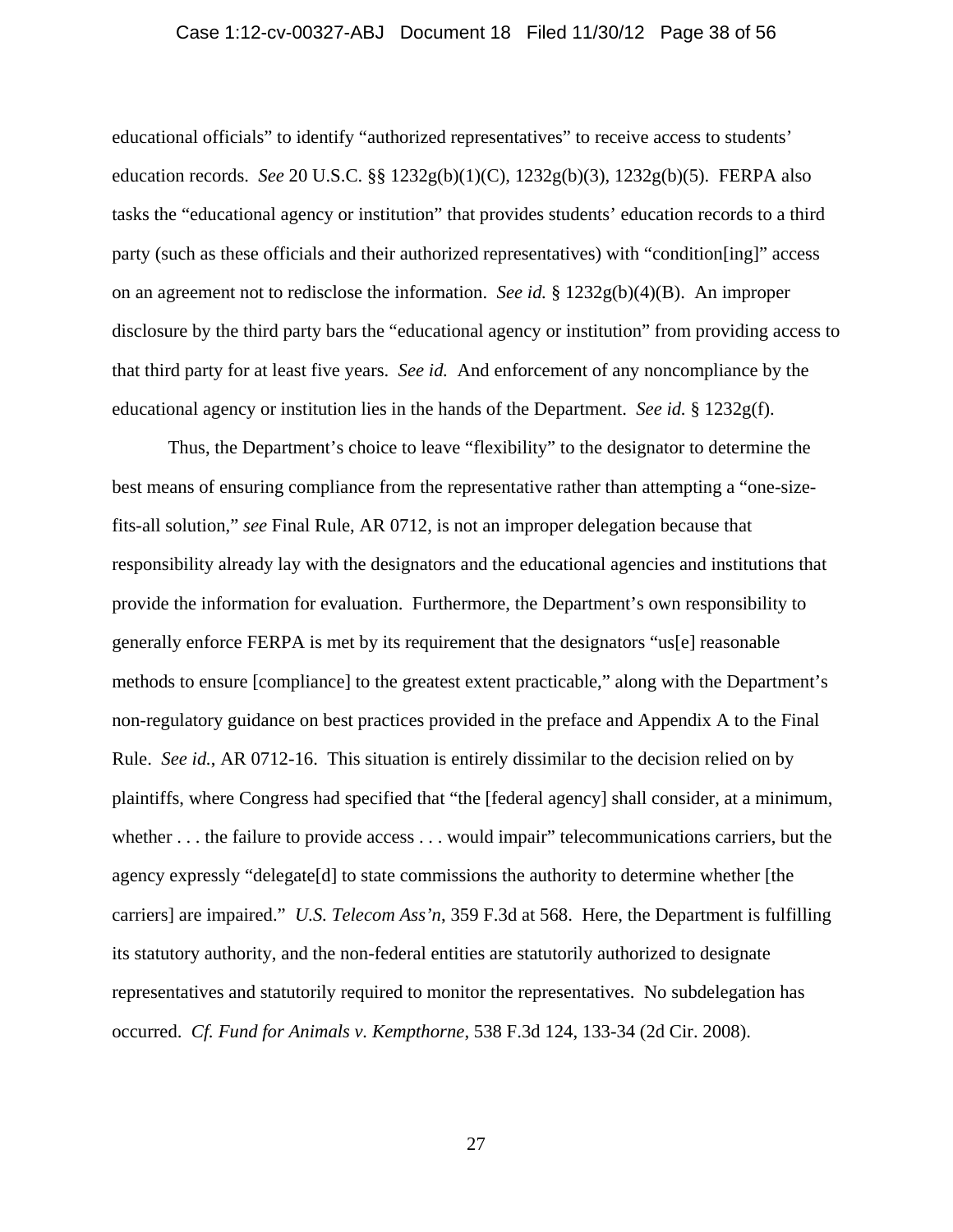#### Case 1:12-cv-00327-ABJ Document 18 Filed 11/30/12 Page 38 of 56

educational officials" to identify "authorized representatives" to receive access to students' education records. *See* 20 U.S.C. §§ 1232g(b)(1)(C), 1232g(b)(3), 1232g(b)(5). FERPA also tasks the "educational agency or institution" that provides students' education records to a third party (such as these officials and their authorized representatives) with "condition[ing]" access on an agreement not to redisclose the information. *See id.* § 1232g(b)(4)(B). An improper disclosure by the third party bars the "educational agency or institution" from providing access to that third party for at least five years. *See id.* And enforcement of any noncompliance by the educational agency or institution lies in the hands of the Department. *See id.* § 1232g(f).

Thus, the Department's choice to leave "flexibility" to the designator to determine the best means of ensuring compliance from the representative rather than attempting a "one-sizefits-all solution," *see* Final Rule, AR 0712, is not an improper delegation because that responsibility already lay with the designators and the educational agencies and institutions that provide the information for evaluation. Furthermore, the Department's own responsibility to generally enforce FERPA is met by its requirement that the designators "us[e] reasonable methods to ensure [compliance] to the greatest extent practicable," along with the Department's non-regulatory guidance on best practices provided in the preface and Appendix A to the Final Rule. *See id.*, AR 0712-16. This situation is entirely dissimilar to the decision relied on by plaintiffs, where Congress had specified that "the [federal agency] shall consider, at a minimum, whether . . . the failure to provide access . . . would impair" telecommunications carriers, but the agency expressly "delegate[d] to state commissions the authority to determine whether [the carriers] are impaired." *U.S. Telecom Ass'n*, 359 F.3d at 568. Here, the Department is fulfilling its statutory authority, and the non-federal entities are statutorily authorized to designate representatives and statutorily required to monitor the representatives. No subdelegation has occurred. *Cf. Fund for Animals v. Kempthorne*, 538 F.3d 124, 133-34 (2d Cir. 2008).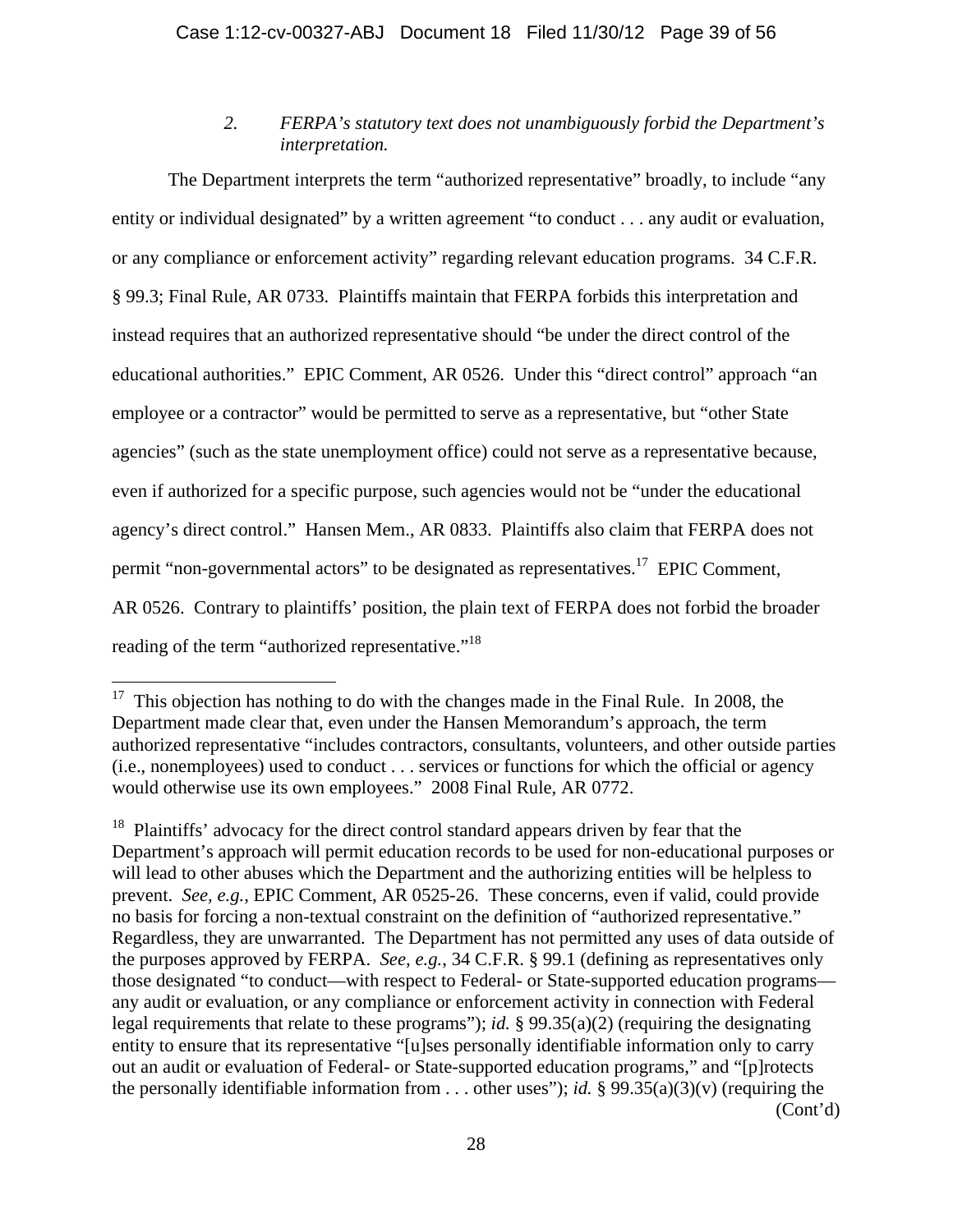# *2. FERPA's statutory text does not unambiguously forbid the Department's interpretation.*

The Department interprets the term "authorized representative" broadly, to include "any entity or individual designated" by a written agreement "to conduct . . . any audit or evaluation, or any compliance or enforcement activity" regarding relevant education programs. 34 C.F.R. § 99.3; Final Rule, AR 0733. Plaintiffs maintain that FERPA forbids this interpretation and instead requires that an authorized representative should "be under the direct control of the educational authorities." EPIC Comment, AR 0526. Under this "direct control" approach "an employee or a contractor" would be permitted to serve as a representative, but "other State agencies" (such as the state unemployment office) could not serve as a representative because, even if authorized for a specific purpose, such agencies would not be "under the educational agency's direct control." Hansen Mem., AR 0833. Plaintiffs also claim that FERPA does not permit "non-governmental actors" to be designated as representatives.17 EPIC Comment, AR 0526. Contrary to plaintiffs' position, the plain text of FERPA does not forbid the broader reading of the term "authorized representative."<sup>18</sup>

 $\overline{a}$ 

<sup>&</sup>lt;sup>17</sup> This objection has nothing to do with the changes made in the Final Rule. In 2008, the Department made clear that, even under the Hansen Memorandum's approach, the term authorized representative "includes contractors, consultants, volunteers, and other outside parties (i.e., nonemployees) used to conduct . . . services or functions for which the official or agency would otherwise use its own employees." 2008 Final Rule, AR 0772.

<sup>&</sup>lt;sup>18</sup> Plaintiffs' advocacy for the direct control standard appears driven by fear that the Department's approach will permit education records to be used for non-educational purposes or will lead to other abuses which the Department and the authorizing entities will be helpless to prevent. *See, e.g.*, EPIC Comment, AR 0525-26. These concerns, even if valid, could provide no basis for forcing a non-textual constraint on the definition of "authorized representative." Regardless, they are unwarranted. The Department has not permitted any uses of data outside of the purposes approved by FERPA. *See, e.g.*, 34 C.F.R. § 99.1 (defining as representatives only those designated "to conduct—with respect to Federal- or State-supported education programs any audit or evaluation, or any compliance or enforcement activity in connection with Federal legal requirements that relate to these programs"); *id.* § 99.35(a)(2) (requiring the designating entity to ensure that its representative "[u]ses personally identifiable information only to carry out an audit or evaluation of Federal- or State-supported education programs," and "[p]rotects the personally identifiable information from  $\dots$  other uses"); *id.* § 99.35(a)(3)(v) (requiring the (Cont'd)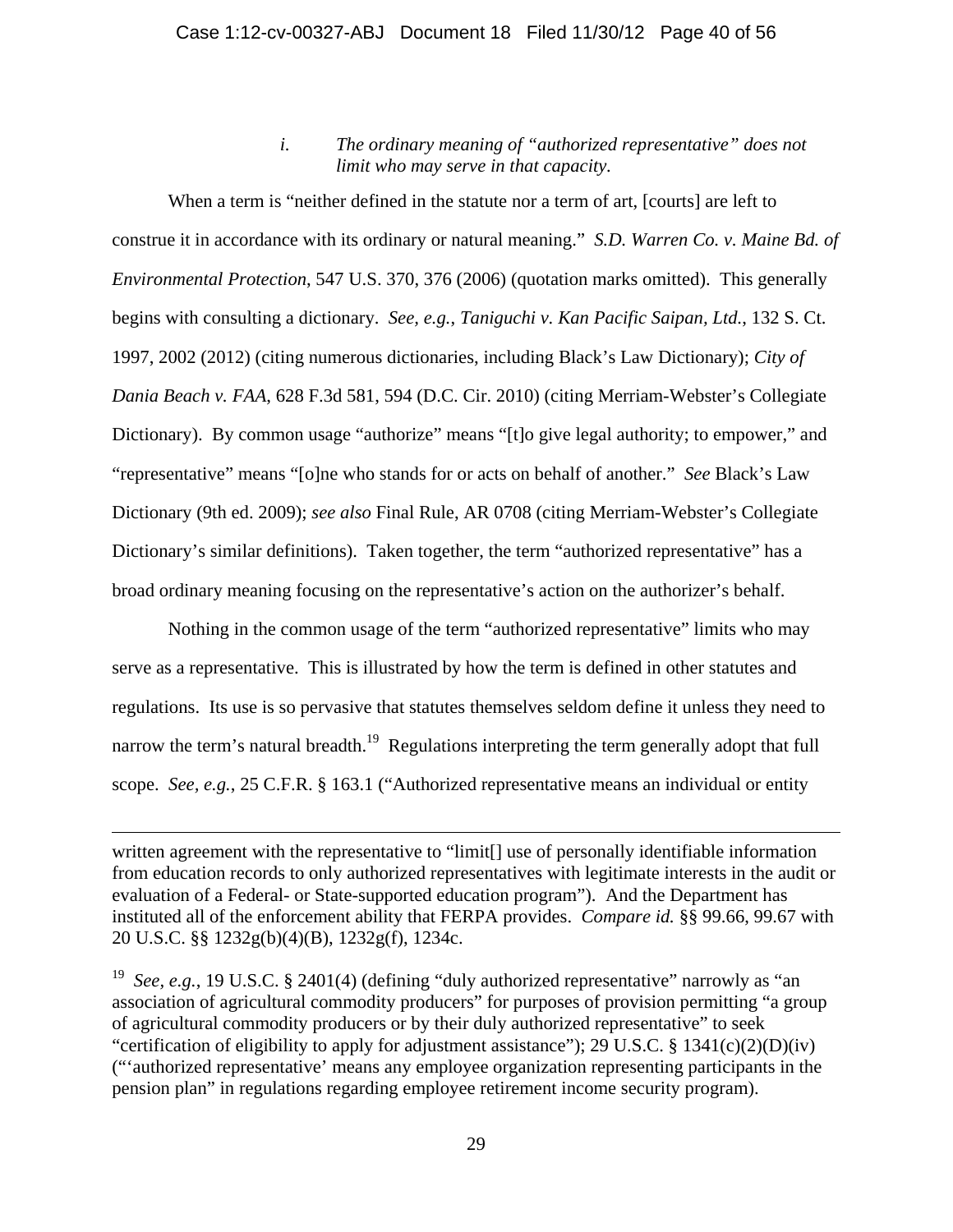*i. The ordinary meaning of "authorized representative" does not limit who may serve in that capacity.* 

When a term is "neither defined in the statute nor a term of art, [courts] are left to construe it in accordance with its ordinary or natural meaning." *S.D. Warren Co. v. Maine Bd. of Environmental Protection*, 547 U.S. 370, 376 (2006) (quotation marks omitted). This generally begins with consulting a dictionary. *See, e.g.*, *Taniguchi v. Kan Pacific Saipan, Ltd.*, 132 S. Ct. 1997, 2002 (2012) (citing numerous dictionaries, including Black's Law Dictionary); *City of Dania Beach v. FAA*, 628 F.3d 581, 594 (D.C. Cir. 2010) (citing Merriam-Webster's Collegiate Dictionary). By common usage "authorize" means "[t]o give legal authority; to empower," and "representative" means "[o]ne who stands for or acts on behalf of another." *See* Black's Law Dictionary (9th ed. 2009); *see also* Final Rule, AR 0708 (citing Merriam-Webster's Collegiate Dictionary's similar definitions). Taken together, the term "authorized representative" has a broad ordinary meaning focusing on the representative's action on the authorizer's behalf.

Nothing in the common usage of the term "authorized representative" limits who may serve as a representative. This is illustrated by how the term is defined in other statutes and regulations. Its use is so pervasive that statutes themselves seldom define it unless they need to narrow the term's natural breadth.<sup>19</sup> Regulations interpreting the term generally adopt that full scope. *See, e.g.*, 25 C.F.R. § 163.1 ("Authorized representative means an individual or entity

 $\overline{a}$ 

written agreement with the representative to "limit[] use of personally identifiable information from education records to only authorized representatives with legitimate interests in the audit or evaluation of a Federal- or State-supported education program"). And the Department has instituted all of the enforcement ability that FERPA provides. *Compare id.* §§ 99.66, 99.67 with 20 U.S.C. §§ 1232g(b)(4)(B), 1232g(f), 1234c.

<sup>&</sup>lt;sup>19</sup> *See, e.g.*, 19 U.S.C. § 2401(4) (defining "duly authorized representative" narrowly as "an association of agricultural commodity producers" for purposes of provision permitting "a group of agricultural commodity producers or by their duly authorized representative" to seek "certification of eligibility to apply for adjustment assistance"); 29 U.S.C. § 1341(c)(2)(D)(iv) ("'authorized representative' means any employee organization representing participants in the pension plan" in regulations regarding employee retirement income security program).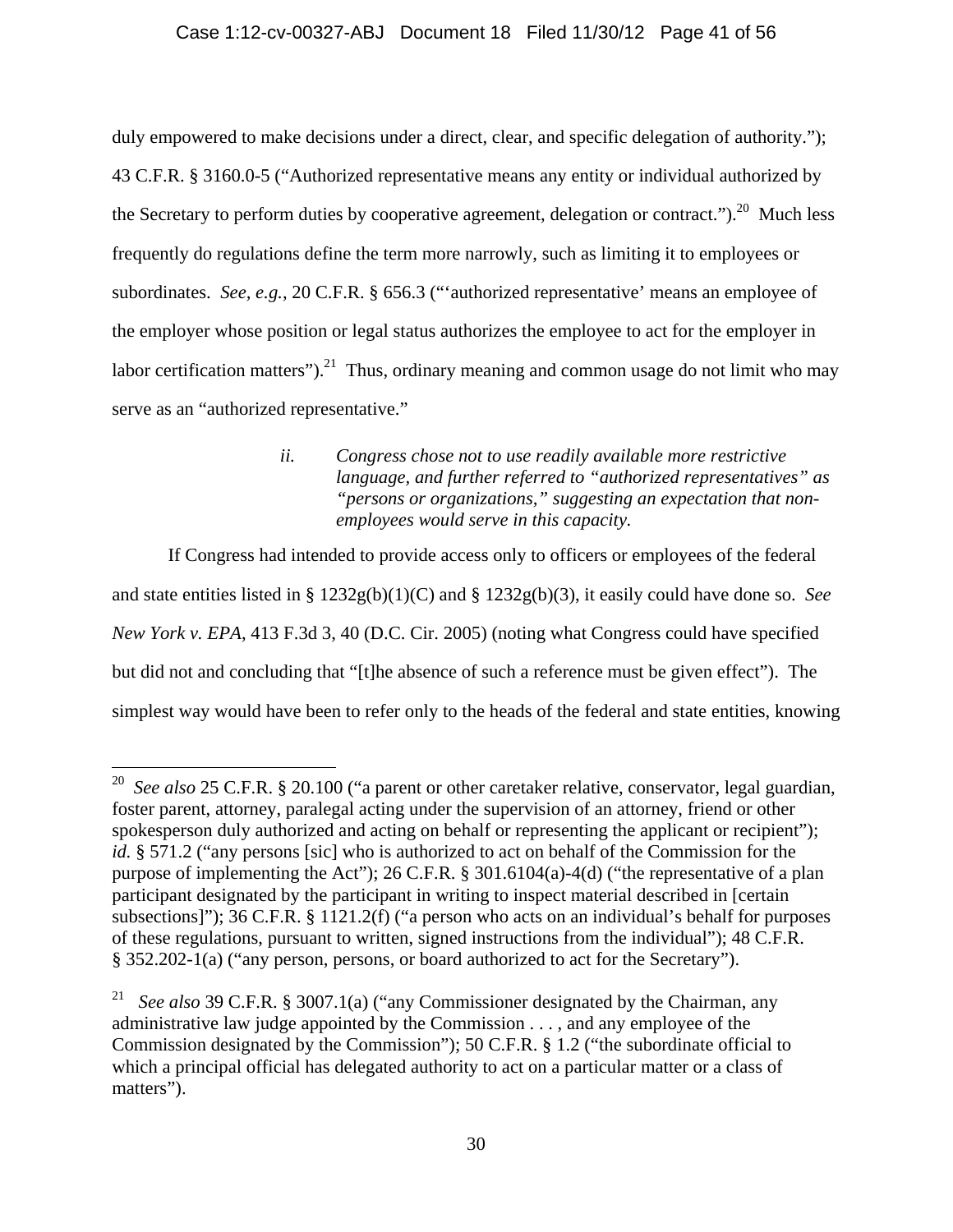## Case 1:12-cv-00327-ABJ Document 18 Filed 11/30/12 Page 41 of 56

duly empowered to make decisions under a direct, clear, and specific delegation of authority."); 43 C.F.R. § 3160.0-5 ("Authorized representative means any entity or individual authorized by the Secretary to perform duties by cooperative agreement, delegation or contract." $)^{20}$  Much less frequently do regulations define the term more narrowly, such as limiting it to employees or subordinates. *See, e.g.*, 20 C.F.R. § 656.3 ("'authorized representative' means an employee of the employer whose position or legal status authorizes the employee to act for the employer in labor certification matters").<sup>21</sup> Thus, ordinary meaning and common usage do not limit who may serve as an "authorized representative."

# *ii. Congress chose not to use readily available more restrictive language, and further referred to "authorized representatives" as "persons or organizations," suggesting an expectation that nonemployees would serve in this capacity.*

If Congress had intended to provide access only to officers or employees of the federal and state entities listed in § 1232g(b)(1)(C) and § 1232g(b)(3), it easily could have done so. *See New York v. EPA*, 413 F.3d 3, 40 (D.C. Cir. 2005) (noting what Congress could have specified but did not and concluding that "[t]he absence of such a reference must be given effect"). The simplest way would have been to refer only to the heads of the federal and state entities, knowing

<u>.</u>

<sup>20</sup> *See also* 25 C.F.R. § 20.100 ("a parent or other caretaker relative, conservator, legal guardian, foster parent, attorney, paralegal acting under the supervision of an attorney, friend or other spokesperson duly authorized and acting on behalf or representing the applicant or recipient"); *id.* § 571.2 ("any persons [sic] who is authorized to act on behalf of the Commission for the purpose of implementing the Act"); 26 C.F.R. § 301.6104(a)-4(d) ("the representative of a plan participant designated by the participant in writing to inspect material described in [certain subsections]"); 36 C.F.R. § 1121.2(f) ("a person who acts on an individual's behalf for purposes of these regulations, pursuant to written, signed instructions from the individual"); 48 C.F.R. § 352.202-1(a) ("any person, persons, or board authorized to act for the Secretary").

<sup>21</sup> *See also* 39 C.F.R. § 3007.1(a) ("any Commissioner designated by the Chairman, any administrative law judge appointed by the Commission . . . , and any employee of the Commission designated by the Commission"); 50 C.F.R. § 1.2 ("the subordinate official to which a principal official has delegated authority to act on a particular matter or a class of matters").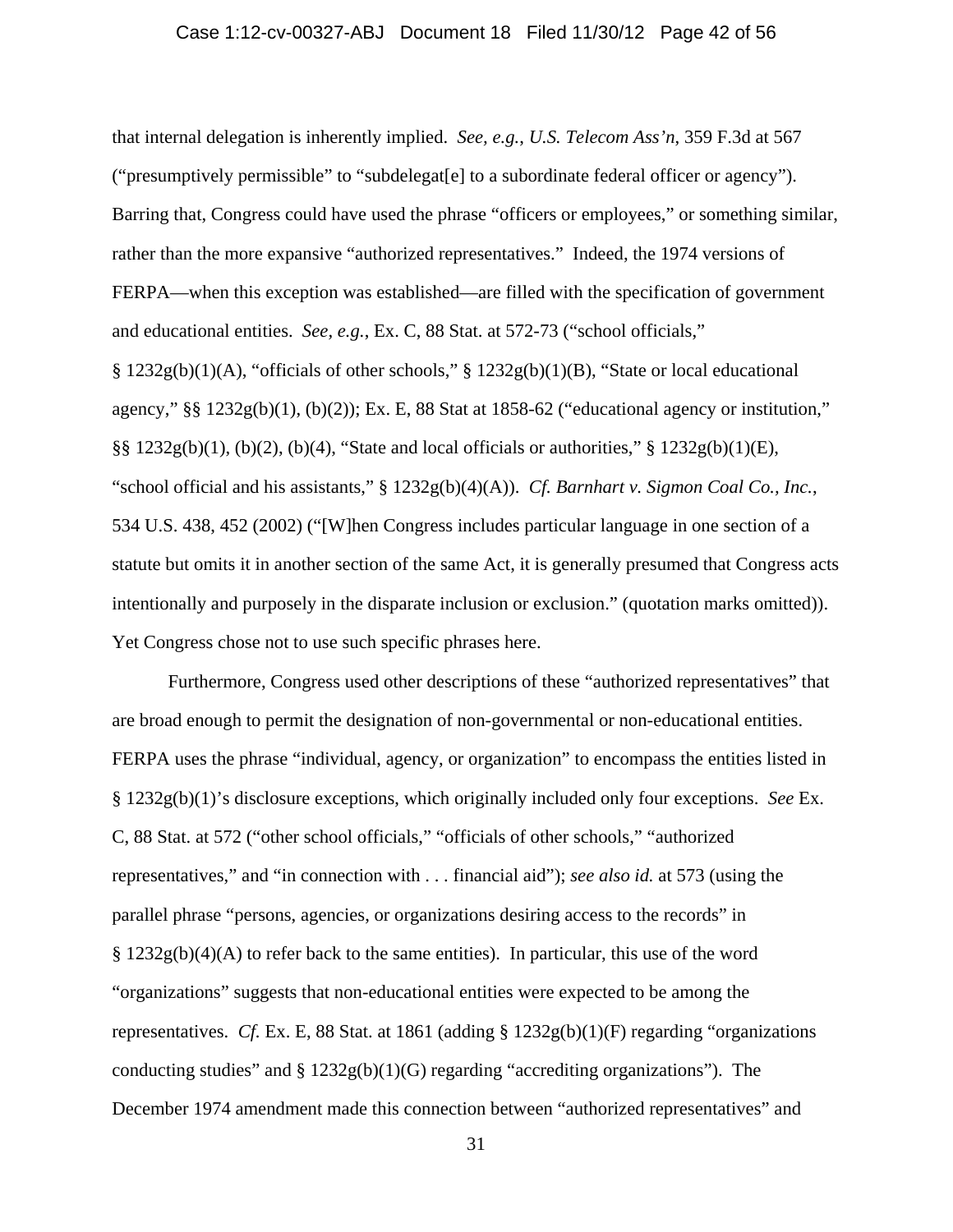### Case 1:12-cv-00327-ABJ Document 18 Filed 11/30/12 Page 42 of 56

that internal delegation is inherently implied. *See, e.g.*, *U.S. Telecom Ass'n*, 359 F.3d at 567 ("presumptively permissible" to "subdelegat[e] to a subordinate federal officer or agency"). Barring that, Congress could have used the phrase "officers or employees," or something similar, rather than the more expansive "authorized representatives." Indeed, the 1974 versions of FERPA—when this exception was established—are filled with the specification of government and educational entities. *See, e.g.*, Ex. C, 88 Stat. at 572-73 ("school officials,"  $\S 1232g(b)(1)(A)$ , "officials of other schools,"  $\S 1232g(b)(1)(B)$ , "State or local educational agency," §§ 1232g(b)(1), (b)(2)); Ex. E, 88 Stat at 1858-62 ("educational agency or institution,"  $\S$ § 1232g(b)(1), (b)(2), (b)(4), "State and local officials or authorities," § 1232g(b)(1)(E), "school official and his assistants," § 1232g(b)(4)(A)). *Cf. Barnhart v. Sigmon Coal Co., Inc.*, 534 U.S. 438, 452 (2002) ("[W]hen Congress includes particular language in one section of a statute but omits it in another section of the same Act, it is generally presumed that Congress acts intentionally and purposely in the disparate inclusion or exclusion." (quotation marks omitted)). Yet Congress chose not to use such specific phrases here.

Furthermore, Congress used other descriptions of these "authorized representatives" that are broad enough to permit the designation of non-governmental or non-educational entities. FERPA uses the phrase "individual, agency, or organization" to encompass the entities listed in § 1232g(b)(1)'s disclosure exceptions, which originally included only four exceptions. *See* Ex. C, 88 Stat. at 572 ("other school officials," "officials of other schools," "authorized representatives," and "in connection with . . . financial aid"); *see also id.* at 573 (using the parallel phrase "persons, agencies, or organizations desiring access to the records" in  $\S 1232g(b)(4)(A)$  to refer back to the same entities). In particular, this use of the word "organizations" suggests that non-educational entities were expected to be among the representatives. *Cf.* Ex. E, 88 Stat. at 1861 (adding  $\S$  1232g(b)(1)(F) regarding "organizations conducting studies" and  $\S 1232g(b)(1)(G)$  regarding "accrediting organizations"). The December 1974 amendment made this connection between "authorized representatives" and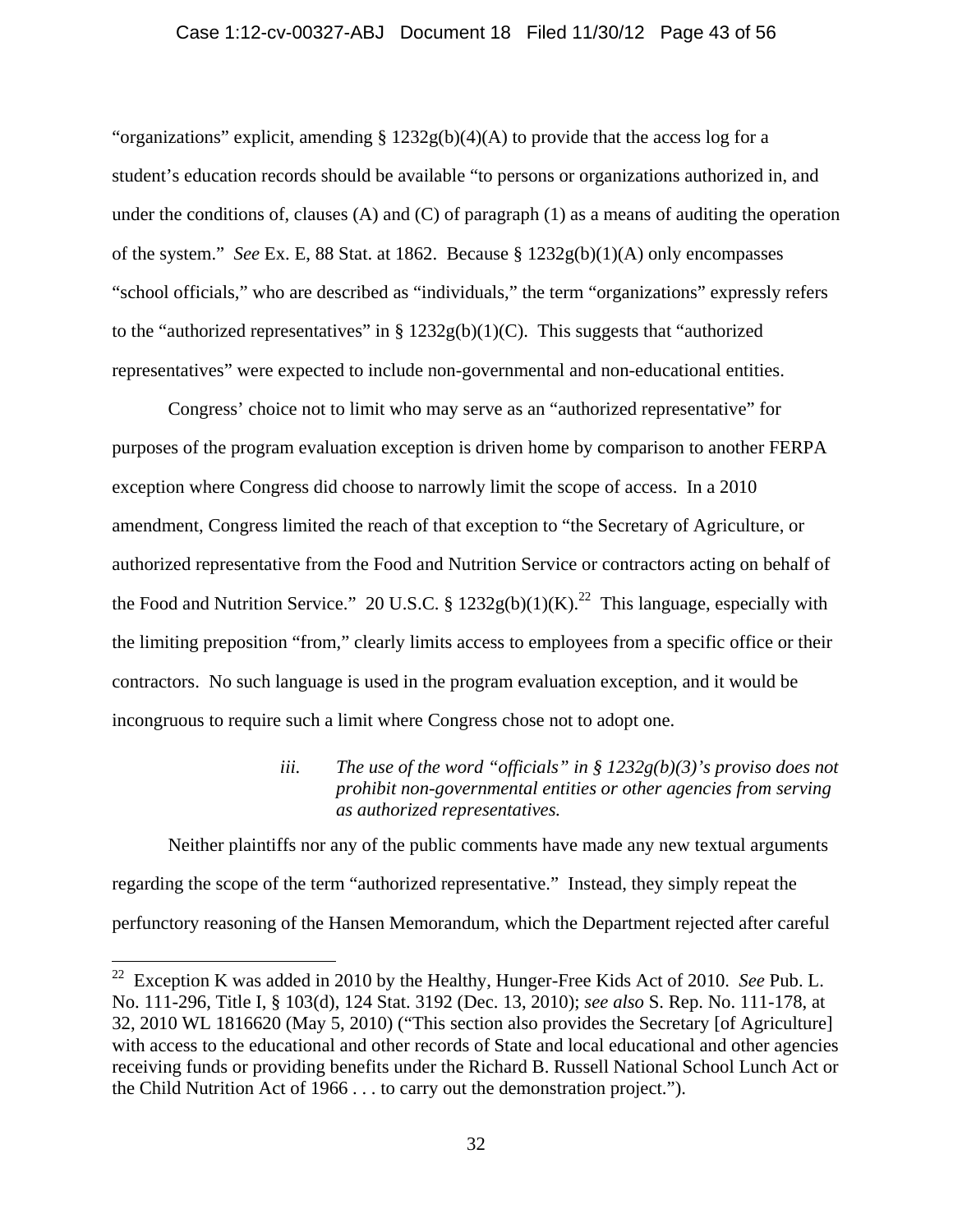### Case 1:12-cv-00327-ABJ Document 18 Filed 11/30/12 Page 43 of 56

"organizations" explicit, amending  $\S 1232g(b)(4)(A)$  to provide that the access log for a student's education records should be available "to persons or organizations authorized in, and under the conditions of, clauses (A) and (C) of paragraph  $(1)$  as a means of auditing the operation of the system." *See* Ex. E, 88 Stat. at 1862. Because § 1232g(b)(1)(A) only encompasses "school officials," who are described as "individuals," the term "organizations" expressly refers to the "authorized representatives" in  $\S 1232g(b)(1)(C)$ . This suggests that "authorized representatives" were expected to include non-governmental and non-educational entities.

Congress' choice not to limit who may serve as an "authorized representative" for purposes of the program evaluation exception is driven home by comparison to another FERPA exception where Congress did choose to narrowly limit the scope of access. In a 2010 amendment, Congress limited the reach of that exception to "the Secretary of Agriculture, or authorized representative from the Food and Nutrition Service or contractors acting on behalf of the Food and Nutrition Service." 20 U.S.C. § 1232g(b)(1)(K).<sup>22</sup> This language, especially with the limiting preposition "from," clearly limits access to employees from a specific office or their contractors. No such language is used in the program evaluation exception, and it would be incongruous to require such a limit where Congress chose not to adopt one.

# *iii. The use of the word "officials" in § 1232g(b)(3)'s proviso does not prohibit non-governmental entities or other agencies from serving as authorized representatives.*

Neither plaintiffs nor any of the public comments have made any new textual arguments regarding the scope of the term "authorized representative." Instead, they simply repeat the perfunctory reasoning of the Hansen Memorandum, which the Department rejected after careful

 $\overline{a}$ 

<sup>22</sup> Exception K was added in 2010 by the Healthy, Hunger-Free Kids Act of 2010. *See* Pub. L. No. 111-296, Title I, § 103(d), 124 Stat. 3192 (Dec. 13, 2010); *see also* S. Rep. No. 111-178, at 32, 2010 WL 1816620 (May 5, 2010) ("This section also provides the Secretary [of Agriculture] with access to the educational and other records of State and local educational and other agencies receiving funds or providing benefits under the Richard B. Russell National School Lunch Act or the Child Nutrition Act of 1966 . . . to carry out the demonstration project.").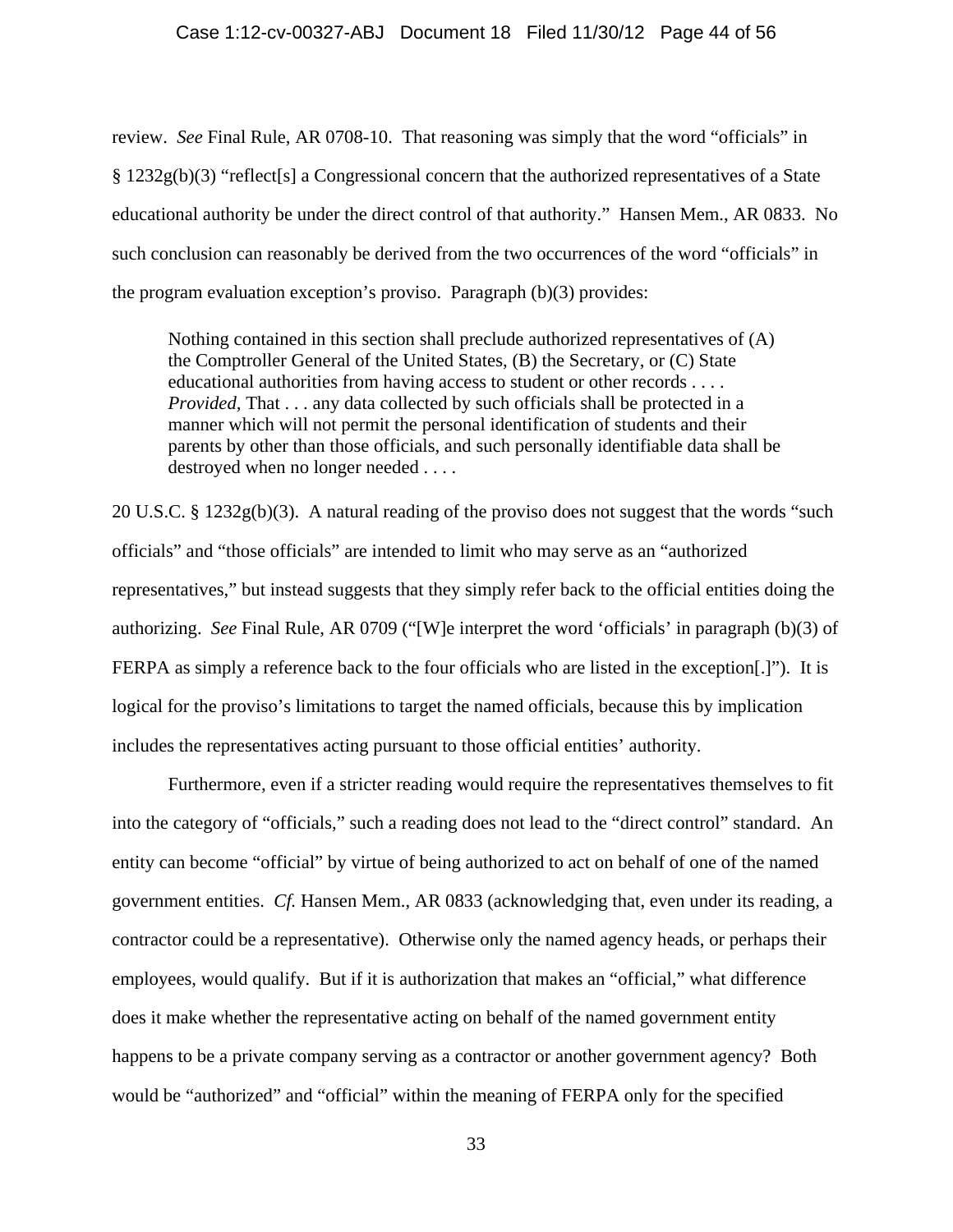#### Case 1:12-cv-00327-ABJ Document 18 Filed 11/30/12 Page 44 of 56

review. *See* Final Rule, AR 0708-10. That reasoning was simply that the word "officials" in § 1232g(b)(3) "reflect[s] a Congressional concern that the authorized representatives of a State educational authority be under the direct control of that authority." Hansen Mem., AR 0833. No such conclusion can reasonably be derived from the two occurrences of the word "officials" in the program evaluation exception's proviso. Paragraph (b)(3) provides:

Nothing contained in this section shall preclude authorized representatives of (A) the Comptroller General of the United States, (B) the Secretary, or (C) State educational authorities from having access to student or other records . . . . *Provided,* That . . . any data collected by such officials shall be protected in a manner which will not permit the personal identification of students and their parents by other than those officials, and such personally identifiable data shall be destroyed when no longer needed . . . .

20 U.S.C. § 1232g(b)(3). A natural reading of the proviso does not suggest that the words "such officials" and "those officials" are intended to limit who may serve as an "authorized representatives," but instead suggests that they simply refer back to the official entities doing the authorizing. *See* Final Rule, AR 0709 ("[W]e interpret the word 'officials' in paragraph (b)(3) of FERPA as simply a reference back to the four officials who are listed in the exception[.]"). It is logical for the proviso's limitations to target the named officials, because this by implication includes the representatives acting pursuant to those official entities' authority.

 Furthermore, even if a stricter reading would require the representatives themselves to fit into the category of "officials," such a reading does not lead to the "direct control" standard. An entity can become "official" by virtue of being authorized to act on behalf of one of the named government entities. *Cf.* Hansen Mem., AR 0833 (acknowledging that, even under its reading, a contractor could be a representative). Otherwise only the named agency heads, or perhaps their employees, would qualify. But if it is authorization that makes an "official," what difference does it make whether the representative acting on behalf of the named government entity happens to be a private company serving as a contractor or another government agency? Both would be "authorized" and "official" within the meaning of FERPA only for the specified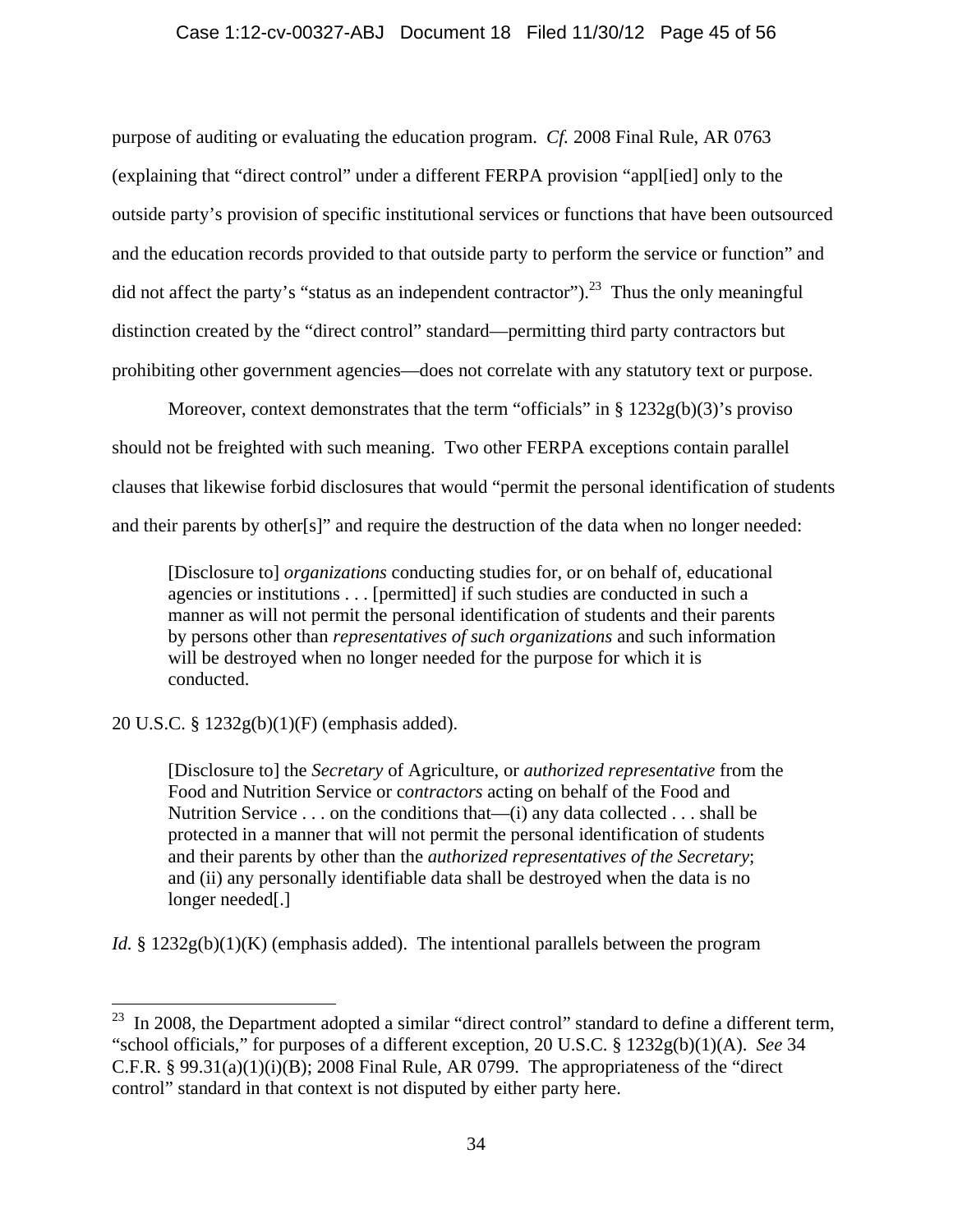### Case 1:12-cv-00327-ABJ Document 18 Filed 11/30/12 Page 45 of 56

purpose of auditing or evaluating the education program. *Cf.* 2008 Final Rule, AR 0763 (explaining that "direct control" under a different FERPA provision "appl[ied] only to the outside party's provision of specific institutional services or functions that have been outsourced and the education records provided to that outside party to perform the service or function" and did not affect the party's "status as an independent contractor").<sup>23</sup> Thus the only meaningful distinction created by the "direct control" standard—permitting third party contractors but prohibiting other government agencies—does not correlate with any statutory text or purpose.

Moreover, context demonstrates that the term "officials" in  $\S 1232g(b)(3)$ 's proviso should not be freighted with such meaning. Two other FERPA exceptions contain parallel clauses that likewise forbid disclosures that would "permit the personal identification of students and their parents by other[s]" and require the destruction of the data when no longer needed:

[Disclosure to] *organizations* conducting studies for, or on behalf of, educational agencies or institutions . . . [permitted] if such studies are conducted in such a manner as will not permit the personal identification of students and their parents by persons other than *representatives of such organizations* and such information will be destroyed when no longer needed for the purpose for which it is conducted.

20 U.S.C. § 1232g(b)(1)(F) (emphasis added).

 $\overline{a}$ 

[Disclosure to] the *Secretary* of Agriculture, or *authorized representative* from the Food and Nutrition Service or c*ontractors* acting on behalf of the Food and Nutrition Service . . . on the conditions that—(i) any data collected . . . shall be protected in a manner that will not permit the personal identification of students and their parents by other than the *authorized representatives of the Secretary*; and (ii) any personally identifiable data shall be destroyed when the data is no longer needed[.]

*Id.* § 1232g(b)(1)(K) (emphasis added). The intentional parallels between the program

 $^{23}$  In 2008, the Department adopted a similar "direct control" standard to define a different term, "school officials," for purposes of a different exception, 20 U.S.C. § 1232g(b)(1)(A). *See* 34 C.F.R.  $\S 99.31(a)(1)(i)(B)$ ; 2008 Final Rule, AR 0799. The appropriateness of the "direct" control" standard in that context is not disputed by either party here.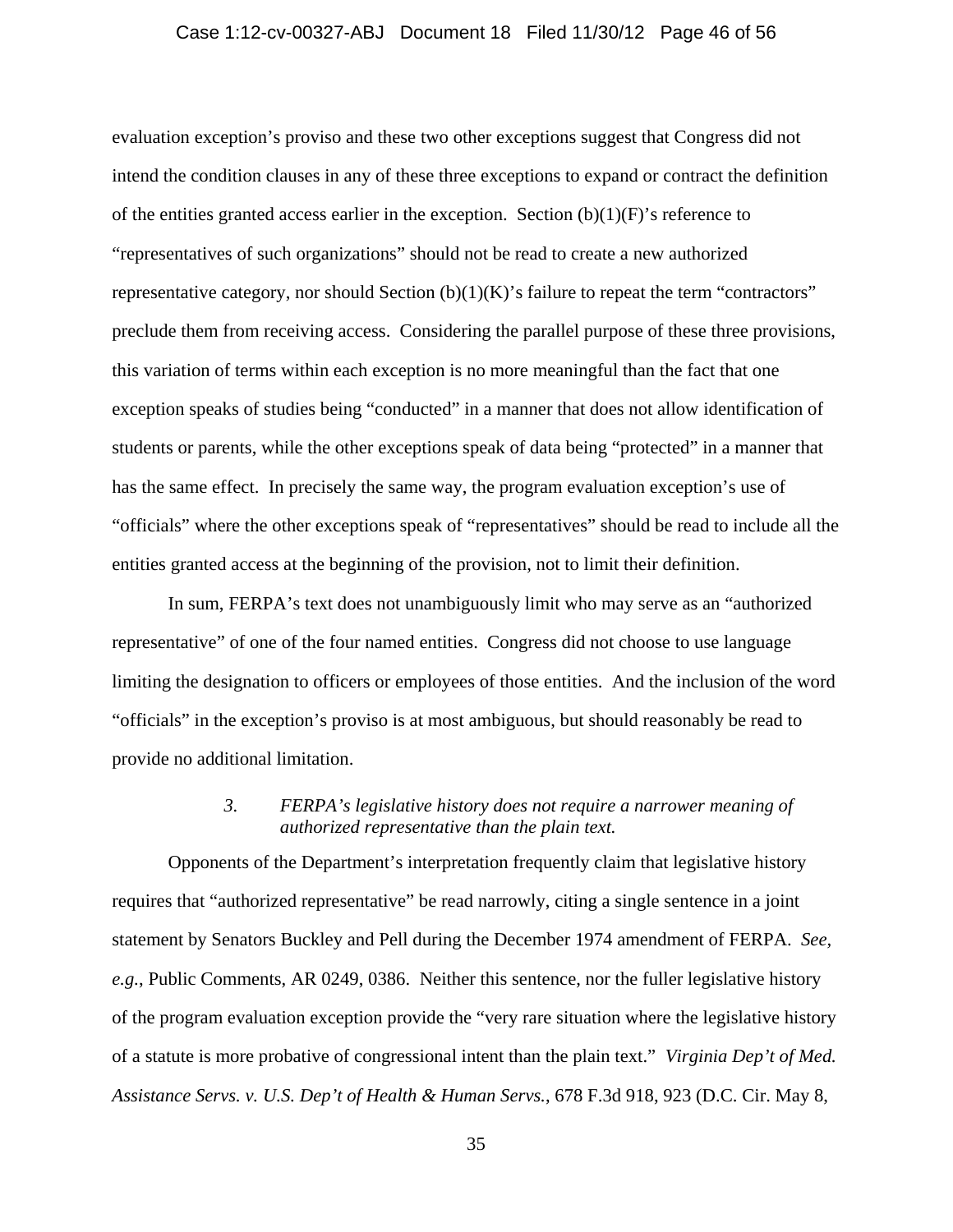### Case 1:12-cv-00327-ABJ Document 18 Filed 11/30/12 Page 46 of 56

evaluation exception's proviso and these two other exceptions suggest that Congress did not intend the condition clauses in any of these three exceptions to expand or contract the definition of the entities granted access earlier in the exception. Section  $(b)(1)(F)$ 's reference to "representatives of such organizations" should not be read to create a new authorized representative category, nor should Section  $(b)(1)(K)$ 's failure to repeat the term "contractors" preclude them from receiving access. Considering the parallel purpose of these three provisions, this variation of terms within each exception is no more meaningful than the fact that one exception speaks of studies being "conducted" in a manner that does not allow identification of students or parents, while the other exceptions speak of data being "protected" in a manner that has the same effect. In precisely the same way, the program evaluation exception's use of "officials" where the other exceptions speak of "representatives" should be read to include all the entities granted access at the beginning of the provision, not to limit their definition.

 In sum, FERPA's text does not unambiguously limit who may serve as an "authorized representative" of one of the four named entities. Congress did not choose to use language limiting the designation to officers or employees of those entities. And the inclusion of the word "officials" in the exception's proviso is at most ambiguous, but should reasonably be read to provide no additional limitation.

## *3. FERPA's legislative history does not require a narrower meaning of authorized representative than the plain text.*

Opponents of the Department's interpretation frequently claim that legislative history requires that "authorized representative" be read narrowly, citing a single sentence in a joint statement by Senators Buckley and Pell during the December 1974 amendment of FERPA. *See, e.g.*, Public Comments, AR 0249, 0386. Neither this sentence, nor the fuller legislative history of the program evaluation exception provide the "very rare situation where the legislative history of a statute is more probative of congressional intent than the plain text." *Virginia Dep't of Med. Assistance Servs. v. U.S. Dep't of Health & Human Servs.*, 678 F.3d 918, 923 (D.C. Cir. May 8,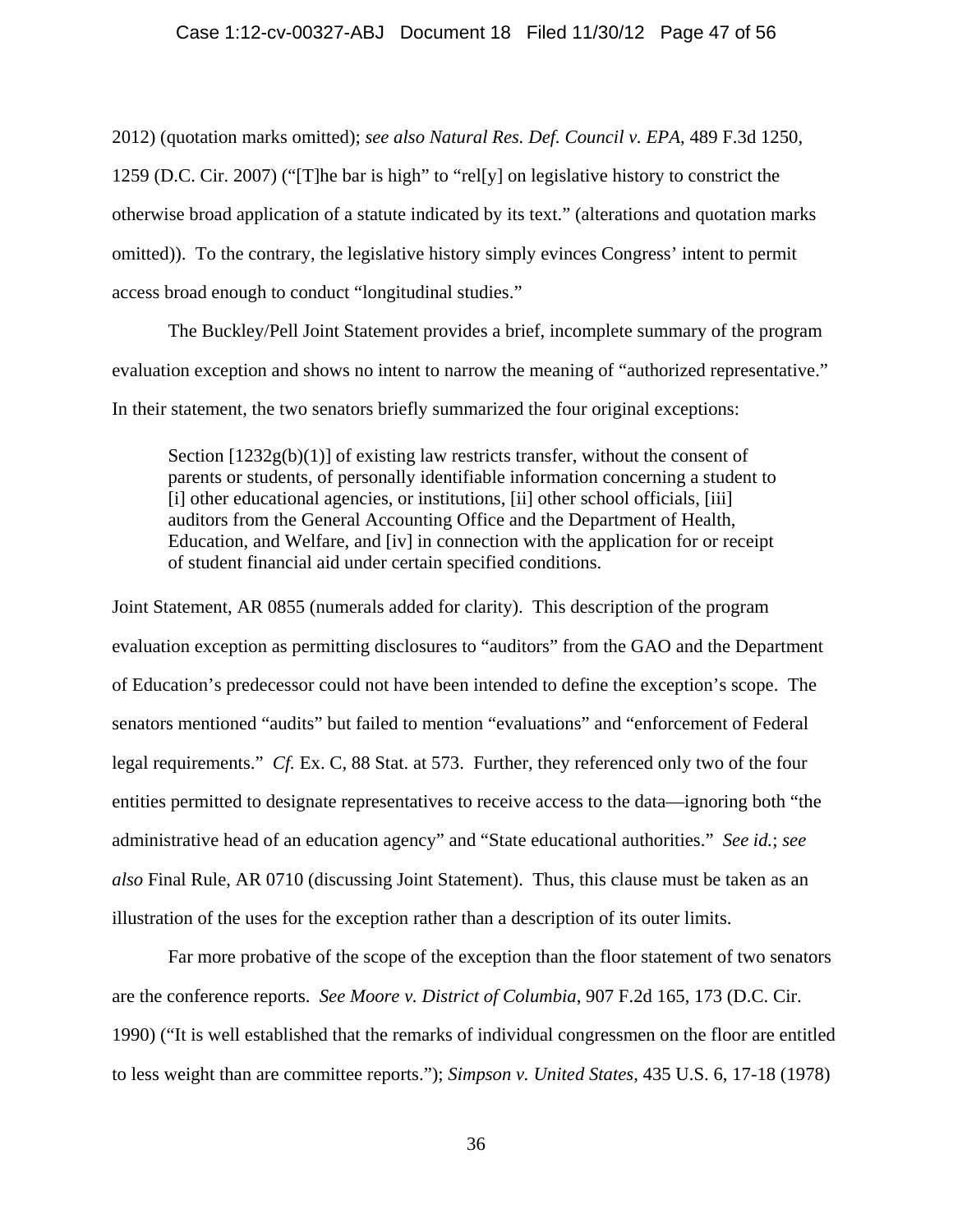2012) (quotation marks omitted); *see also Natural Res. Def. Council v. EPA*, 489 F.3d 1250, 1259 (D.C. Cir. 2007) ("[T]he bar is high" to "rel[y] on legislative history to constrict the otherwise broad application of a statute indicated by its text." (alterations and quotation marks omitted)). To the contrary, the legislative history simply evinces Congress' intent to permit access broad enough to conduct "longitudinal studies."

The Buckley/Pell Joint Statement provides a brief, incomplete summary of the program evaluation exception and shows no intent to narrow the meaning of "authorized representative." In their statement, the two senators briefly summarized the four original exceptions:

Section  $[1232g(b)(1)]$  of existing law restricts transfer, without the consent of parents or students, of personally identifiable information concerning a student to [i] other educational agencies, or institutions, [ii] other school officials, [iii] auditors from the General Accounting Office and the Department of Health, Education, and Welfare, and [iv] in connection with the application for or receipt of student financial aid under certain specified conditions.

Joint Statement, AR 0855 (numerals added for clarity). This description of the program evaluation exception as permitting disclosures to "auditors" from the GAO and the Department of Education's predecessor could not have been intended to define the exception's scope. The senators mentioned "audits" but failed to mention "evaluations" and "enforcement of Federal legal requirements." *Cf.* Ex. C, 88 Stat. at 573. Further, they referenced only two of the four entities permitted to designate representatives to receive access to the data—ignoring both "the administrative head of an education agency" and "State educational authorities." *See id.*; *see also* Final Rule, AR 0710 (discussing Joint Statement). Thus, this clause must be taken as an illustration of the uses for the exception rather than a description of its outer limits.

 Far more probative of the scope of the exception than the floor statement of two senators are the conference reports. *See Moore v. District of Columbia*, 907 F.2d 165, 173 (D.C. Cir. 1990) ("It is well established that the remarks of individual congressmen on the floor are entitled to less weight than are committee reports."); *Simpson v. United States*, 435 U.S. 6, 17-18 (1978)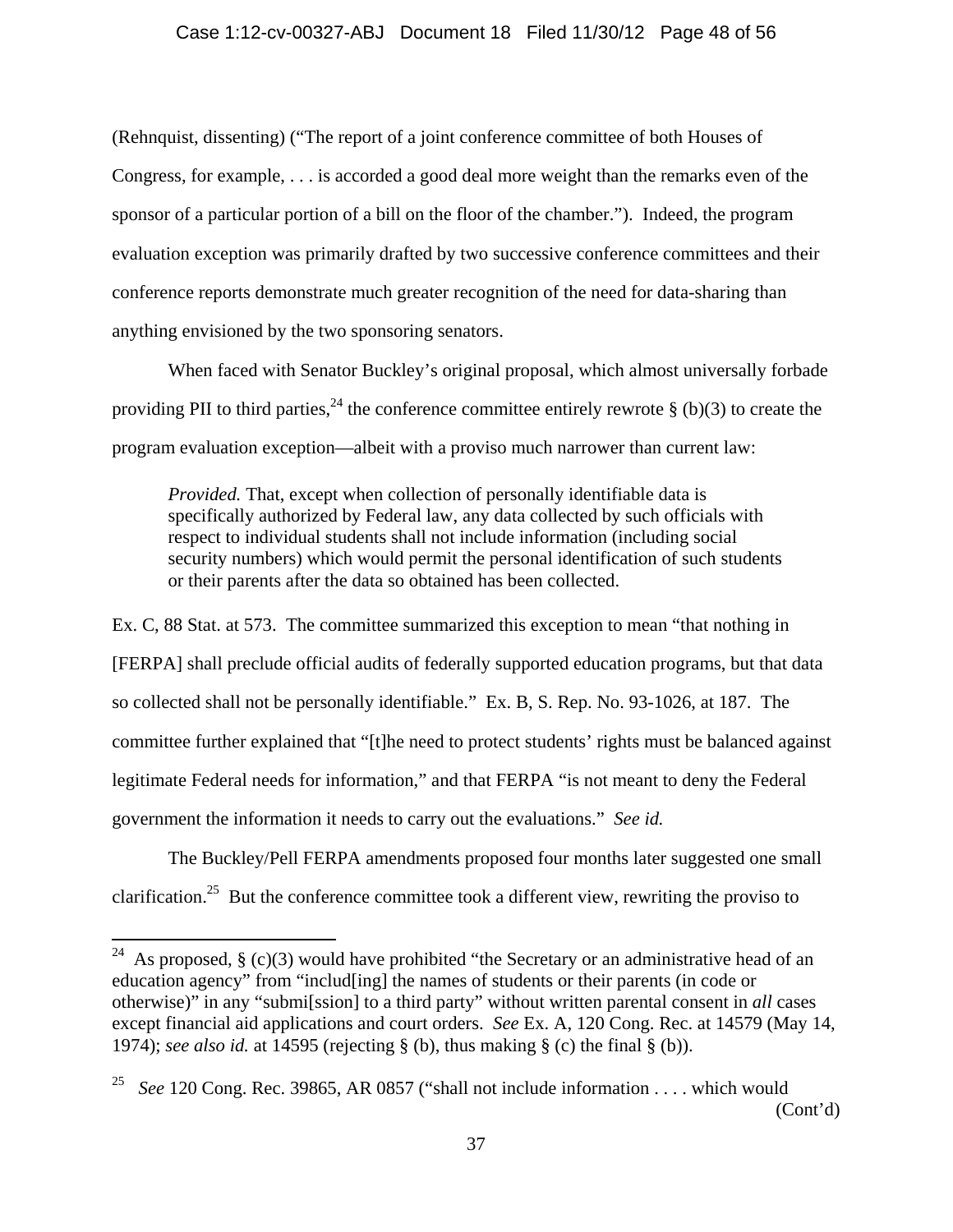### Case 1:12-cv-00327-ABJ Document 18 Filed 11/30/12 Page 48 of 56

(Rehnquist, dissenting) ("The report of a joint conference committee of both Houses of Congress, for example, . . . is accorded a good deal more weight than the remarks even of the sponsor of a particular portion of a bill on the floor of the chamber."). Indeed, the program evaluation exception was primarily drafted by two successive conference committees and their conference reports demonstrate much greater recognition of the need for data-sharing than anything envisioned by the two sponsoring senators.

When faced with Senator Buckley's original proposal, which almost universally forbade providing PII to third parties,  $^{24}$  the conference committee entirely rewrote § (b)(3) to create the program evaluation exception—albeit with a proviso much narrower than current law:

*Provided.* That, except when collection of personally identifiable data is specifically authorized by Federal law, any data collected by such officials with respect to individual students shall not include information (including social security numbers) which would permit the personal identification of such students or their parents after the data so obtained has been collected.

Ex. C, 88 Stat. at 573. The committee summarized this exception to mean "that nothing in [FERPA] shall preclude official audits of federally supported education programs, but that data so collected shall not be personally identifiable." Ex. B, S. Rep. No. 93-1026, at 187. The committee further explained that "[t]he need to protect students' rights must be balanced against legitimate Federal needs for information," and that FERPA "is not meant to deny the Federal government the information it needs to carry out the evaluations." *See id.*

 The Buckley/Pell FERPA amendments proposed four months later suggested one small clarification.25 But the conference committee took a different view, rewriting the proviso to

<sup>&</sup>lt;sup>24</sup> As proposed, § (c)(3) would have prohibited "the Secretary or an administrative head of an education agency" from "includ[ing] the names of students or their parents (in code or otherwise)" in any "submi[ssion] to a third party" without written parental consent in *all* cases except financial aid applications and court orders. *See* Ex. A, 120 Cong. Rec. at 14579 (May 14, 1974); *see also id.* at 14595 (rejecting § (b), thus making § (c) the final § (b)).

<sup>&</sup>lt;sup>25</sup> *See* 120 Cong. Rec. 39865, AR 0857 ("shall not include information . . . . which would (Cont'd)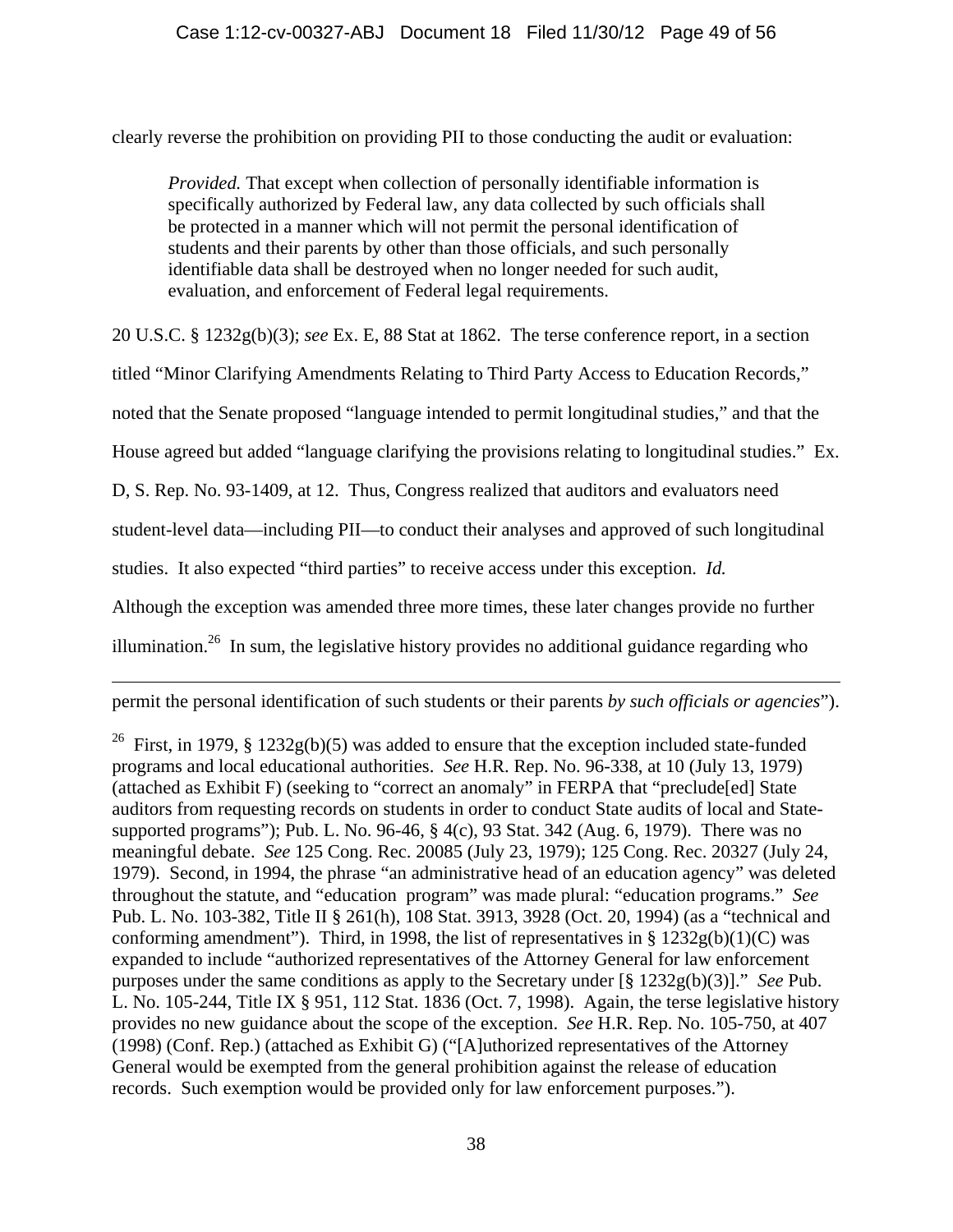clearly reverse the prohibition on providing PII to those conducting the audit or evaluation:

*Provided.* That except when collection of personally identifiable information is specifically authorized by Federal law, any data collected by such officials shall be protected in a manner which will not permit the personal identification of students and their parents by other than those officials, and such personally identifiable data shall be destroyed when no longer needed for such audit, evaluation, and enforcement of Federal legal requirements.

20 U.S.C. § 1232g(b)(3); *see* Ex. E, 88 Stat at 1862. The terse conference report, in a section

titled "Minor Clarifying Amendments Relating to Third Party Access to Education Records,"

noted that the Senate proposed "language intended to permit longitudinal studies," and that the

House agreed but added "language clarifying the provisions relating to longitudinal studies." Ex.

D, S. Rep. No. 93-1409, at 12. Thus, Congress realized that auditors and evaluators need

student-level data—including PII—to conduct their analyses and approved of such longitudinal

studies. It also expected "third parties" to receive access under this exception. *Id.*

 $\overline{a}$ 

Although the exception was amended three more times, these later changes provide no further

illumination.<sup>26</sup> In sum, the legislative history provides no additional guidance regarding who

permit the personal identification of such students or their parents *by such officials or agencies*").

<sup>26</sup> First, in 1979, § 1232g(b)(5) was added to ensure that the exception included state-funded programs and local educational authorities. *See* H.R. Rep. No. 96-338, at 10 (July 13, 1979) (attached as Exhibit F) (seeking to "correct an anomaly" in FERPA that "preclude[ed] State auditors from requesting records on students in order to conduct State audits of local and Statesupported programs"); Pub. L. No. 96-46, § 4(c), 93 Stat. 342 (Aug. 6, 1979). There was no meaningful debate. *See* 125 Cong. Rec. 20085 (July 23, 1979); 125 Cong. Rec. 20327 (July 24, 1979). Second, in 1994, the phrase "an administrative head of an education agency" was deleted throughout the statute, and "education program" was made plural: "education programs." *See* Pub. L. No. 103-382, Title II § 261(h), 108 Stat. 3913, 3928 (Oct. 20, 1994) (as a "technical and conforming amendment"). Third, in 1998, the list of representatives in  $\S 1232g(b)(1)(C)$  was expanded to include "authorized representatives of the Attorney General for law enforcement purposes under the same conditions as apply to the Secretary under [§ 1232g(b)(3)]." *See* Pub. L. No. 105-244, Title IX § 951, 112 Stat. 1836 (Oct. 7, 1998). Again, the terse legislative history provides no new guidance about the scope of the exception. *See* H.R. Rep. No. 105-750, at 407 (1998) (Conf. Rep.) (attached as Exhibit G) ("[A]uthorized representatives of the Attorney General would be exempted from the general prohibition against the release of education records. Such exemption would be provided only for law enforcement purposes.").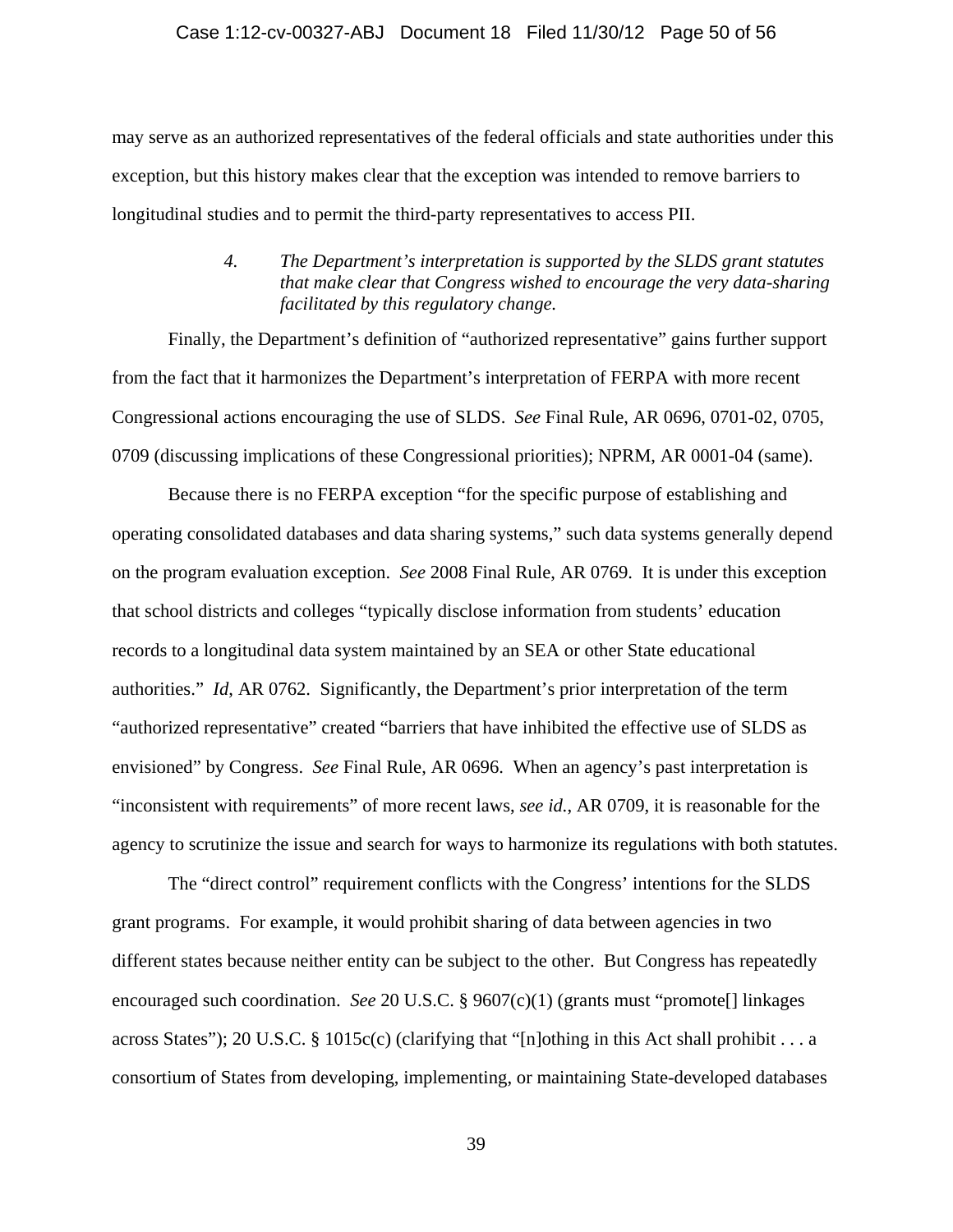### Case 1:12-cv-00327-ABJ Document 18 Filed 11/30/12 Page 50 of 56

may serve as an authorized representatives of the federal officials and state authorities under this exception, but this history makes clear that the exception was intended to remove barriers to longitudinal studies and to permit the third-party representatives to access PII.

## *4. The Department's interpretation is supported by the SLDS grant statutes that make clear that Congress wished to encourage the very data-sharing facilitated by this regulatory change.*

Finally, the Department's definition of "authorized representative" gains further support from the fact that it harmonizes the Department's interpretation of FERPA with more recent Congressional actions encouraging the use of SLDS. *See* Final Rule, AR 0696, 0701-02, 0705, 0709 (discussing implications of these Congressional priorities); NPRM, AR 0001-04 (same).

Because there is no FERPA exception "for the specific purpose of establishing and operating consolidated databases and data sharing systems," such data systems generally depend on the program evaluation exception. *See* 2008 Final Rule, AR 0769. It is under this exception that school districts and colleges "typically disclose information from students' education records to a longitudinal data system maintained by an SEA or other State educational authorities." *Id*, AR 0762. Significantly, the Department's prior interpretation of the term "authorized representative" created "barriers that have inhibited the effective use of SLDS as envisioned" by Congress. *See* Final Rule, AR 0696. When an agency's past interpretation is "inconsistent with requirements" of more recent laws, *see id.*, AR 0709, it is reasonable for the agency to scrutinize the issue and search for ways to harmonize its regulations with both statutes.

The "direct control" requirement conflicts with the Congress' intentions for the SLDS grant programs. For example, it would prohibit sharing of data between agencies in two different states because neither entity can be subject to the other. But Congress has repeatedly encouraged such coordination. *See* 20 U.S.C. § 9607(c)(1) (grants must "promote[] linkages across States"); 20 U.S.C. § 1015c(c) (clarifying that "[n]othing in this Act shall prohibit . . . a consortium of States from developing, implementing, or maintaining State-developed databases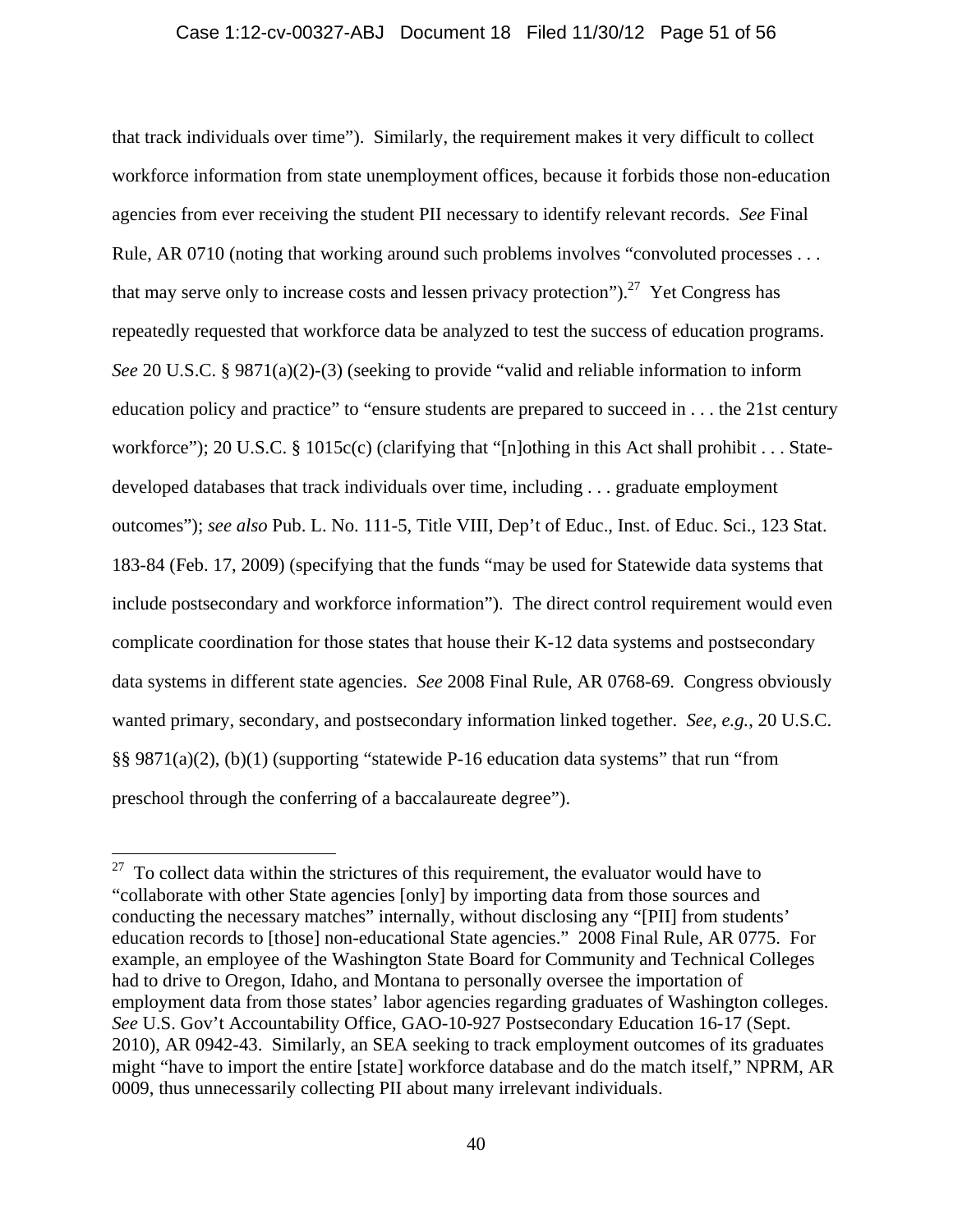### Case 1:12-cv-00327-ABJ Document 18 Filed 11/30/12 Page 51 of 56

that track individuals over time"). Similarly, the requirement makes it very difficult to collect workforce information from state unemployment offices, because it forbids those non-education agencies from ever receiving the student PII necessary to identify relevant records. *See* Final Rule, AR 0710 (noting that working around such problems involves "convoluted processes . . . that may serve only to increase costs and lessen privacy protection").<sup>27</sup> Yet Congress has repeatedly requested that workforce data be analyzed to test the success of education programs. *See* 20 U.S.C. § 9871(a)(2)-(3) (seeking to provide "valid and reliable information to inform education policy and practice" to "ensure students are prepared to succeed in . . . the 21st century workforce"); 20 U.S.C. § 1015c(c) (clarifying that "[n]othing in this Act shall prohibit . . . Statedeveloped databases that track individuals over time, including . . . graduate employment outcomes"); *see also* Pub. L. No. 111-5, Title VIII, Dep't of Educ., Inst. of Educ. Sci., 123 Stat. 183-84 (Feb. 17, 2009) (specifying that the funds "may be used for Statewide data systems that include postsecondary and workforce information"). The direct control requirement would even complicate coordination for those states that house their K-12 data systems and postsecondary data systems in different state agencies. *See* 2008 Final Rule, AR 0768-69. Congress obviously wanted primary, secondary, and postsecondary information linked together. *See, e.g.*, 20 U.S.C. §§ 9871(a)(2), (b)(1) (supporting "statewide P-16 education data systems" that run "from preschool through the conferring of a baccalaureate degree").

 $\overline{a}$ 

 $27$  To collect data within the strictures of this requirement, the evaluator would have to "collaborate with other State agencies [only] by importing data from those sources and conducting the necessary matches" internally, without disclosing any "[PII] from students' education records to [those] non-educational State agencies." 2008 Final Rule, AR 0775. For example, an employee of the Washington State Board for Community and Technical Colleges had to drive to Oregon, Idaho, and Montana to personally oversee the importation of employment data from those states' labor agencies regarding graduates of Washington colleges. *See* U.S. Gov't Accountability Office, GAO-10-927 Postsecondary Education 16-17 (Sept. 2010), AR 0942-43. Similarly, an SEA seeking to track employment outcomes of its graduates might "have to import the entire [state] workforce database and do the match itself," NPRM, AR 0009, thus unnecessarily collecting PII about many irrelevant individuals.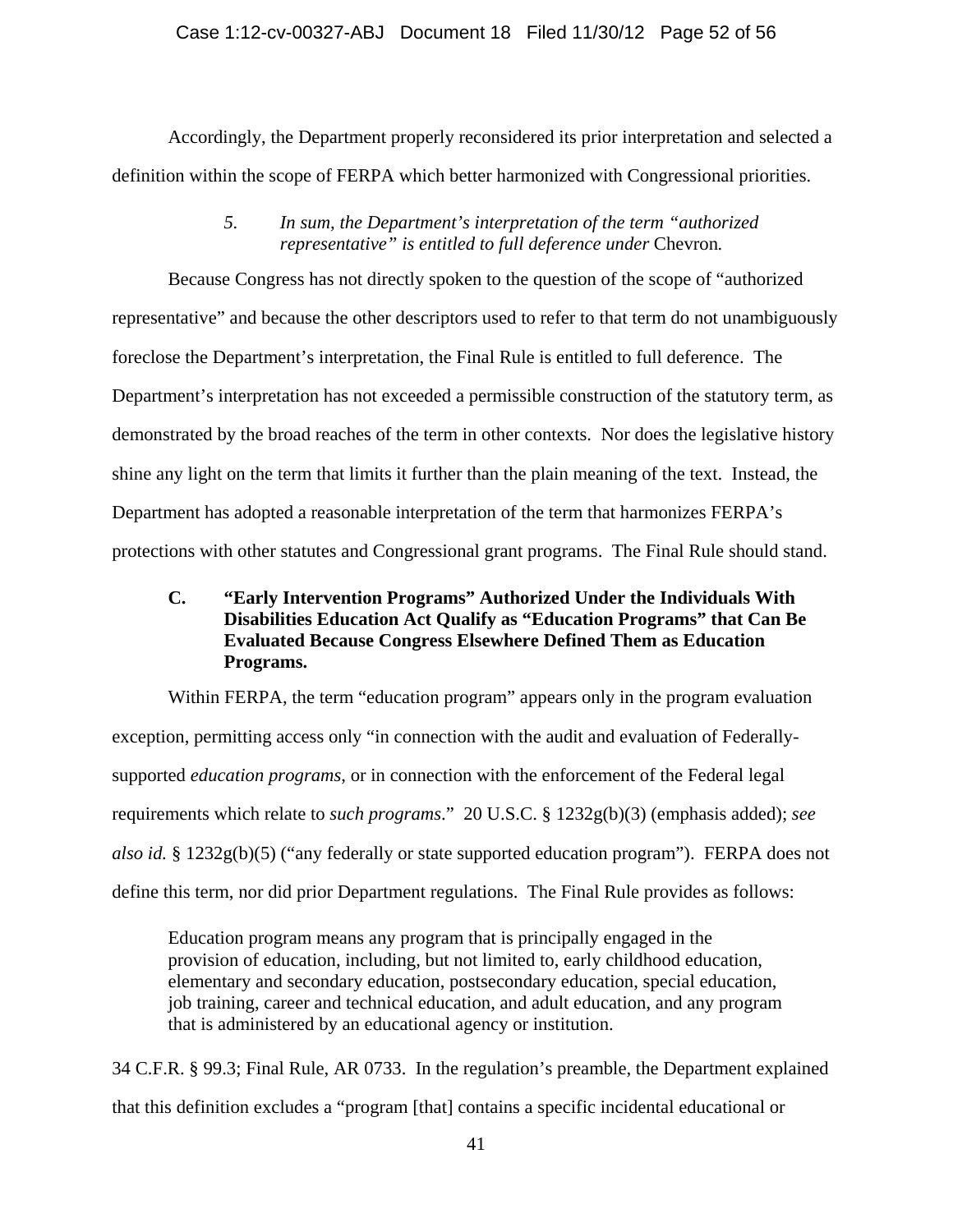Accordingly, the Department properly reconsidered its prior interpretation and selected a definition within the scope of FERPA which better harmonized with Congressional priorities.

## *5. In sum, the Department's interpretation of the term "authorized representative" is entitled to full deference under Chevron.*

Because Congress has not directly spoken to the question of the scope of "authorized representative" and because the other descriptors used to refer to that term do not unambiguously foreclose the Department's interpretation, the Final Rule is entitled to full deference. The Department's interpretation has not exceeded a permissible construction of the statutory term, as demonstrated by the broad reaches of the term in other contexts. Nor does the legislative history shine any light on the term that limits it further than the plain meaning of the text. Instead, the Department has adopted a reasonable interpretation of the term that harmonizes FERPA's protections with other statutes and Congressional grant programs. The Final Rule should stand.

# **C. "Early Intervention Programs" Authorized Under the Individuals With Disabilities Education Act Qualify as "Education Programs" that Can Be Evaluated Because Congress Elsewhere Defined Them as Education Programs.**

Within FERPA, the term "education program" appears only in the program evaluation exception, permitting access only "in connection with the audit and evaluation of Federallysupported *education programs*, or in connection with the enforcement of the Federal legal requirements which relate to *such programs*." 20 U.S.C. § 1232g(b)(3) (emphasis added); *see also id.* § 1232g(b)(5) ("any federally or state supported education program"). FERPA does not define this term, nor did prior Department regulations. The Final Rule provides as follows:

Education program means any program that is principally engaged in the provision of education, including, but not limited to, early childhood education, elementary and secondary education, postsecondary education, special education, job training, career and technical education, and adult education, and any program that is administered by an educational agency or institution.

34 C.F.R. § 99.3; Final Rule, AR 0733. In the regulation's preamble, the Department explained that this definition excludes a "program [that] contains a specific incidental educational or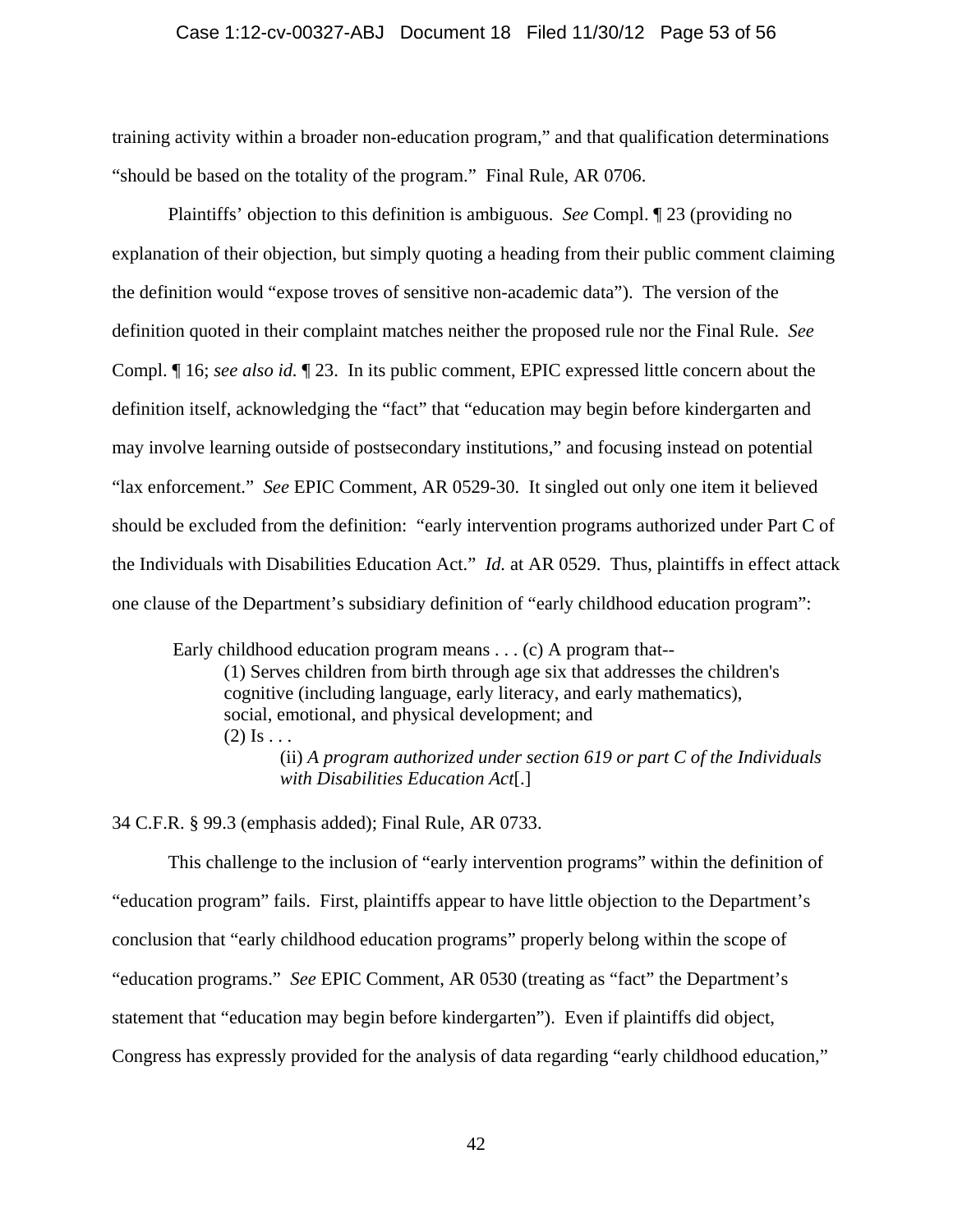### Case 1:12-cv-00327-ABJ Document 18 Filed 11/30/12 Page 53 of 56

training activity within a broader non-education program," and that qualification determinations "should be based on the totality of the program." Final Rule, AR 0706.

 Plaintiffs' objection to this definition is ambiguous. *See* Compl. ¶ 23 (providing no explanation of their objection, but simply quoting a heading from their public comment claiming the definition would "expose troves of sensitive non-academic data"). The version of the definition quoted in their complaint matches neither the proposed rule nor the Final Rule. *See* Compl. ¶ 16; *see also id.* ¶ 23. In its public comment, EPIC expressed little concern about the definition itself, acknowledging the "fact" that "education may begin before kindergarten and may involve learning outside of postsecondary institutions," and focusing instead on potential "lax enforcement." *See* EPIC Comment, AR 0529-30. It singled out only one item it believed should be excluded from the definition: "early intervention programs authorized under Part C of the Individuals with Disabilities Education Act." *Id.* at AR 0529. Thus, plaintiffs in effect attack one clause of the Department's subsidiary definition of "early childhood education program":

 Early childhood education program means . . . (c) A program that-- (1) Serves children from birth through age six that addresses the children's

cognitive (including language, early literacy, and early mathematics),

social, emotional, and physical development; and

 $(2)$  Is  $\ldots$ 

(ii) *A program authorized under section 619 or part C of the Individuals with Disabilities Education Act*[.]

34 C.F.R. § 99.3 (emphasis added); Final Rule, AR 0733.

This challenge to the inclusion of "early intervention programs" within the definition of "education program" fails. First, plaintiffs appear to have little objection to the Department's conclusion that "early childhood education programs" properly belong within the scope of "education programs." *See* EPIC Comment, AR 0530 (treating as "fact" the Department's statement that "education may begin before kindergarten"). Even if plaintiffs did object, Congress has expressly provided for the analysis of data regarding "early childhood education,"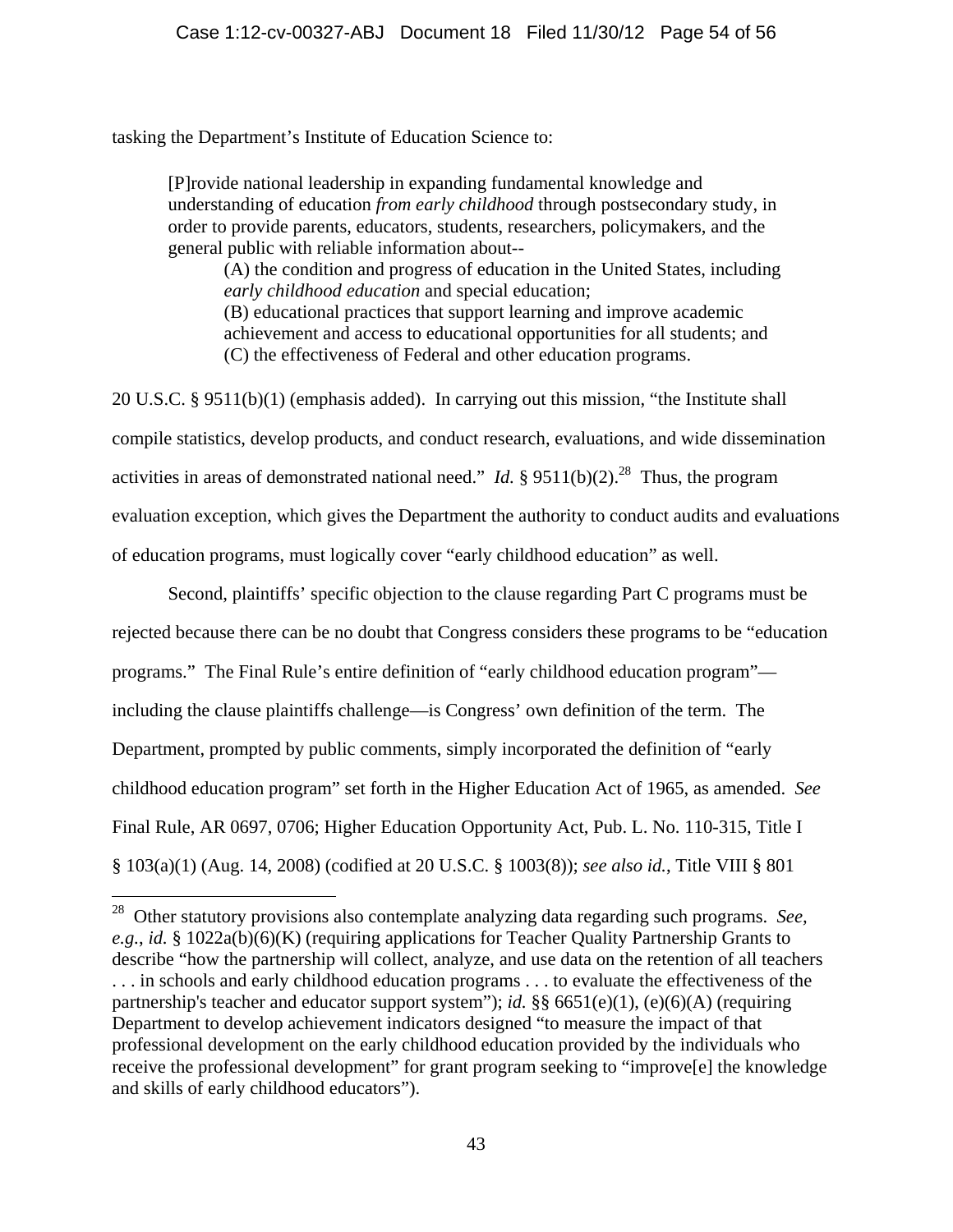tasking the Department's Institute of Education Science to:

 $\overline{a}$ 

[P]rovide national leadership in expanding fundamental knowledge and understanding of education *from early childhood* through postsecondary study, in order to provide parents, educators, students, researchers, policymakers, and the general public with reliable information about--

(A) the condition and progress of education in the United States, including *early childhood education* and special education; (B) educational practices that support learning and improve academic achievement and access to educational opportunities for all students; and (C) the effectiveness of Federal and other education programs.

20 U.S.C. § 9511(b)(1) (emphasis added). In carrying out this mission, "the Institute shall compile statistics, develop products, and conduct research, evaluations, and wide dissemination activities in areas of demonstrated national need." *Id.* § 9511(b)(2).<sup>28</sup> Thus, the program evaluation exception, which gives the Department the authority to conduct audits and evaluations of education programs, must logically cover "early childhood education" as well.

Second, plaintiffs' specific objection to the clause regarding Part C programs must be rejected because there can be no doubt that Congress considers these programs to be "education programs." The Final Rule's entire definition of "early childhood education program" including the clause plaintiffs challenge—is Congress' own definition of the term. The Department, prompted by public comments, simply incorporated the definition of "early childhood education program" set forth in the Higher Education Act of 1965, as amended. *See* Final Rule, AR 0697, 0706; Higher Education Opportunity Act, Pub. L. No. 110-315, Title I § 103(a)(1) (Aug. 14, 2008) (codified at 20 U.S.C. § 1003(8)); *see also id.*, Title VIII § 801

<sup>28</sup> Other statutory provisions also contemplate analyzing data regarding such programs. *See, e.g.*, *id.* § 1022a(b)(6)(K) (requiring applications for Teacher Quality Partnership Grants to describe "how the partnership will collect, analyze, and use data on the retention of all teachers . . . in schools and early childhood education programs . . . to evaluate the effectiveness of the partnership's teacher and educator support system"); *id.* §§ 6651(e)(1), (e)(6)(A) (requiring Department to develop achievement indicators designed "to measure the impact of that professional development on the early childhood education provided by the individuals who receive the professional development" for grant program seeking to "improve[e] the knowledge and skills of early childhood educators").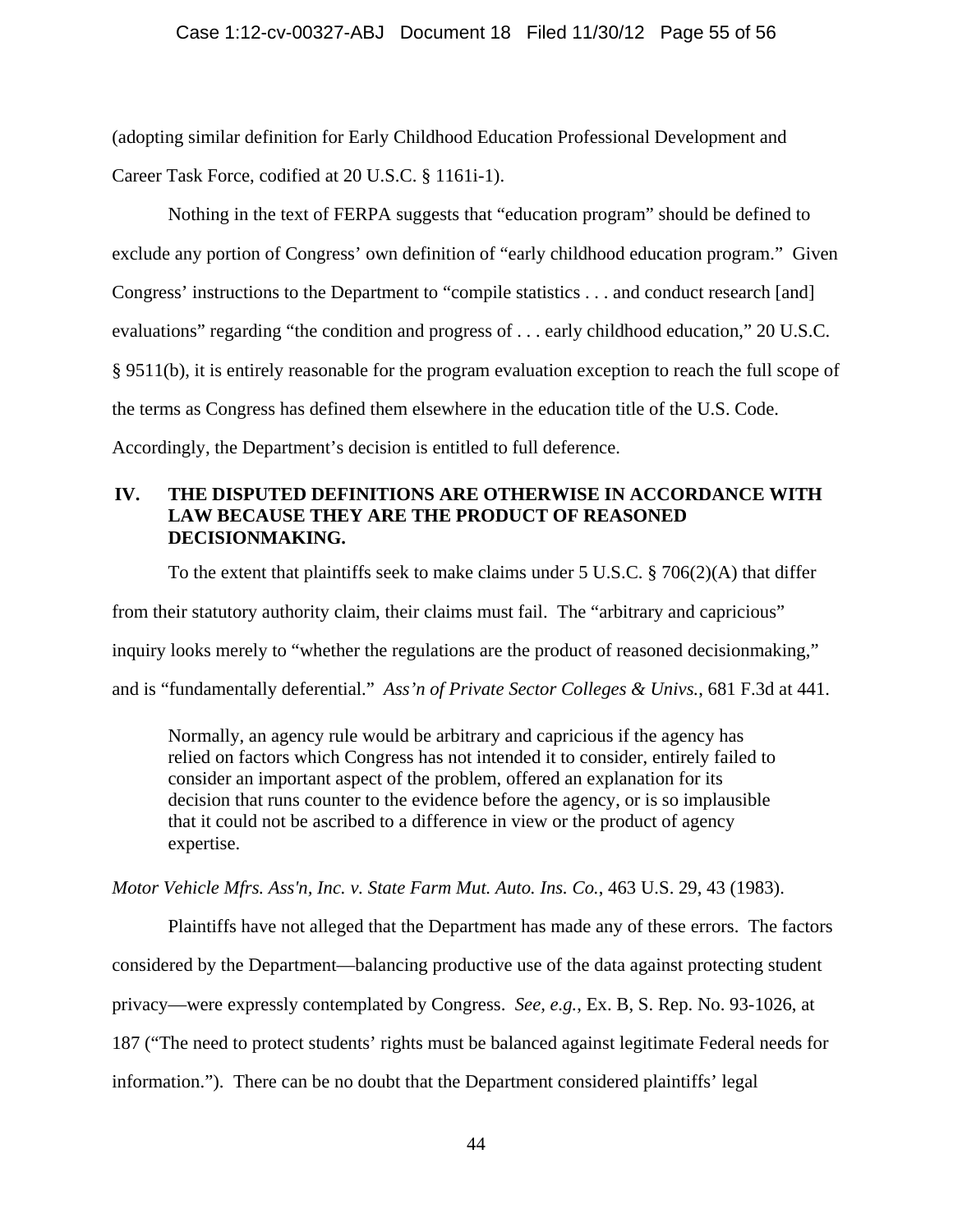(adopting similar definition for Early Childhood Education Professional Development and Career Task Force, codified at 20 U.S.C. § 1161i-1).

Nothing in the text of FERPA suggests that "education program" should be defined to exclude any portion of Congress' own definition of "early childhood education program." Given Congress' instructions to the Department to "compile statistics . . . and conduct research [and] evaluations" regarding "the condition and progress of . . . early childhood education," 20 U.S.C. § 9511(b), it is entirely reasonable for the program evaluation exception to reach the full scope of the terms as Congress has defined them elsewhere in the education title of the U.S. Code. Accordingly, the Department's decision is entitled to full deference.

# **IV. THE DISPUTED DEFINITIONS ARE OTHERWISE IN ACCORDANCE WITH LAW BECAUSE THEY ARE THE PRODUCT OF REASONED DECISIONMAKING.**

To the extent that plaintiffs seek to make claims under 5 U.S.C. § 706(2)(A) that differ from their statutory authority claim, their claims must fail. The "arbitrary and capricious" inquiry looks merely to "whether the regulations are the product of reasoned decisionmaking," and is "fundamentally deferential." *Ass'n of Private Sector Colleges & Univs.*, 681 F.3d at 441.

Normally, an agency rule would be arbitrary and capricious if the agency has relied on factors which Congress has not intended it to consider, entirely failed to consider an important aspect of the problem, offered an explanation for its decision that runs counter to the evidence before the agency, or is so implausible that it could not be ascribed to a difference in view or the product of agency expertise.

*Motor Vehicle Mfrs. Ass'n, Inc. v. State Farm Mut. Auto. Ins. Co.*, 463 U.S. 29, 43 (1983).

 Plaintiffs have not alleged that the Department has made any of these errors. The factors considered by the Department—balancing productive use of the data against protecting student privacy—were expressly contemplated by Congress. *See, e.g.*, Ex. B, S. Rep. No. 93-1026, at 187 ("The need to protect students' rights must be balanced against legitimate Federal needs for information."). There can be no doubt that the Department considered plaintiffs' legal